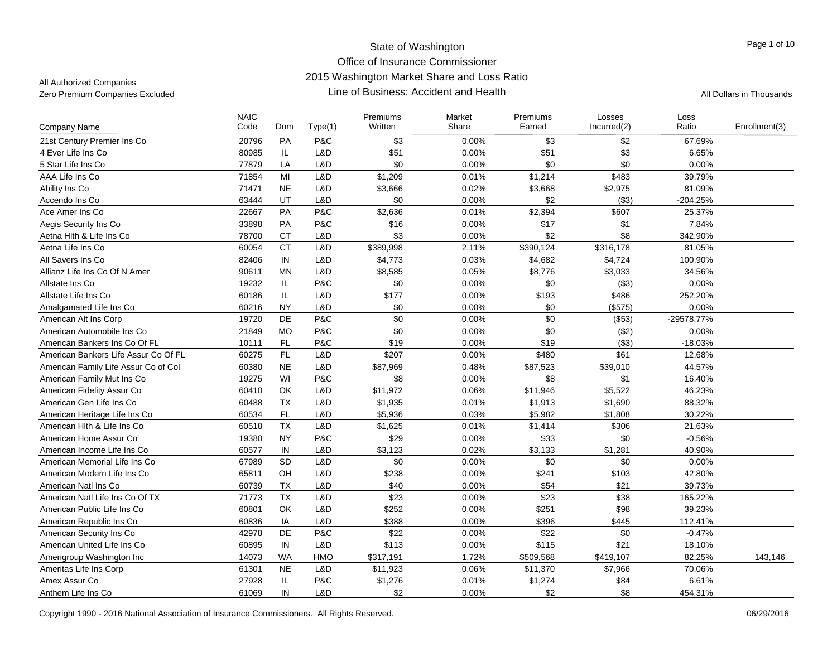| Company Name                         | <b>NAIC</b><br>Code | Dom       | Type(1)    | Premiums<br>Written | Market<br>Share | Premiums<br>Earned | Losses<br>Incurred(2) | Loss<br>Ratio | Enrollment(3) |
|--------------------------------------|---------------------|-----------|------------|---------------------|-----------------|--------------------|-----------------------|---------------|---------------|
| 21st Century Premier Ins Co          | 20796               | <b>PA</b> | P&C        | \$3                 | 0.00%           | \$3                | \$2                   | 67.69%        |               |
| 4 Ever Life Ins Co                   | 80985               | IL        | L&D        | \$51                | 0.00%           | \$51               | \$3                   | 6.65%         |               |
| 5 Star Life Ins Co                   | 77879               | LA        | L&D        | \$0                 | 0.00%           | \$0                | \$0                   | 0.00%         |               |
| AAA Life Ins Co                      | 71854               | MI        | L&D        | \$1,209             | 0.01%           | \$1,214            | \$483                 | 39.79%        |               |
| Ability Ins Co                       | 71471               | <b>NE</b> | L&D        | \$3,666             | 0.02%           | \$3,668            | \$2,975               | 81.09%        |               |
| Accendo Ins Co                       | 63444               | UT        | L&D        | \$0                 | 0.00%           | \$2                | ( \$3)                | $-204.25%$    |               |
| Ace Amer Ins Co                      | 22667               | PA        | P&C        | \$2,636             | 0.01%           | \$2,394            | \$607                 | 25.37%        |               |
| Aegis Security Ins Co                | 33898               | <b>PA</b> | P&C        | \$16                | 0.00%           | \$17               | \$1                   | 7.84%         |               |
| Aetna Hith & Life Ins Co             | 78700               | <b>CT</b> | L&D        | \$3                 | 0.00%           | \$2                | \$8                   | 342.90%       |               |
| Aetna Life Ins Co                    | 60054               | <b>CT</b> | L&D        | \$389,998           | 2.11%           | \$390,124          | \$316,178             | 81.05%        |               |
| All Savers Ins Co                    | 82406               | IN        | L&D        | \$4,773             | 0.03%           | \$4,682            | \$4,724               | 100.90%       |               |
| Allianz Life Ins Co Of N Amer        | 90611               | <b>MN</b> | L&D        | \$8,585             | 0.05%           | \$8,776            | \$3,033               | 34.56%        |               |
| Allstate Ins Co                      | 19232               | IL.       | P&C        | \$0                 | 0.00%           | \$0                | (\$3)                 | 0.00%         |               |
| Allstate Life Ins Co                 | 60186               | IL        | L&D        | \$177               | 0.00%           | \$193              | \$486                 | 252.20%       |               |
| Amalgamated Life Ins Co              | 60216               | <b>NY</b> | L&D        | \$0                 | 0.00%           | \$0                | (\$575)               | 0.00%         |               |
| American Alt Ins Corp                | 19720               | DE        | P&C        | \$0                 | 0.00%           | \$0                | (\$53)                | -29578.77%    |               |
| American Automobile Ins Co           | 21849               | <b>MO</b> | P&C        | \$0                 | 0.00%           | \$0                | (\$2)                 | 0.00%         |               |
| American Bankers Ins Co Of FL        | 10111               | FL        | P&C        | \$19                | 0.00%           | \$19               | (\$3)                 | $-18.03%$     |               |
| American Bankers Life Assur Co Of FL | 60275               | FL.       | L&D        | \$207               | 0.00%           | \$480              | \$61                  | 12.68%        |               |
| American Family Life Assur Co of Col | 60380               | <b>NE</b> | L&D        | \$87,969            | 0.48%           | \$87,523           | \$39,010              | 44.57%        |               |
| American Family Mut Ins Co           | 19275               | WI        | P&C        | \$8                 | 0.00%           | \$8                | \$1                   | 16.40%        |               |
| American Fidelity Assur Co           | 60410               | <b>OK</b> | L&D        | \$11,972            | 0.06%           | \$11,946           | \$5,522               | 46.23%        |               |
| American Gen Life Ins Co             | 60488               | <b>TX</b> | L&D        | \$1,935             | 0.01%           | \$1,913            | \$1,690               | 88.32%        |               |
| American Heritage Life Ins Co        | 60534               | <b>FL</b> | L&D        | \$5,936             | 0.03%           | \$5,982            | \$1,808               | 30.22%        |               |
| American Hith & Life Ins Co          | 60518               | TX        | L&D        | \$1,625             | 0.01%           | \$1,414            | \$306                 | 21.63%        |               |
| American Home Assur Co               | 19380               | <b>NY</b> | P&C        | \$29                | 0.00%           | \$33               | \$0                   | $-0.56%$      |               |
| American Income Life Ins Co          | 60577               | IN        | L&D        | \$3,123             | 0.02%           | \$3,133            | \$1,281               | 40.90%        |               |
| American Memorial Life Ins Co        | 67989               | SD        | L&D        | \$0                 | 0.00%           | \$0                | \$0                   | 0.00%         |               |
| American Modern Life Ins Co          | 65811               | OH        | L&D        | \$238               | 0.00%           | \$241              | \$103                 | 42.80%        |               |
| American Natl Ins Co                 | 60739               | TX        | L&D        | \$40                | 0.00%           | \$54               | \$21                  | 39.73%        |               |
| American Natl Life Ins Co Of TX      | 71773               | TX        | L&D        | \$23                | 0.00%           | \$23               | \$38                  | 165.22%       |               |
| American Public Life Ins Co          | 60801               | OK        | L&D        | \$252               | 0.00%           | \$251              | \$98                  | 39.23%        |               |
| American Republic Ins Co             | 60836               | IA        | L&D        | \$388               | 0.00%           | \$396              | \$445                 | 112.41%       |               |
| American Security Ins Co             | 42978               | DE        | P&C        | \$22                | 0.00%           | \$22               | \$0                   | $-0.47%$      |               |
| American United Life Ins Co          | 60895               | IN        | L&D        | \$113               | 0.00%           | \$115              | \$21                  | 18.10%        |               |
| Amerigroup Washington Inc            | 14073               | <b>WA</b> | <b>HMO</b> | \$317,191           | 1.72%           | \$509,568          | \$419,107             | 82.25%        | 143.146       |
| Ameritas Life Ins Corp               | 61301               | <b>NE</b> | L&D        | \$11,923            | 0.06%           | \$11,370           | \$7,966               | 70.06%        |               |
| Amex Assur Co                        | 27928               | IL        | P&C        | \$1,276             | 0.01%           | \$1,274            | \$84                  | 6.61%         |               |
| Anthem Life Ins Co                   | 61069               | IN        | L&D        | \$2                 | 0.00%           | \$2                | \$8                   | 454.31%       |               |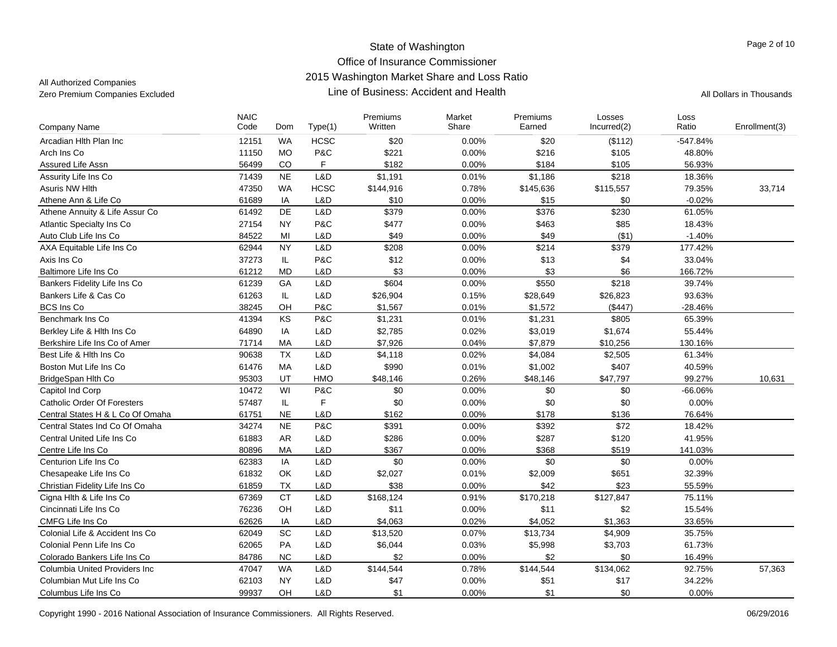|                                    | <b>NAIC</b> |           |             | Premiums  | Market | Premiums  | Losses      | Loss       |               |
|------------------------------------|-------------|-----------|-------------|-----------|--------|-----------|-------------|------------|---------------|
| <b>Company Name</b>                | Code        | Dom       | Type(1)     | Written   | Share  | Earned    | Incurred(2) | Ratio      | Enrollment(3) |
| Arcadian Hith Plan Inc             | 12151       | <b>WA</b> | <b>HCSC</b> | \$20      | 0.00%  | \$20      | (\$112)     | $-547.84%$ |               |
| Arch Ins Co                        | 11150       | <b>MO</b> | P&C         | \$221     | 0.00%  | \$216     | \$105       | 48.80%     |               |
| Assured Life Assn                  | 56499       | CO        | F           | \$182     | 0.00%  | \$184     | \$105       | 56.93%     |               |
| Assurity Life Ins Co               | 71439       | <b>NE</b> | L&D         | \$1,191   | 0.01%  | \$1,186   | \$218       | 18.36%     |               |
| Asuris NW Hlth                     | 47350       | <b>WA</b> | <b>HCSC</b> | \$144,916 | 0.78%  | \$145,636 | \$115,557   | 79.35%     | 33,714        |
| Athene Ann & Life Co               | 61689       | IA        | L&D         | \$10      | 0.00%  | \$15      | \$0         | $-0.02%$   |               |
| Athene Annuity & Life Assur Co     | 61492       | DE        | L&D         | \$379     | 0.00%  | \$376     | \$230       | 61.05%     |               |
| Atlantic Specialty Ins Co          | 27154       | <b>NY</b> | P&C         | \$477     | 0.00%  | \$463     | \$85        | 18.43%     |               |
| Auto Club Life Ins Co              | 84522       | MI        | L&D         | \$49      | 0.00%  | \$49      | (\$1)       | $-1.40%$   |               |
| AXA Equitable Life Ins Co          | 62944       | <b>NY</b> | L&D         | \$208     | 0.00%  | \$214     | \$379       | 177.42%    |               |
| Axis Ins Co                        | 37273       | IL.       | P&C         | \$12      | 0.00%  | \$13      | \$4         | 33.04%     |               |
| <b>Baltimore Life Ins Co</b>       | 61212       | <b>MD</b> | L&D         | \$3       | 0.00%  | \$3       | \$6         | 166.72%    |               |
| Bankers Fidelity Life Ins Co       | 61239       | GA        | L&D         | \$604     | 0.00%  | \$550     | \$218       | 39.74%     |               |
| Bankers Life & Cas Co              | 61263       | IL        | L&D         | \$26,904  | 0.15%  | \$28,649  | \$26,823    | 93.63%     |               |
| <b>BCS Ins Co</b>                  | 38245       | OH        | P&C         | \$1,567   | 0.01%  | \$1,572   | (\$447)     | $-28.46%$  |               |
| Benchmark Ins Co                   | 41394       | KS        | P&C         | \$1,231   | 0.01%  | \$1,231   | \$805       | 65.39%     |               |
| Berkley Life & Hith Ins Co         | 64890       | IA        | L&D         | \$2,785   | 0.02%  | \$3,019   | \$1,674     | 55.44%     |               |
| Berkshire Life Ins Co of Amer      | 71714       | MA        | L&D         | \$7,926   | 0.04%  | \$7,879   | \$10,256    | 130.16%    |               |
| Best Life & Hith Ins Co            | 90638       | TX        | L&D         | \$4,118   | 0.02%  | \$4,084   | \$2,505     | 61.34%     |               |
| Boston Mut Life Ins Co             | 61476       | <b>MA</b> | L&D         | \$990     | 0.01%  | \$1,002   | \$407       | 40.59%     |               |
| BridgeSpan Hlth Co                 | 95303       | UT        | HMO         | \$48,146  | 0.26%  | \$48,146  | \$47,797    | 99.27%     | 10,631        |
| Capitol Ind Corp                   | 10472       | WI        | P&C         | \$0       | 0.00%  | \$0       | \$0         | $-66.06%$  |               |
| <b>Catholic Order Of Foresters</b> | 57487       | IL.       | F           | \$0       | 0.00%  | \$0       | \$0         | 0.00%      |               |
| Central States H & L Co Of Omaha   | 61751       | <b>NE</b> | L&D         | \$162     | 0.00%  | \$178     | \$136       | 76.64%     |               |
| Central States Ind Co Of Omaha     | 34274       | <b>NE</b> | P&C         | \$391     | 0.00%  | \$392     | \$72        | 18.42%     |               |
| Central United Life Ins Co         | 61883       | AR        | L&D         | \$286     | 0.00%  | \$287     | \$120       | 41.95%     |               |
| Centre Life Ins Co                 | 80896       | MA        | L&D         | \$367     | 0.00%  | \$368     | \$519       | 141.03%    |               |
| Centurion Life Ins Co              | 62383       | IA        | L&D         | \$0       | 0.00%  | \$0       | \$0         | 0.00%      |               |
| Chesapeake Life Ins Co             | 61832       | OK        | L&D         | \$2,027   | 0.01%  | \$2,009   | \$651       | 32.39%     |               |
| Christian Fidelity Life Ins Co     | 61859       | <b>TX</b> | L&D         | \$38      | 0.00%  | \$42      | \$23        | 55.59%     |               |
| Cigna Hlth & Life Ins Co           | 67369       | <b>CT</b> | L&D         | \$168,124 | 0.91%  | \$170,218 | \$127,847   | 75.11%     |               |
| Cincinnati Life Ins Co             | 76236       | OH        | L&D         | \$11      | 0.00%  | \$11      | \$2         | 15.54%     |               |
| CMFG Life Ins Co                   | 62626       | IA        | L&D         | \$4,063   | 0.02%  | \$4,052   | \$1,363     | 33.65%     |               |
| Colonial Life & Accident Ins Co    | 62049       | SC        | L&D         | \$13,520  | 0.07%  | \$13,734  | \$4,909     | 35.75%     |               |
| Colonial Penn Life Ins Co          | 62065       | PA        | L&D         | \$6,044   | 0.03%  | \$5,998   | \$3,703     | 61.73%     |               |
| Colorado Bankers Life Ins Co       | 84786       | <b>NC</b> | L&D         | \$2       | 0.00%  | \$2       | \$0         | 16.49%     |               |
| Columbia United Providers Inc.     | 47047       | <b>WA</b> | L&D         | \$144,544 | 0.78%  | \$144,544 | \$134,062   | 92.75%     | 57,363        |
| Columbian Mut Life Ins Co          | 62103       | <b>NY</b> | L&D         | \$47      | 0.00%  | \$51      | \$17        | 34.22%     |               |
| Columbus Life Ins Co               | 99937       | OH        | L&D         | \$1       | 0.00%  | \$1       | \$0         | 0.00%      |               |
|                                    |             |           |             |           |        |           |             |            |               |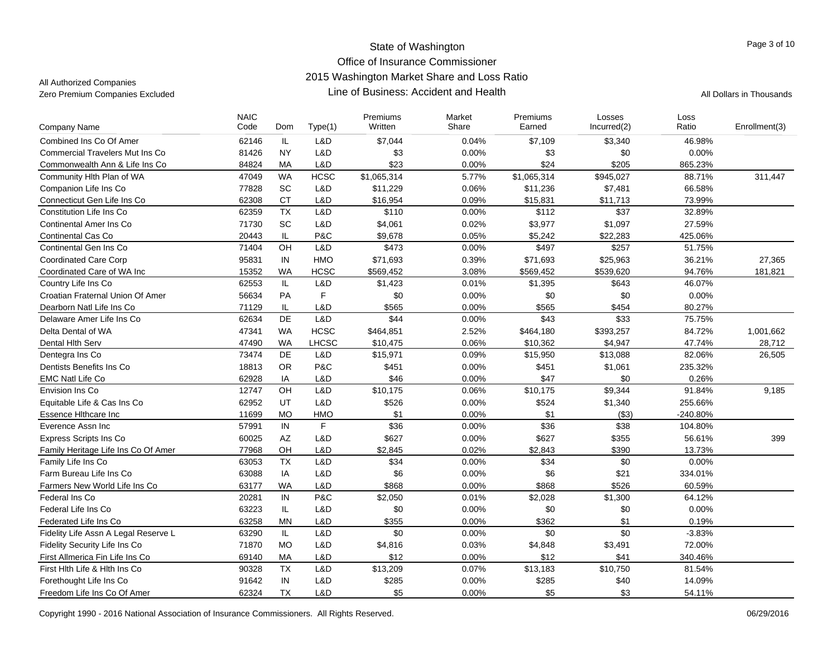| <b>Company Name</b>                    | <b>NAIC</b><br>Code | Dom           | Type(1)      | Premiums<br>Written | Market<br>Share | Premiums<br>Earned | Losses<br>Incurred(2) | Loss<br>Ratio | Enrollment(3) |
|----------------------------------------|---------------------|---------------|--------------|---------------------|-----------------|--------------------|-----------------------|---------------|---------------|
| Combined Ins Co Of Amer                | 62146               | IL            | L&D          | \$7,044             | 0.04%           | \$7,109            | \$3,340               | 46.98%        |               |
| <b>Commercial Travelers Mut Ins Co</b> | 81426               | <b>NY</b>     | L&D          | \$3                 | 0.00%           | \$3                | \$0                   | 0.00%         |               |
| Commonwealth Ann & Life Ins Co         | 84824               | MA            | L&D          | \$23                | 0.00%           | \$24               | \$205                 | 865.23%       |               |
| Community Hlth Plan of WA              | 47049               | <b>WA</b>     | <b>HCSC</b>  | \$1,065,314         | 5.77%           | \$1,065,314        | \$945,027             | 88.71%        | 311,447       |
| Companion Life Ins Co                  | 77828               | SC            | L&D          | \$11,229            | 0.06%           | \$11,236           | \$7,481               | 66.58%        |               |
| Connecticut Gen Life Ins Co            | 62308               | <b>CT</b>     | L&D          | \$16,954            | 0.09%           | \$15,831           | \$11,713              | 73.99%        |               |
| Constitution Life Ins Co               | 62359               | <b>TX</b>     | L&D          | \$110               | 0.00%           | \$112              | \$37                  | 32.89%        |               |
| <b>Continental Amer Ins Co</b>         | 71730               | SC            | L&D          | \$4,061             | 0.02%           | \$3,977            | \$1,097               | 27.59%        |               |
| Continental Cas Co                     | 20443               | IL            | P&C          | \$9,678             | 0.05%           | \$5,242            | \$22,283              | 425.06%       |               |
| Continental Gen Ins Co                 | 71404               | OH            | L&D          | \$473               | 0.00%           | \$497              | \$257                 | 51.75%        |               |
| <b>Coordinated Care Corp</b>           | 95831               | IN            | <b>HMO</b>   | \$71,693            | 0.39%           | \$71,693           | \$25,963              | 36.21%        | 27,365        |
| Coordinated Care of WA Inc             | 15352               | <b>WA</b>     | <b>HCSC</b>  | \$569,452           | 3.08%           | \$569,452          | \$539,620             | 94.76%        | 181.821       |
| Country Life Ins Co                    | 62553               | IL            | L&D          | \$1,423             | 0.01%           | \$1,395            | \$643                 | 46.07%        |               |
| Croatian Fraternal Union Of Amer       | 56634               | PA            | F            | \$0                 | 0.00%           | \$0                | \$0                   | 0.00%         |               |
| Dearborn Natl Life Ins Co              | 71129               | IL            | L&D          | \$565               | 0.00%           | \$565              | \$454                 | 80.27%        |               |
| Delaware Amer Life Ins Co              | 62634               | DE            | L&D          | \$44                | 0.00%           | \$43               | \$33                  | 75.75%        |               |
| Delta Dental of WA                     | 47341               | <b>WA</b>     | <b>HCSC</b>  | \$464,851           | 2.52%           | \$464,180          | \$393,257             | 84.72%        | 1.001.662     |
| Dental Hith Serv                       | 47490               | <b>WA</b>     | <b>LHCSC</b> | \$10,475            | 0.06%           | \$10,362           | \$4,947               | 47.74%        | 28,712        |
| Dentegra Ins Co                        | 73474               | <b>DE</b>     | L&D          | \$15,971            | 0.09%           | \$15,950           | \$13,088              | 82.06%        | 26,505        |
| Dentists Benefits Ins Co               | 18813               | <b>OR</b>     | P&C          | \$451               | 0.00%           | \$451              | \$1,061               | 235.32%       |               |
| <b>EMC Natl Life Co</b>                | 62928               | IA            | L&D          | \$46                | 0.00%           | \$47               | \$0                   | 0.26%         |               |
| Envision Ins Co                        | 12747               | OH            | L&D          | \$10,175            | 0.06%           | \$10,175           | \$9,344               | 91.84%        | 9.185         |
| Equitable Life & Cas Ins Co            | 62952               | UT            | L&D          | \$526               | 0.00%           | \$524              | \$1,340               | 255.66%       |               |
| Essence Hithcare Inc                   | 11699               | <b>MO</b>     | HMO          | \$1                 | 0.00%           | \$1                | ( \$3)                | -240.80%      |               |
| Everence Assn Inc                      | 57991               | IN            | F            | \$36                | 0.00%           | \$36               | \$38                  | 104.80%       |               |
| <b>Express Scripts Ins Co</b>          | 60025               | AZ            | L&D          | \$627               | 0.00%           | \$627              | \$355                 | 56.61%        | 399           |
| Family Heritage Life Ins Co Of Amer    | 77968               | OH            | L&D          | \$2,845             | 0.02%           | \$2,843            | \$390                 | 13.73%        |               |
| Family Life Ins Co                     | 63053               | <b>TX</b>     | L&D          | \$34                | 0.00%           | \$34               | \$0                   | 0.00%         |               |
| Farm Bureau Life Ins Co                | 63088               | IA            | L&D          | \$6                 | 0.00%           | \$6                | \$21                  | 334.01%       |               |
| Farmers New World Life Ins Co          | 63177               | <b>WA</b>     | L&D          | \$868               | 0.00%           | \$868              | \$526                 | 60.59%        |               |
| Federal Ins Co                         | 20281               | IN            | P&C          | \$2,050             | 0.01%           | \$2,028            | \$1,300               | 64.12%        |               |
| Federal Life Ins Co.                   | 63223               | $\mathsf{IL}$ | L&D          | \$0                 | 0.00%           | \$0                | \$0                   | 0.00%         |               |
| Federated Life Ins Co                  | 63258               | <b>MN</b>     | L&D          | \$355               | 0.00%           | \$362              | \$1                   | 0.19%         |               |
| Fidelity Life Assn A Legal Reserve L   | 63290               | IL.           | L&D          | \$0                 | 0.00%           | \$0                | \$0                   | $-3.83%$      |               |
| Fidelity Security Life Ins Co          | 71870               | <b>MO</b>     | L&D          | \$4,816             | 0.03%           | \$4,848            | \$3,491               | 72.00%        |               |
| First Allmerica Fin Life Ins Co        | 69140               | MA            | L&D          | \$12                | 0.00%           | \$12               | \$41                  | 340.46%       |               |
| First Hith Life & Hith Ins Co          | 90328               | TX            | L&D          | \$13,209            | 0.07%           | \$13,183           | \$10,750              | 81.54%        |               |
| Forethought Life Ins Co                | 91642               | IN            | L&D          | \$285               | 0.00%           | \$285              | \$40                  | 14.09%        |               |
| Freedom Life Ins Co Of Amer            | 62324               | TX            | L&D          | \$5                 | 0.00%           | \$5                | \$3                   | 54.11%        |               |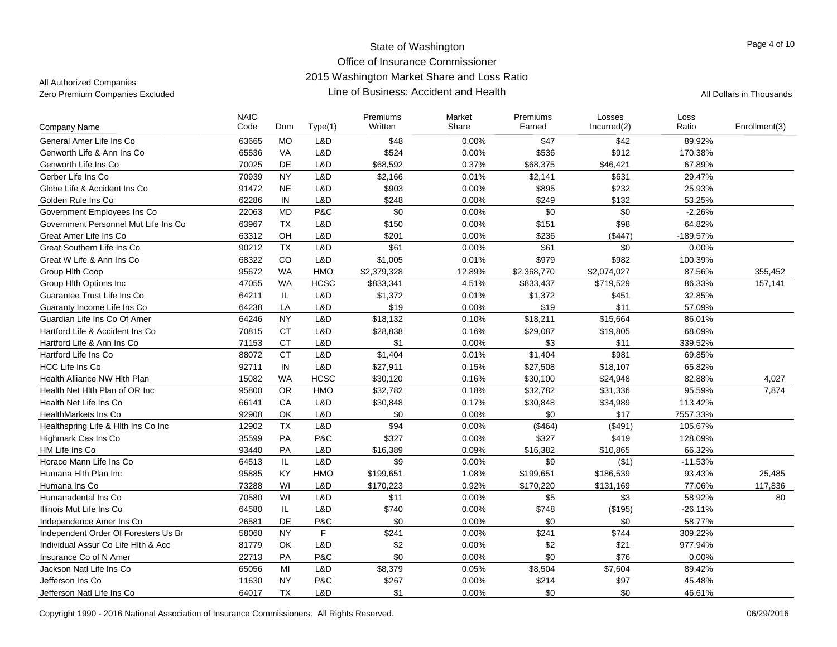| <b>Company Name</b>                  | <b>NAIC</b><br>Code | Dom       | Type(1)     | Premiums<br>Written | Market<br>Share | Premiums<br>Earned | Losses<br>Incurred(2) | Loss<br>Ratio | Enrollment(3) |
|--------------------------------------|---------------------|-----------|-------------|---------------------|-----------------|--------------------|-----------------------|---------------|---------------|
| General Amer Life Ins Co             | 63665               | <b>MO</b> | L&D         | \$48                | 0.00%           | \$47               | \$42                  | 89.92%        |               |
| Genworth Life & Ann Ins Co           | 65536               | VA        | L&D         | \$524               | 0.00%           | \$536              | \$912                 | 170.38%       |               |
| Genworth Life Ins Co                 | 70025               | DE        | L&D         | \$68,592            | 0.37%           | \$68,375           | \$46,421              | 67.89%        |               |
| Gerber Life Ins Co                   | 70939               | <b>NY</b> | L&D         | \$2,166             | 0.01%           | \$2,141            | \$631                 | 29.47%        |               |
| Globe Life & Accident Ins Co         | 91472               | <b>NE</b> | L&D         | \$903               | 0.00%           | \$895              | \$232                 | 25.93%        |               |
| Golden Rule Ins Co                   | 62286               | IN        | L&D         | \$248               | 0.00%           | \$249              | \$132                 | 53.25%        |               |
| Government Employees Ins Co          | 22063               | <b>MD</b> | P&C         | \$0                 | 0.00%           | \$0                | \$0                   | $-2.26%$      |               |
| Government Personnel Mut Life Ins Co | 63967               | <b>TX</b> | L&D         | \$150               | 0.00%           | \$151              | \$98                  | 64.82%        |               |
| Great Amer Life Ins Co               | 63312               | OH        | L&D         | \$201               | 0.00%           | \$236              | (\$447)               | $-189.57%$    |               |
| Great Southern Life Ins Co           | 90212               | <b>TX</b> | L&D         | \$61                | 0.00%           | \$61               | \$0                   | $0.00\%$      |               |
| Great W Life & Ann Ins Co.           | 68322               | CO        | L&D         | \$1,005             | 0.01%           | \$979              | \$982                 | 100.39%       |               |
| Group Hith Coop                      | 95672               | <b>WA</b> | <b>HMO</b>  | \$2,379,328         | 12.89%          | \$2,368,770        | \$2,074,027           | 87.56%        | 355,452       |
| Group Hlth Options Inc               | 47055               | <b>WA</b> | <b>HCSC</b> | \$833,341           | 4.51%           | \$833,437          | \$719,529             | 86.33%        | 157,141       |
| Guarantee Trust Life Ins Co          | 64211               | IL        | L&D         | \$1,372             | 0.01%           | \$1,372            | \$451                 | 32.85%        |               |
| Guaranty Income Life Ins Co          | 64238               | LA        | L&D         | \$19                | 0.00%           | \$19               | \$11                  | 57.09%        |               |
| Guardian Life Ins Co Of Amer         | 64246               | <b>NY</b> | L&D         | \$18,132            | 0.10%           | \$18,211           | \$15,664              | 86.01%        |               |
| Hartford Life & Accident Ins Co      | 70815               | <b>CT</b> | L&D         | \$28,838            | 0.16%           | \$29,087           | \$19,805              | 68.09%        |               |
| Hartford Life & Ann Ins Co           | 71153               | <b>CT</b> | L&D         | \$1                 | 0.00%           | \$3                | \$11                  | 339.52%       |               |
| Hartford Life Ins Co                 | 88072               | <b>CT</b> | L&D         | \$1,404             | 0.01%           | \$1,404            | \$981                 | 69.85%        |               |
| <b>HCC Life Ins Co</b>               | 92711               | IN        | L&D         | \$27,911            | 0.15%           | \$27,508           | \$18,107              | 65.82%        |               |
| Health Alliance NW Hlth Plan         | 15082               | <b>WA</b> | <b>HCSC</b> | \$30,120            | 0.16%           | \$30,100           | \$24,948              | 82.88%        | 4,027         |
| Health Net Hith Plan of OR Inc       | 95800               | <b>OR</b> | <b>HMO</b>  | \$32,782            | 0.18%           | \$32,782           | \$31,336              | 95.59%        | 7,874         |
| Health Net Life Ins Co               | 66141               | CA        | L&D         | \$30,848            | 0.17%           | \$30,848           | \$34,989              | 113.42%       |               |
| HealthMarkets Ins Co                 | 92908               | <b>OK</b> | L&D         | \$0                 | 0.00%           | \$0                | \$17                  | 7557.33%      |               |
| Healthspring Life & Hlth Ins Co Inc  | 12902               | <b>TX</b> | L&D         | \$94                | 0.00%           | (\$464)            | ( \$491)              | 105.67%       |               |
| Highmark Cas Ins Co                  | 35599               | PA        | P&C         | \$327               | 0.00%           | \$327              | \$419                 | 128.09%       |               |
| HM Life Ins Co                       | 93440               | PA        | L&D         | \$16,389            | 0.09%           | \$16,382           | \$10,865              | 66.32%        |               |
| Horace Mann Life Ins Co              | 64513               | IL        | L&D         | \$9                 | 0.00%           | \$9                | ( \$1)                | $-11.53%$     |               |
| Humana Hith Plan Inc                 | 95885               | KY        | HMO         | \$199,651           | 1.08%           | \$199,651          | \$186,539             | 93.43%        | 25,485        |
| Humana Ins Co                        | 73288               | WI        | L&D         | \$170,223           | 0.92%           | \$170,220          | \$131,169             | 77.06%        | 117,836       |
| Humanadental Ins Co.                 | 70580               | WI        | L&D         | \$11                | 0.00%           | \$5                | \$3                   | 58.92%        | 80            |
| Illinois Mut Life Ins Co             | 64580               | IL.       | L&D         | \$740               | 0.00%           | \$748              | (\$195)               | $-26.11%$     |               |
| Independence Amer Ins Co             | 26581               | DE        | P&C         | \$0                 | 0.00%           | \$0                | \$0                   | 58.77%        |               |
| Independent Order Of Foresters Us Br | 58068               | <b>NY</b> | $\mathsf F$ | \$241               | 0.00%           | \$241              | \$744                 | 309.22%       |               |
| Individual Assur Co Life Hlth & Acc  | 81779               | OK        | L&D         | \$2                 | 0.00%           | \$2                | \$21                  | 977.94%       |               |
| Insurance Co of N Amer               | 22713               | PA        | P&C         | \$0                 | 0.00%           | \$0                | \$76                  | $0.00\%$      |               |
| Jackson Natl Life Ins Co             | 65056               | MI        | L&D         | \$8,379             | 0.05%           | \$8,504            | \$7,604               | 89.42%        |               |
| Jefferson Ins Co                     | 11630               | <b>NY</b> | P&C         | \$267               | 0.00%           | \$214              | \$97                  | 45.48%        |               |
| Jefferson Natl Life Ins Co           | 64017               | <b>TX</b> | L&D         | \$1                 | 0.00%           | \$0                | \$0                   | 46.61%        |               |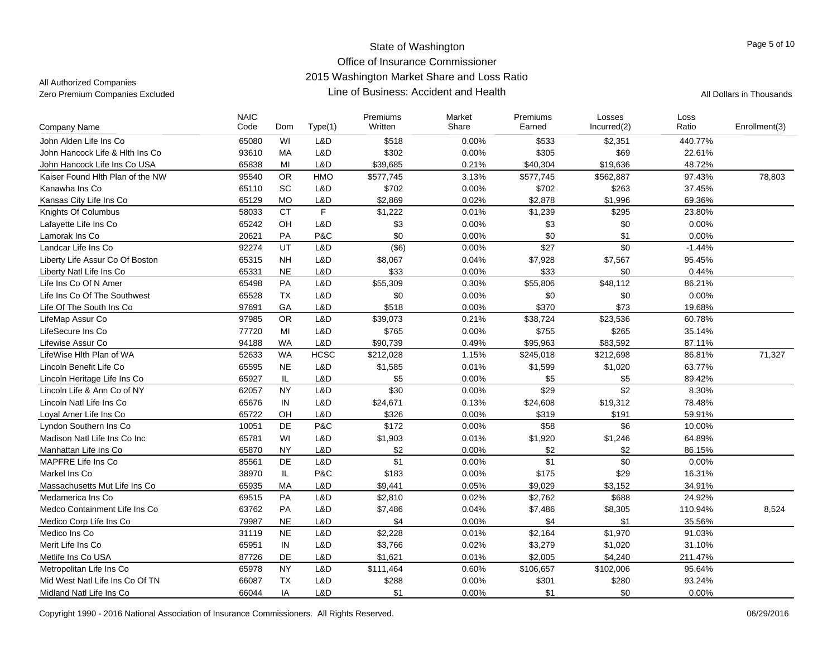| Company Name                     | <b>NAIC</b><br>Code | Dom       | Type(1)      | Premiums<br>Written | Market<br>Share | Premiums<br>Earned | Losses<br>Incurred(2) | Loss<br>Ratio | Enrollment(3) |
|----------------------------------|---------------------|-----------|--------------|---------------------|-----------------|--------------------|-----------------------|---------------|---------------|
| John Alden Life Ins Co           | 65080               | WI        | L&D          | \$518               | 0.00%           | \$533              | \$2,351               | 440.77%       |               |
| John Hancock Life & Hith Ins Co  | 93610               | <b>MA</b> | L&D          | \$302               | 0.00%           | \$305              | \$69                  | 22.61%        |               |
| John Hancock Life Ins Co USA     | 65838               | MI        | L&D          | \$39,685            | 0.21%           | \$40,304           | \$19,636              | 48.72%        |               |
| Kaiser Found Hlth Plan of the NW | 95540               | <b>OR</b> | HMO          | \$577,745           | 3.13%           | \$577,745          | \$562,887             | 97.43%        | 78,803        |
| Kanawha Ins Co                   | 65110               | SC        | \$702<br>L&D |                     | 0.00%           | \$702              | \$263                 | 37.45%        |               |
| Kansas City Life Ins Co          | 65129               | <b>MO</b> | L&D          | \$2,869             | 0.02%           | \$2,878            | \$1,996               | 69.36%        |               |
| Knights Of Columbus              | 58033               | <b>CT</b> | F            | \$1,222             | 0.01%           | \$1,239            | \$295                 | 23.80%        |               |
| Lafayette Life Ins Co            | 65242               | OH        | L&D          | \$3                 | 0.00%           | \$3                | \$0                   | 0.00%         |               |
| Lamorak Ins Co                   | 20621               | PA        | P&C          | \$0                 | 0.00%           | \$0                | \$1                   | 0.00%         |               |
| Landcar Life Ins Co              | 92274               | UT        | L&D          | (\$6)               | 0.00%           | \$27               | \$0                   | $-1.44%$      |               |
| Liberty Life Assur Co Of Boston  | 65315               | <b>NH</b> | L&D          | \$8,067             | 0.04%           | \$7,928            | \$7,567               | 95.45%        |               |
| Liberty Natl Life Ins Co         | 65331               | <b>NE</b> | L&D          | \$33                | 0.00%           | \$33               | \$0                   | 0.44%         |               |
| Life Ins Co Of N Amer            | 65498               | PA        | L&D          | \$55,309            | 0.30%           | \$55,806           | \$48,112              | 86.21%        |               |
| Life Ins Co Of The Southwest     | 65528               | <b>TX</b> | L&D          | \$0                 | 0.00%           | \$0                | \$0                   | 0.00%         |               |
| Life Of The South Ins Co         | 97691               | GA        | L&D          | \$518               | 0.00%           | \$370              | \$73                  | 19.68%        |               |
| LifeMap Assur Co                 | 97985               | <b>OR</b> | L&D          | \$39,073            | 0.21%           | \$38,724           | \$23,536              | 60.78%        |               |
| LifeSecure Ins Co                | 77720               | MI        | L&D          | \$765               | 0.00%           | \$755              | \$265                 | 35.14%        |               |
| Lifewise Assur Co                | 94188               | <b>WA</b> | L&D          | \$90,739            | 0.49%           | \$95,963           | \$83,592              | 87.11%        |               |
| LifeWise Hlth Plan of WA         | 52633               | <b>WA</b> | <b>HCSC</b>  | \$212,028           | 1.15%           | \$245,018          | \$212,698             | 86.81%        | 71,327        |
| Lincoln Benefit Life Co          | 65595               | <b>NE</b> | L&D          | \$1,585             | 0.01%           | \$1,599            | \$1,020               | 63.77%        |               |
| Lincoln Heritage Life Ins Co     | 65927               | IL        | L&D          | \$5                 | 0.00%           | \$5                | \$5                   | 89.42%        |               |
| Lincoln Life & Ann Co of NY      | 62057               | <b>NY</b> | L&D          | \$30                | 0.00%           | \$29               | \$2                   | 8.30%         |               |
| Lincoln Natl Life Ins Co         | 65676               | IN        | L&D          | \$24,671            | 0.13%           | \$24,608           | \$19,312              | 78.48%        |               |
| Loyal Amer Life Ins Co           | 65722               | OH        | L&D          | \$326               | 0.00%           | \$319              | \$191                 | 59.91%        |               |
| Lyndon Southern Ins Co           | 10051               | DE        | P&C          | \$172               | 0.00%           | \$58               | \$6                   | 10.00%        |               |
| Madison Natl Life Ins Co Inc     | 65781               | WI        | L&D          | \$1,903             | 0.01%           | \$1,920            | \$1,246               | 64.89%        |               |
| Manhattan Life Ins Co            | 65870               | <b>NY</b> | L&D          | \$2                 | 0.00%           | \$2                | \$2                   | 86.15%        |               |
| MAPFRE Life Ins Co               | 85561               | DE        | L&D          | \$1                 | 0.00%           | \$1                | \$0                   | 0.00%         |               |
| Markel Ins Co                    | 38970               | IL.       | P&C          | \$183               | 0.00%           | \$175              | \$29                  | 16.31%        |               |
| Massachusetts Mut Life Ins Co    | 65935               | MA        | L&D          | \$9,441             | 0.05%           | \$9,029            | \$3,152               | 34.91%        |               |
| Medamerica Ins Co                | 69515               | PA        | L&D          | \$2,810             | 0.02%           | \$2,762            | \$688                 | 24.92%        |               |
| Medco Containment Life Ins Co    | 63762               | PA        | L&D          | \$7,486             | 0.04%           | \$7,486            | \$8,305               | 110.94%       | 8,524         |
| Medico Corp Life Ins Co          | 79987               | <b>NE</b> | L&D          | \$4                 | 0.00%           | \$4                | \$1                   | 35.56%        |               |
| Medico Ins Co                    | 31119               | <b>NE</b> | L&D          | \$2,228             | 0.01%           | \$2,164            | \$1,970               | 91.03%        |               |
| Merit Life Ins Co                | 65951               | IN        | L&D          | \$3,766             | 0.02%           | \$3,279            | \$1,020               | 31.10%        |               |
| Metlife Ins Co USA               | 87726               | <b>DE</b> | L&D          | \$1,621             | 0.01%           | \$2,005            | \$4,240               | 211.47%       |               |
| Metropolitan Life Ins Co         | 65978               | <b>NY</b> | L&D          | \$111,464           | 0.60%           | \$106,657          | \$102,006             | 95.64%        |               |
| Mid West Natl Life Ins Co Of TN  | 66087               | <b>TX</b> | L&D          | \$288               | 0.00%           | \$301              | \$280                 | 93.24%        |               |
| Midland Natl Life Ins Co         | 66044               | IA        | L&D          | \$1                 | 0.00%           | \$1                | \$0                   | 0.00%         |               |
|                                  |                     |           |              |                     |                 |                    |                       |               |               |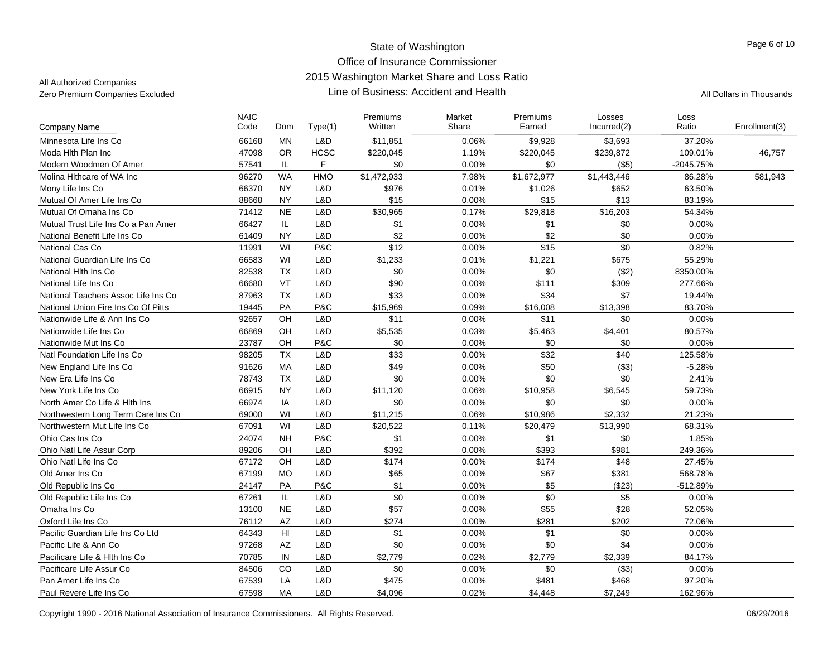| <b>Company Name</b>                 | <b>NAIC</b><br>Code | Dom            | Type(1)     | Premiums<br>Written | Market<br>Share | Premiums<br>Earned | Losses<br>Incurred(2) | Loss<br>Ratio | Enrollment(3) |
|-------------------------------------|---------------------|----------------|-------------|---------------------|-----------------|--------------------|-----------------------|---------------|---------------|
| Minnesota Life Ins Co               | 66168               | <b>MN</b>      | L&D         | \$11,851            | 0.06%           | \$9,928            | \$3,693               | 37.20%        |               |
| Moda Hith Plan Inc                  | 47098               | <b>OR</b>      | <b>HCSC</b> | \$220,045           | 1.19%           | \$220,045          | \$239,872             | 109.01%       | 46,757        |
| Modern Woodmen Of Amer              | 57541               | IL             | F           | \$0                 | 0.00%           | \$0                | $($ \$5)              | $-2045.75%$   |               |
| Molina Hithcare of WA Inc.          | 96270               | <b>WA</b>      | <b>HMO</b>  | \$1,472,933         | 7.98%           | \$1,672,977        | \$1,443,446           | 86.28%        | 581,943       |
| Mony Life Ins Co                    | 66370               | <b>NY</b>      | L&D         | \$976               | 0.01%           | \$1,026            | \$652                 | 63.50%        |               |
| Mutual Of Amer Life Ins Co          | 88668               | <b>NY</b>      | L&D         | \$15                | 0.00%           | \$15               | \$13                  | 83.19%        |               |
| Mutual Of Omaha Ins Co              | 71412               | <b>NE</b>      | L&D         | \$30,965            | 0.17%           | \$29,818           | \$16,203              | 54.34%        |               |
| Mutual Trust Life Ins Co a Pan Amer | 66427               | IL.            | L&D         | \$1                 | 0.00%           | \$1                | \$0                   | 0.00%         |               |
| National Benefit Life Ins Co        | 61409               | <b>NY</b>      | L&D         | \$2                 | 0.00%           | \$2                | \$0                   | 0.00%         |               |
| National Cas Co                     | 11991               | WI             | P&C         | \$12                | 0.00%           | \$15               | \$0                   | 0.82%         |               |
| National Guardian Life Ins Co       | 66583               | WI             | L&D         | \$1,233             | 0.01%           | \$1,221            | \$675                 | 55.29%        |               |
| National Hith Ins Co                | 82538               | <b>TX</b>      | L&D         | \$0                 | 0.00%           | \$0                | ( \$2)                | 8350.00%      |               |
| National Life Ins Co                | 66680               | VT             | L&D         | \$90                | 0.00%           | \$111              | \$309                 | 277.66%       |               |
| National Teachers Assoc Life Ins Co | 87963               | <b>TX</b>      | L&D         | \$33                | 0.00%           | \$34               | \$7                   | 19.44%        |               |
| National Union Fire Ins Co Of Pitts | 19445               | PA             | P&C         | \$15,969            | 0.09%           | \$16,008           | \$13,398              | 83.70%        |               |
| Nationwide Life & Ann Ins Co        | 92657               | OH             | L&D         | \$11                | 0.00%           | \$11               | \$0                   | 0.00%         |               |
| Nationwide Life Ins Co              | 66869               | OH             | L&D         | \$5,535             | 0.03%           | \$5,463            | \$4,401               | 80.57%        |               |
| Nationwide Mut Ins Co               | 23787               | OH             | P&C         | \$0                 | 0.00%           | \$0                | \$0                   | 0.00%         |               |
| Natl Foundation Life Ins Co         | 98205               | <b>TX</b>      | L&D         | \$33                | 0.00%           | \$32               | \$40                  | 125.58%       |               |
| New England Life Ins Co             | 91626               | MA             | L&D         | \$49                | 0.00%           | \$50               | (\$3)                 | $-5.28%$      |               |
| New Era Life Ins Co                 | 78743               | <b>TX</b>      | L&D         | \$0                 | 0.00%           | \$0                | \$0                   | 2.41%         |               |
| New York Life Ins Co                | 66915               | <b>NY</b>      | L&D         | \$11,120            | 0.06%           | \$10,958           | \$6,545               | 59.73%        |               |
| North Amer Co Life & Hith Ins       | 66974               | IA             | L&D         | \$0                 | 0.00%           | \$0                | \$0                   | 0.00%         |               |
| Northwestern Long Term Care Ins Co  | 69000               | WI             | L&D         | \$11,215            | 0.06%           | \$10,986           | \$2,332               | 21.23%        |               |
| Northwestern Mut Life Ins Co        | 67091               | WI             | L&D         | \$20,522            | 0.11%           | \$20,479           | \$13,990              | 68.31%        |               |
| Ohio Cas Ins Co                     | 24074               | <b>NH</b>      | P&C         | \$1                 | 0.00%           | \$1                | \$0                   | 1.85%         |               |
| Ohio Natl Life Assur Corp           | 89206               | OH             | L&D         | \$392               | 0.00%           | \$393              | \$981                 | 249.36%       |               |
| Ohio Natl Life Ins Co               | 67172               | OH             | L&D         | \$174               | 0.00%           | \$174              | \$48                  | 27.45%        |               |
| Old Amer Ins Co                     | 67199               | <b>MO</b>      | L&D         | \$65                | 0.00%           | \$67               | \$381                 | 568.78%       |               |
| Old Republic Ins Co.                | 24147               | PA             | P&C         | \$1                 | 0.00%           | \$5                | (\$23)                | -512.89%      |               |
| Old Republic Life Ins Co            | 67261               | IL             | L&D         | \$0                 | 0.00%           | \$0                | \$5                   | 0.00%         |               |
| Omaha Ins Co                        | 13100               | <b>NE</b>      | L&D         | \$57                | 0.00%           | \$55               | \$28                  | 52.05%        |               |
| Oxford Life Ins Co                  | 76112               | <b>AZ</b>      | L&D         | \$274               | 0.00%           | \$281              | \$202                 | 72.06%        |               |
| Pacific Guardian Life Ins Co Ltd    | 64343               | H <sub>l</sub> | L&D         | \$1                 | 0.00%           | \$1                | \$0                   | 0.00%         |               |
| Pacific Life & Ann Co               | 97268               | AZ             | L&D         | \$0                 | 0.00%           | \$0                | \$4                   | 0.00%         |               |
| Pacificare Life & Hith Ins Co       | 70785               | IN             | L&D         | \$2,779             | 0.02%           | \$2,779            | \$2,339               | 84.17%        |               |
| Pacificare Life Assur Co            | 84506               | CO             | L&D         | \$0                 | 0.00%           | \$0                | (\$3)                 | 0.00%         |               |
| Pan Amer Life Ins Co                | 67539               | LA             | L&D         | \$475               | 0.00%           | \$481              | \$468                 | 97.20%        |               |
| Paul Revere Life Ins Co             | 67598               | МA             | L&D         | \$4,096             | 0.02%           | \$4,448            | \$7,249               | 162.96%       |               |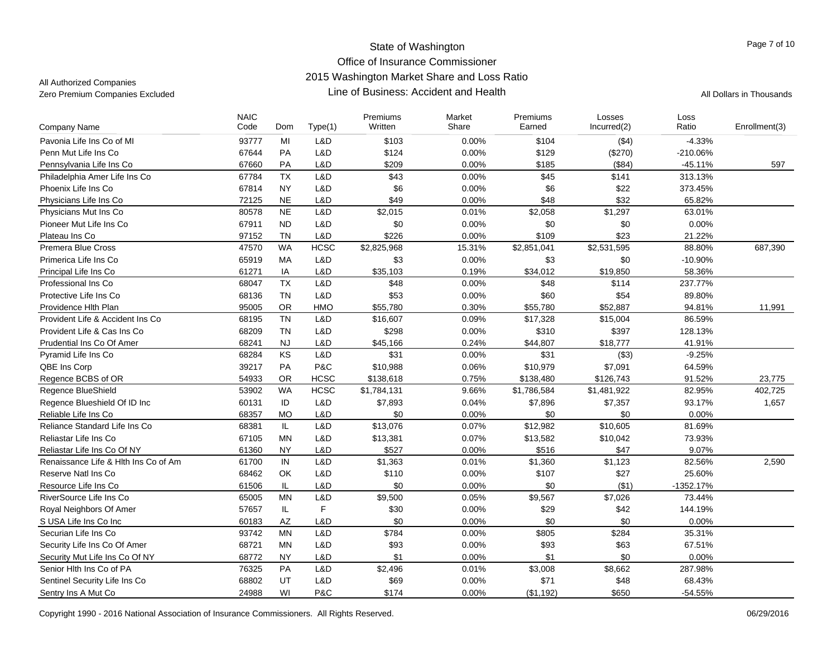| Company Name                         | <b>NAIC</b><br>Code | Dom           | Type(1)     | Premiums<br>Written | Market<br>Share | Premiums<br>Earned | Losses<br>Incurred(2) | Loss<br>Ratio | Enrollment(3) |
|--------------------------------------|---------------------|---------------|-------------|---------------------|-----------------|--------------------|-----------------------|---------------|---------------|
| Pavonia Life Ins Co of MI            | 93777               | MI            | L&D         | \$103               | 0.00%           | \$104              | ( \$4)                | $-4.33%$      |               |
| Penn Mut Life Ins Co                 | 67644               | <b>PA</b>     | L&D         | \$124               | 0.00%           | \$129              | (\$270)               | -210.06%      |               |
| Pennsylvania Life Ins Co             | 67660               | PA            | L&D         | \$209               | 0.00%           | \$185              | (\$84)                | $-45.11%$     | 597           |
| Philadelphia Amer Life Ins Co        | 67784               | <b>TX</b>     | L&D         | \$43                | 0.00%           | \$45               | \$141                 | 313.13%       |               |
| Phoenix Life Ins Co                  | 67814               | <b>NY</b>     | L&D         | \$6                 | 0.00%           | \$6                | \$22                  | 373.45%       |               |
| Physicians Life Ins Co               | 72125               | <b>NE</b>     | L&D         | \$49                | 0.00%           | \$48               | \$32                  | 65.82%        |               |
| Physicians Mut Ins Co                | 80578               | <b>NE</b>     | L&D         | \$2,015             | 0.01%           | \$2,058            | \$1,297               | 63.01%        |               |
| Pioneer Mut Life Ins Co              | 67911               | <b>ND</b>     | L&D         | \$0                 | 0.00%           | \$0                | \$0                   | 0.00%         |               |
| Plateau Ins Co                       | 97152               | <b>TN</b>     | L&D         | \$226               | 0.00%           | \$109              | \$23                  | 21.22%        |               |
| <b>Premera Blue Cross</b>            | 47570               | WA            | <b>HCSC</b> | \$2,825,968         | 15.31%          | \$2,851,041        | \$2,531,595           | 88.80%        | 687,390       |
| Primerica Life Ins Co                | 65919               | MA            | L&D         | \$3                 | 0.00%           | \$3                | \$0                   | $-10.90%$     |               |
| Principal Life Ins Co                | 61271               | IA            | L&D         | \$35,103            | 0.19%           | \$34,012           | \$19,850              | 58.36%        |               |
| Professional Ins Co                  | 68047               | <b>TX</b>     | L&D         | \$48                | 0.00%           | \$48               | \$114                 | 237.77%       |               |
| Protective Life Ins Co               | 68136               | <b>TN</b>     | L&D         | \$53                | 0.00%           | \$60               | \$54                  | 89.80%        |               |
| Providence Hith Plan                 | 95005               | <b>OR</b>     | <b>HMO</b>  | \$55,780            | 0.30%           | \$55,780           | \$52,887              | 94.81%        | 11,991        |
| Provident Life & Accident Ins Co     | 68195               | <b>TN</b>     | L&D         | \$16,607            | 0.09%           | \$17,328           | \$15,004              | 86.59%        |               |
| Provident Life & Cas Ins Co          | 68209               | <b>TN</b>     | L&D         | \$298               | 0.00%           | \$310              | \$397                 | 128.13%       |               |
| Prudential Ins Co Of Amer            | 68241               | <b>NJ</b>     | L&D         | \$45,166            | 0.24%           | \$44,807           | \$18,777              | 41.91%        |               |
| Pyramid Life Ins Co                  | 68284               | KS            | L&D         | \$31                | 0.00%           | \$31               | (\$3)                 | $-9.25%$      |               |
| QBE Ins Corp                         | 39217               | <b>PA</b>     | P&C         | \$10,988            | 0.06%           | \$10,979           | \$7,091               | 64.59%        |               |
| Regence BCBS of OR                   | 54933               | <b>OR</b>     | <b>HCSC</b> | \$138,618           | 0.75%           | \$138,480          | \$126,743             | 91.52%        | 23,775        |
| Regence BlueShield                   | 53902               | <b>WA</b>     | <b>HCSC</b> | \$1,784,131         | 9.66%           | \$1,786,584        | \$1,481,922           | 82.95%        | 402,725       |
| Regence Blueshield Of ID Inc         | 60131               | ID            | L&D         | \$7,893             | 0.04%           | \$7,896            | \$7,357               | 93.17%        | 1,657         |
| Reliable Life Ins Co                 | 68357               | <b>MO</b>     | L&D         | \$0                 | 0.00%           | \$0                | \$0                   | 0.00%         |               |
| Reliance Standard Life Ins Co        | 68381               | IL            | L&D         | \$13,076            | 0.07%           | \$12,982           | \$10,605              | 81.69%        |               |
| Reliastar Life Ins Co                | 67105               | MN            | L&D         | \$13,381            | 0.07%           | \$13,582           | \$10,042              | 73.93%        |               |
| Reliastar Life Ins Co Of NY          | 61360               | <b>NY</b>     | L&D         | \$527               | 0.00%           | \$516              | \$47                  | 9.07%         |               |
| Renaissance Life & Hith Ins Co of Am | 61700               | IN            | L&D         | \$1,363             | 0.01%           | \$1,360            | \$1,123               | 82.56%        | 2,590         |
| Reserve Natl Ins Co.                 | 68462               | OK            | L&D         | \$110               | 0.00%           | \$107              | \$27                  | 25.60%        |               |
| Resource Life Ins Co                 | 61506               | IL.           | L&D         | \$0                 | 0.00%           | \$0                | (\$1)                 | $-1352.17%$   |               |
| RiverSource Life Ins Co              | 65005               | <b>MN</b>     | L&D         | \$9,500             | 0.05%           | \$9,567            | \$7,026               | 73.44%        |               |
| Royal Neighbors Of Amer              | 57657               | $\mathsf{IL}$ | F           | \$30                | 0.00%           | \$29               | \$42                  | 144.19%       |               |
| S USA Life Ins Co Inc                | 60183               | AZ            | L&D         | \$0                 | 0.00%           | \$0                | \$0                   | 0.00%         |               |
| Securian Life Ins Co                 | 93742               | <b>MN</b>     | L&D         | \$784               | 0.00%           | \$805              | \$284                 | 35.31%        |               |
| Security Life Ins Co Of Amer         | 68721               | MN            | L&D         | \$93                | 0.00%           | \$93               | \$63                  | 67.51%        |               |
| Security Mut Life Ins Co Of NY       | 68772               | <b>NY</b>     | L&D         | \$1                 | 0.00%           | \$1                | \$0                   | 0.00%         |               |
| Senior Hith Ins Co of PA             | 76325               | <b>PA</b>     | L&D         | \$2,496             | 0.01%           | \$3,008            | \$8,662               | 287.98%       |               |
| Sentinel Security Life Ins Co        | 68802               | UT            | L&D         | \$69                | 0.00%           | \$71               | \$48                  | 68.43%        |               |
| Sentry Ins A Mut Co                  | 24988               | WI            | P&C         | \$174               | 0.00%           | (\$1,192)          | \$650                 | $-54.55%$     |               |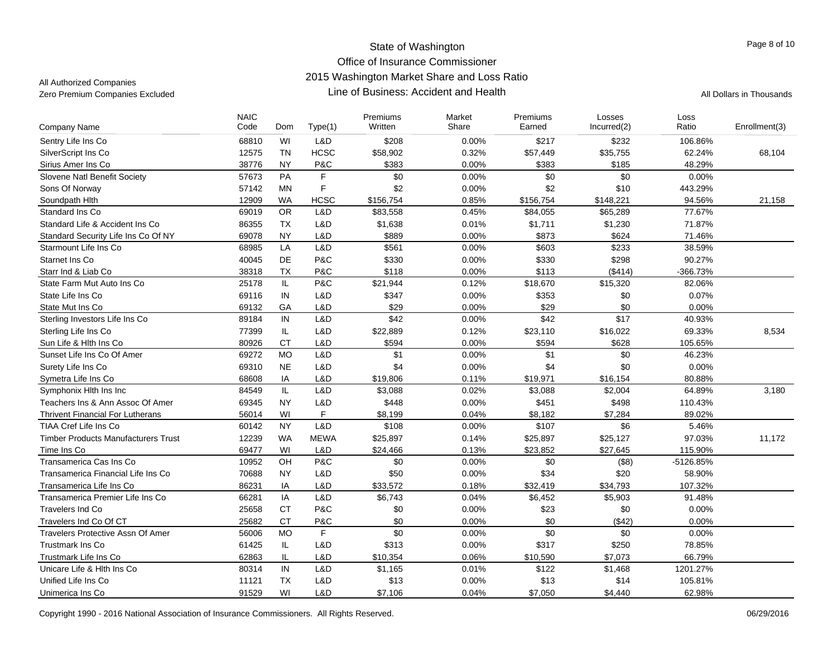| <b>Company Name</b>                        | <b>NAIC</b><br>Code | Dom           | Type(1)      | Premiums<br>Written | Market<br>Share | Premiums<br>Earned | Losses<br>Incurred(2) | Loss<br>Ratio | Enrollment(3) |
|--------------------------------------------|---------------------|---------------|--------------|---------------------|-----------------|--------------------|-----------------------|---------------|---------------|
| Sentry Life Ins Co                         | 68810               | WI            | L&D          | \$208               | 0.00%           | \$217              | \$232                 | 106.86%       |               |
| SilverScript Ins Co                        | 12575               | <b>TN</b>     | <b>HCSC</b>  | \$58,902            | 0.32%           | \$57,449           | \$35,755              | 62.24%        | 68,104        |
| Sirius Amer Ins Co                         | 38776               | <b>NY</b>     | P&C          | \$383               | 0.00%           | \$383              | \$185                 | 48.29%        |               |
| Slovene Natl Benefit Society               | 57673               | <b>PA</b>     | F            | \$0                 | 0.00%           | \$0                | \$0                   | 0.00%         |               |
| Sons Of Norway                             | 57142               | <b>MN</b>     | F            | \$2                 | 0.00%           | \$2                | \$10                  | 443.29%       |               |
| Soundpath Hith                             | 12909               | <b>WA</b>     | <b>HCSC</b>  | \$156,754           | 0.85%           | \$156,754          | \$148,221             | 94.56%        | 21,158        |
| Standard Ins Co                            | 69019               | <b>OR</b>     | L&D          | \$83,558            | 0.45%           | \$84,055           | \$65,289              | 77.67%        |               |
| Standard Life & Accident Ins Co            | 86355               | TX            | L&D          | \$1,638             | 0.01%           | \$1,711            | \$1,230               | 71.87%        |               |
| Standard Security Life Ins Co Of NY        | 69078               | <b>NY</b>     | L&D          | \$889               | 0.00%           | \$873              | \$624                 | 71.46%        |               |
| Starmount Life Ins Co                      | 68985               | LA            | L&D          | \$561               | 0.00%           | \$603              | \$233                 | 38.59%        |               |
| Starnet Ins Co                             | 40045               | DE            | P&C          | \$330               | 0.00%           | \$330              | \$298                 | 90.27%        |               |
| Starr Ind & Liab Co                        | 38318               | <b>TX</b>     | P&C          | \$118               | 0.00%           | \$113              | ( \$414)              | -366.73%      |               |
| State Farm Mut Auto Ins Co                 | 25178               | IL.           | P&C          | \$21,944            | 0.12%           | \$18,670           | \$15,320              | 82.06%        |               |
| State Life Ins Co                          | 69116               | IN            | L&D          | \$347               | 0.00%           | \$353              | \$0                   | 0.07%         |               |
| State Mut Ins Co                           | 69132               | GA            | L&D          | \$29                | 0.00%           | \$29               | \$0                   | 0.00%         |               |
| Sterling Investors Life Ins Co             | 89184               | IN            | L&D          | \$42                | 0.00%           | \$42               | \$17                  | 40.93%        |               |
| Sterling Life Ins Co                       | 77399               | IL            | L&D          | \$22,889            | 0.12%           | \$23,110           | \$16,022              | 69.33%        | 8,534         |
| Sun Life & Hith Ins Co                     | 80926               | <b>CT</b>     | L&D          | \$594               | 0.00%           | \$594              | \$628                 | 105.65%       |               |
| Sunset Life Ins Co Of Amer                 | 69272               | <b>MO</b>     | L&D          | \$1                 | 0.00%           | \$1                | \$0                   | 46.23%        |               |
| Surety Life Ins Co                         | 69310               | <b>NE</b>     | L&D          | \$4                 | 0.00%           | \$4                | \$0                   | 0.00%         |               |
| Symetra Life Ins Co                        | 68608               | IA            | L&D          | \$19,806            | 0.11%           | \$19,971           | \$16,154              | 80.88%        |               |
| Symphonix Hith Ins Inc                     | 84549               | $\mathsf{IL}$ | L&D          | \$3,088             | 0.02%           | \$3,088            | \$2,004               | 64.89%        | 3,180         |
| Teachers Ins & Ann Assoc Of Amer           | 69345               | <b>NY</b>     | L&D          | \$448               | 0.00%           | \$451              | \$498                 | 110.43%       |               |
| <b>Thrivent Financial For Lutherans</b>    | 56014               | WI            | $\mathsf{F}$ | \$8,199             | 0.04%           | \$8,182            | \$7,284               | 89.02%        |               |
| TIAA Cref Life Ins Co                      | 60142               | <b>NY</b>     | L&D          | \$108               | 0.00%           | \$107              | \$6                   | 5.46%         |               |
| <b>Timber Products Manufacturers Trust</b> | 12239               | <b>WA</b>     | <b>MEWA</b>  | \$25,897            | 0.14%           | \$25,897           | \$25,127              | 97.03%        | 11,172        |
| Time Ins Co                                | 69477               | WI            | L&D          | \$24,466            | 0.13%           | \$23,852           | \$27,645              | 115.90%       |               |
| Transamerica Cas Ins Co                    | 10952               | OH            | P&C          | \$0                 | 0.00%           | \$0                | (\$8)                 | -5126.85%     |               |
| Transamerica Financial Life Ins Co         | 70688               | <b>NY</b>     | L&D          | \$50                | 0.00%           | \$34               | \$20                  | 58.90%        |               |
| Transamerica Life Ins Co                   | 86231               | IA            | L&D          | \$33,572            | 0.18%           | \$32,419           | \$34,793              | 107.32%       |               |
| Transamerica Premier Life Ins Co           | 66281               | IA            | L&D          | \$6,743             | 0.04%           | \$6,452            | \$5,903               | 91.48%        |               |
| Travelers Ind Co                           | 25658               | <b>CT</b>     | P&C          | \$0                 | 0.00%           | \$23               | \$0                   | 0.00%         |               |
| Travelers Ind Co Of CT                     | 25682               | <b>CT</b>     | P&C          | \$0                 | 0.00%           | \$0                | (\$42)                | 0.00%         |               |
| <b>Travelers Protective Assn Of Amer</b>   | 56006               | <b>MO</b>     | $\mathsf{F}$ | \$0                 | 0.00%           | \$0                | \$0                   | 0.00%         |               |
| <b>Trustmark Ins Co</b>                    | 61425               | IL            | L&D          | \$313               | 0.00%           | \$317              | \$250                 | 78.85%        |               |
| Trustmark Life Ins Co                      | 62863               | IL            | L&D          | \$10,354            | 0.06%           | \$10,590           | \$7,073               | 66.79%        |               |
| Unicare Life & Hith Ins Co.                | 80314               | $\sf IN$      | L&D          | \$1,165             | 0.01%           | \$122              | \$1,468               | 1201.27%      |               |
| Unified Life Ins Co                        | 11121               | <b>TX</b>     | L&D          | \$13                | 0.00%           | \$13               | \$14                  | 105.81%       |               |
| Unimerica Ins Co                           | 91529               | WI            | L&D          | \$7,106             | 0.04%           | \$7,050            | \$4,440               | 62.98%        |               |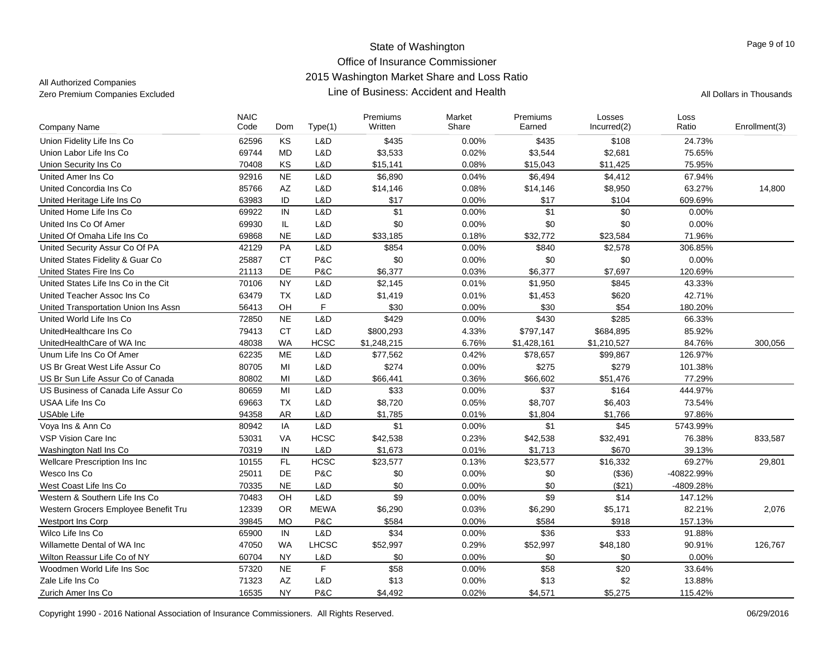| Code<br>Written<br>Share<br>Earned<br>Ratio<br>Dom<br>Type(1)<br>Incurred(2)<br>Company Name                          | Enrollment(3)     |
|-----------------------------------------------------------------------------------------------------------------------|-------------------|
| KS<br>Union Fidelity Life Ins Co<br>62596<br>L&D<br>\$435<br>0.00%<br>\$435<br>\$108                                  | 24.73%            |
| 69744<br><b>MD</b><br>L&D<br>\$3,533<br>0.02%<br>\$3,544<br>Union Labor Life Ins Co<br>\$2,681                        | 75.65%            |
| KS<br>0.08%<br>Union Security Ins Co<br>70408<br>L&D<br>\$15,141<br>\$15,043<br>\$11,425                              | 75.95%            |
| 92916<br><b>NE</b><br>L&D<br>\$6,890<br>0.04%<br>\$6,494<br>\$4,412<br>United Amer Ins Co.                            | 67.94%            |
| AZ<br>L&D<br>United Concordia Ins Co<br>85766<br>\$14,146<br>0.08%<br>\$14,146<br>\$8,950                             | 63.27%<br>14,800  |
| ID<br>63983<br>L&D<br>\$17<br>0.00%<br>\$17<br>\$104<br>United Heritage Life Ins Co                                   | 609.69%           |
| IN<br>\$1<br>\$1<br>\$0<br>L&D<br>United Home Life Ins Co<br>69922<br>0.00%                                           | 0.00%             |
| IL.<br>L&D<br>\$0<br>\$0<br>United Ins Co Of Amer<br>69930<br>0.00%<br>\$0                                            | 0.00%             |
| <b>NE</b><br>69868<br>L&D<br>\$33,185<br>0.18%<br>\$32,772<br>United Of Omaha Life Ins Co<br>\$23,584                 | 71.96%            |
| PA<br>United Security Assur Co Of PA<br>42129<br>L&D<br>\$854<br>0.00%<br>\$840<br>\$2,578                            | 306.85%           |
| <b>CT</b><br>United States Fidelity & Guar Co<br>25887<br>P&C<br>\$0<br>0.00%<br>\$0<br>\$0                           | 0.00%             |
| DE<br>P&C<br>\$7,697<br>United States Fire Ins Co<br>21113<br>\$6,377<br>0.03%<br>\$6,377                             | 120.69%           |
| <b>NY</b><br>United States Life Ins Co in the Cit<br>70106<br>L&D<br>\$2,145<br>0.01%<br>\$1,950<br>\$845             | 43.33%            |
| <b>TX</b><br>63479<br>L&D<br>\$1,419<br>0.01%<br>\$620<br>United Teacher Assoc Ins Co<br>\$1,453                      | 42.71%            |
| F<br>OH<br>\$30<br>56413<br>\$30<br>0.00%<br>\$54<br>United Transportation Union Ins Assn                             | 180.20%           |
| L&D<br>\$429<br>\$430<br>\$285<br>72850<br><b>NE</b><br>0.00%<br>United World Life Ins Co                             | 66.33%            |
| <b>CT</b><br>UnitedHealthcare Ins Co<br>79413<br>L&D<br>\$800,293<br>4.33%<br>\$797,147<br>\$684,895                  | 85.92%            |
| <b>WA</b><br><b>HCSC</b><br>6.76%<br>48038<br>\$1,248,215<br>\$1,428,161<br>UnitedHealthCare of WA Inc<br>\$1,210,527 | 84.76%<br>300,056 |
| <b>ME</b><br>L&D<br>0.42%<br>Unum Life Ins Co Of Amer<br>62235<br>\$77,562<br>\$78,657<br>\$99,867                    | 126.97%           |
| US Br Great West Life Assur Co<br>80705<br>MI<br>L&D<br>\$274<br>0.00%<br>\$275<br>\$279                              | 101.38%           |
| \$51,476<br>US Br Sun Life Assur Co of Canada<br>80802<br>MI<br>L&D<br>\$66,441<br>0.36%<br>\$66,602                  | 77.29%            |
| US Business of Canada Life Assur Co<br>80659<br>MI<br>L&D<br>\$33<br>0.00%<br>\$37<br>\$164                           | 444.97%           |
| <b>TX</b><br>L&D<br>USAA Life Ins Co<br>69663<br>\$8,720<br>0.05%<br>\$8,707<br>\$6,403                               | 73.54%            |
| <b>AR</b><br>L&D<br>\$1,785<br>\$1,804<br><b>USAble Life</b><br>94358<br>0.01%<br>\$1,766                             | 97.86%            |
| L&D<br>\$1<br>\$1<br>80942<br>IA<br>0.00%<br>\$45<br>Voya Ins & Ann Co                                                | 5743.99%          |
| <b>HCSC</b><br>\$42,538<br>0.23%<br><b>VSP Vision Care Inc</b><br>53031<br><b>VA</b><br>\$42,538<br>\$32,491          | 76.38%<br>833,587 |
| IN<br>L&D<br>0.01%<br>\$1,713<br>\$670<br>Washington Natl Ins Co.<br>70319<br>\$1,673                                 | 39.13%            |
| FL.<br><b>HCSC</b><br>Wellcare Prescription Ins Inc<br>10155<br>\$23,577<br>0.13%<br>\$23,577<br>\$16,332             | 69.27%<br>29,801  |
| DE<br>P&C<br>Wesco Ins Co<br>25011<br>\$0<br>0.00%<br>\$0<br>(\$36)<br>-40822.99%                                     |                   |
| <b>NE</b><br>L&D<br>\$0<br>0.00%<br>\$0<br>70335<br>(\$21)<br>-4809.28%<br>West Coast Life Ins Co                     |                   |
| \$9<br>\$9<br>OH<br>L&D<br>\$14<br>Western & Southern Life Ins Co<br>70483<br>0.00%                                   | 147.12%           |
| 12339<br><b>OR</b><br><b>MEWA</b><br>0.03%<br>\$5,171<br>Western Grocers Employee Benefit Tru<br>\$6,290<br>\$6,290   | 82.21%<br>2,076   |
| <b>MO</b><br>P&C<br>\$584<br>\$584<br>Westport Ins Corp<br>39845<br>0.00%<br>\$918                                    | 157.13%           |
| L&D<br>IN<br>\$34<br>\$36<br>\$33<br>Wilco Life Ins Co<br>65900<br>0.00%                                              | 91.88%            |
| <b>WA</b><br><b>LHCSC</b><br>Willamette Dental of WA Inc<br>47050<br>\$52,997<br>0.29%<br>\$52,997<br>\$48,180        | 90.91%<br>126,767 |
| \$0<br>0.00%<br>\$0<br>60704<br><b>NY</b><br>L&D<br>\$0<br>Wilton Reassur Life Co of NY                               | 0.00%             |
| F<br><b>NE</b><br>\$58<br>\$58<br>\$20<br>Woodmen World Life Ins Soc<br>57320<br>0.00%                                | 33.64%            |
| AZ<br>Zale Life Ins Co<br>71323<br>L&D<br>\$13<br>0.00%<br>\$13<br>\$2                                                | 13.88%            |
| 16535<br><b>NY</b><br>P&C<br>0.02%<br>Zurich Amer Ins Co<br>\$4,492<br>\$4,571<br>\$5,275                             | 115.42%           |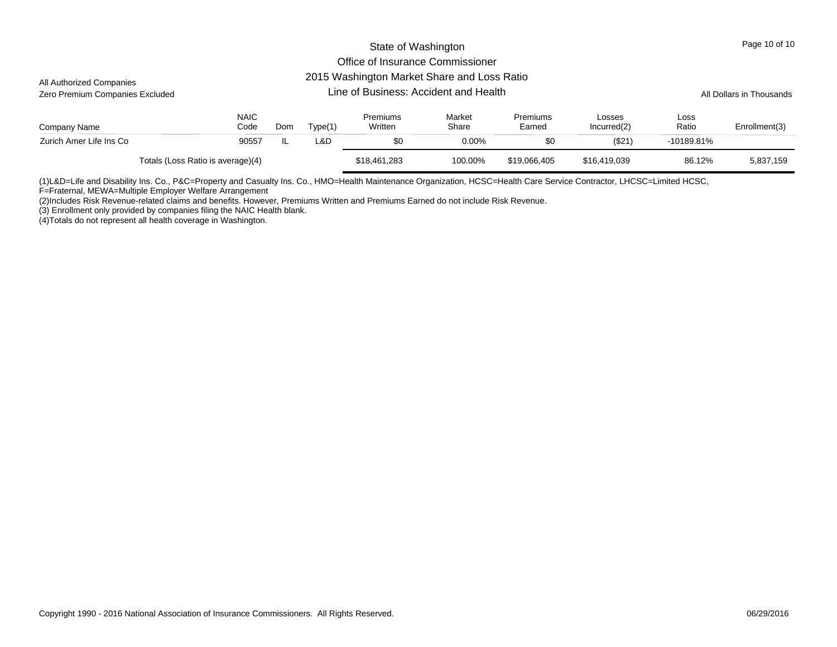#### 2015 Washington Market Share and Loss Ratio

| All Authorized Companies<br>Zero Premium Companies Excluded |                     | Lo To Washington Mantot Onaro and Loss Ratio<br>Line of Business: Accident and Health |         |                     |                 |                    |                       |               |               |  |  |
|-------------------------------------------------------------|---------------------|---------------------------------------------------------------------------------------|---------|---------------------|-----------------|--------------------|-----------------------|---------------|---------------|--|--|
| Company Name                                                | <b>NAIC</b><br>Code | Dom                                                                                   | Type(1) | Premiums<br>Written | Market<br>Share | Premiums<br>Earned | Losses<br>Incurred(2) | Loss<br>Ratio | Enrollment(3) |  |  |
| Zurich Amer Life Ins Co                                     | 90557               | IL                                                                                    | L&D     | \$0                 | 0.00%           | \$0                | $($ \$21)             | $-10189.81\%$ |               |  |  |
| Totals (Loss Ratio is average)(4)                           |                     |                                                                                       |         | \$18,461,283        | 100.00%         | \$19,066,405       | \$16,419,039          | 86.12%        | 5,837,159     |  |  |

(1)L&D=Life and Disability Ins. Co., P&C=Property and Casualty Ins. Co., HMO=Health Maintenance Organization, HCSC=Health Care Service Contractor, LHCSC=Limited HCSC,

F=Fraternal, MEWA=Multiple Employer Welfare Arrangement

(2)Includes Risk Revenue-related claims and benefits. However, Premiums Written and Premiums Earned do not include Risk Revenue.

(3) Enrollment only provided by companies filing the NAIC Health blank.

(4)Totals do not represent all health coverage in Washington.

Page 10 of 10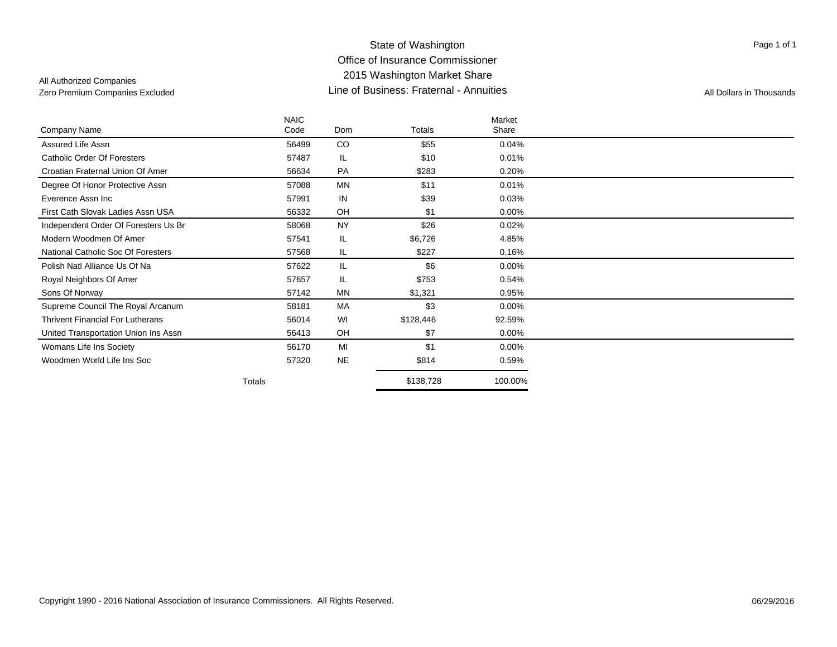All Authorized Companies

Page 1 of 1

|                                         | <b>NAIC</b> |           |           | Market   |  |
|-----------------------------------------|-------------|-----------|-----------|----------|--|
| Company Name                            | Code        | Dom       | Totals    | Share    |  |
| Assured Life Assn                       | 56499       | CO        | \$55      | 0.04%    |  |
| <b>Catholic Order Of Foresters</b>      | 57487       | IL.       | \$10      | $0.01\%$ |  |
| Croatian Fraternal Union Of Amer        | 56634       | PA        | \$283     | 0.20%    |  |
| Degree Of Honor Protective Assn         | 57088       | <b>MN</b> | \$11      | 0.01%    |  |
| Everence Assn Inc                       | 57991       | IN        | \$39      | 0.03%    |  |
| First Cath Slovak Ladies Assn USA       | 56332       | OH        | \$1       | 0.00%    |  |
| Independent Order Of Foresters Us Br    | 58068       | <b>NY</b> | \$26      | 0.02%    |  |
| Modern Woodmen Of Amer                  | 57541       | IL.       | \$6,726   | 4.85%    |  |
| National Catholic Soc Of Foresters      | 57568       | IL.       | \$227     | 0.16%    |  |
| Polish Natl Alliance Us Of Na           | 57622       | IL.       | \$6       | $0.00\%$ |  |
| Royal Neighbors Of Amer                 | 57657       | IL.       | \$753     | 0.54%    |  |
| Sons Of Norway                          | 57142       | <b>MN</b> | \$1,321   | 0.95%    |  |
| Supreme Council The Royal Arcanum       | 58181       | MA        | \$3       | 0.00%    |  |
| <b>Thrivent Financial For Lutherans</b> | 56014       | WI        | \$128,446 | 92.59%   |  |
| United Transportation Union Ins Assn    | 56413       | OH        | \$7       | 0.00%    |  |
| Womans Life Ins Society                 | 56170       | MI        | \$1       | $0.00\%$ |  |
| Woodmen World Life Ins Soc              | 57320       | <b>NE</b> | \$814     | 0.59%    |  |
|                                         | Totals      |           | \$138,728 | 100.00%  |  |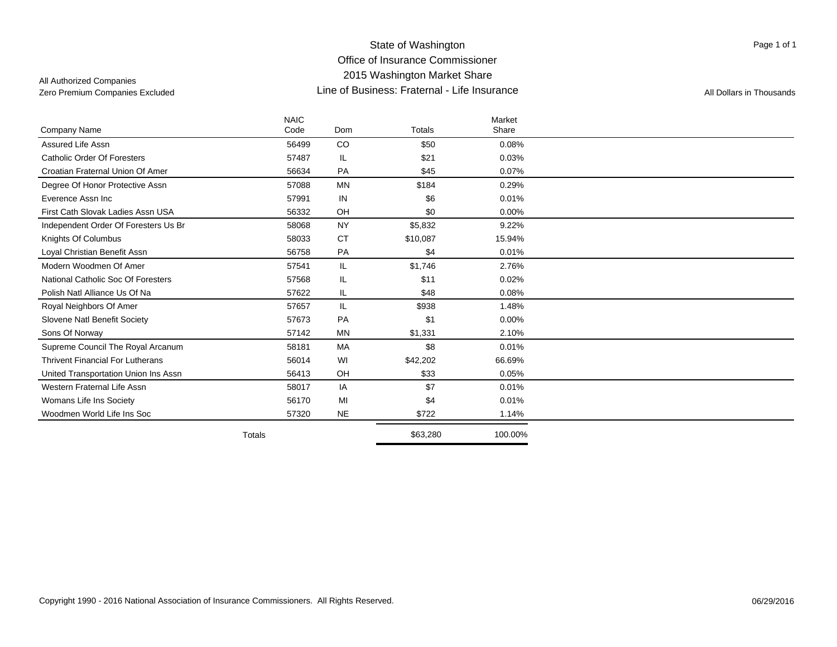### State of Washington Office of Insurance Commissioner 2015 Washington Market Share Line of Business: Fraternal - Life InsuranceZero Premium Companies Excluded **All Dollars in Thousands Line of Business: Fraternal - Life Insurance** All Dollars in Thousands

Page 1 of 1

|                                         | <b>NAIC</b>   |           |               | Market   |  |
|-----------------------------------------|---------------|-----------|---------------|----------|--|
| Company Name                            | Code          | Dom       | <b>Totals</b> | Share    |  |
| Assured Life Assn                       | 56499         | CO        | \$50          | 0.08%    |  |
| <b>Catholic Order Of Foresters</b>      | 57487         | IL.       | \$21          | 0.03%    |  |
| Croatian Fraternal Union Of Amer        | 56634         | PA        | \$45          | 0.07%    |  |
| Degree Of Honor Protective Assn         | 57088         | <b>MN</b> | \$184         | 0.29%    |  |
| Everence Assn Inc.                      | 57991         | IN        | \$6           | 0.01%    |  |
| First Cath Slovak Ladies Assn USA       | 56332         | OH        | \$0           | 0.00%    |  |
| Independent Order Of Foresters Us Br    | 58068         | <b>NY</b> | \$5,832       | 9.22%    |  |
| Knights Of Columbus                     | 58033         | <b>CT</b> | \$10,087      | 15.94%   |  |
| Loyal Christian Benefit Assn            | 56758         | PA        | \$4           | 0.01%    |  |
| Modern Woodmen Of Amer                  | 57541         | IL.       | \$1,746       | 2.76%    |  |
| National Catholic Soc Of Foresters      | 57568         | IL.       | \$11          | 0.02%    |  |
| Polish Natl Alliance Us Of Na           | 57622         | IL.       | \$48          | 0.08%    |  |
| Royal Neighbors Of Amer                 | 57657         | IL.       | \$938         | 1.48%    |  |
| Slovene Natl Benefit Society            | 57673         | PA        | \$1           | $0.00\%$ |  |
| Sons Of Norway                          | 57142         | <b>MN</b> | \$1,331       | 2.10%    |  |
| Supreme Council The Royal Arcanum       | 58181         | MA        | \$8           | 0.01%    |  |
| <b>Thrivent Financial For Lutherans</b> | 56014         | WI        | \$42,202      | 66.69%   |  |
| United Transportation Union Ins Assn    | 56413         | OH        | \$33          | 0.05%    |  |
| Western Fraternal Life Assn             | 58017         | IA        | \$7           | 0.01%    |  |
| Womans Life Ins Society                 | 56170         | MI        | \$4           | 0.01%    |  |
| Woodmen World Life Ins Soc              | 57320         | <b>NE</b> | \$722         | 1.14%    |  |
|                                         | <b>Totals</b> |           | \$63,280      | 100.00%  |  |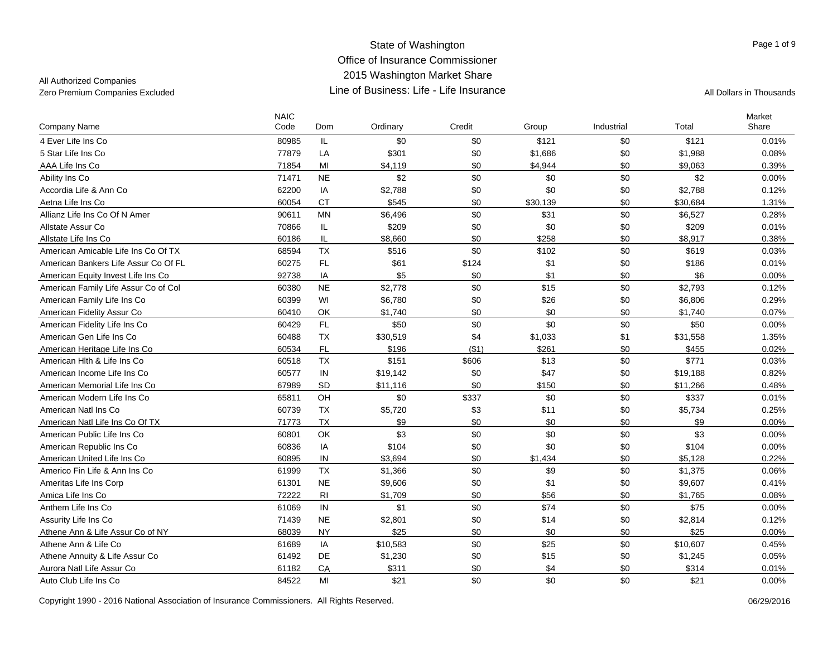## All Authorized Companies

| <b>Company Name</b>                  | <b>NAIC</b><br>Code | Dom            | Ordinary | Credit | Group    | Industrial | Total    | Market<br>Share |
|--------------------------------------|---------------------|----------------|----------|--------|----------|------------|----------|-----------------|
| 4 Ever Life Ins Co                   | 80985               | IL.            | \$0      | \$0    | \$121    | \$0        | \$121    | 0.01%           |
| 5 Star Life Ins Co                   | 77879               | LA             | \$301    | \$0    | \$1,686  | \$0        | \$1,988  | 0.08%           |
| AAA Life Ins Co                      | 71854               | MI             | \$4,119  | \$0    | \$4,944  | \$0        | \$9,063  | 0.39%           |
| Ability Ins Co                       | 71471               | <b>NE</b>      | \$2      | \$0    | \$0      | \$0        | \$2      | $0.00\%$        |
| Accordia Life & Ann Co               | 62200               | IA             | \$2,788  | \$0    | \$0      | \$0        | \$2,788  | 0.12%           |
| Aetna Life Ins Co                    | 60054               | <b>CT</b>      | \$545    | \$0    | \$30,139 | \$0        | \$30,684 | 1.31%           |
| Allianz Life Ins Co Of N Amer        | 90611               | MN             | \$6,496  | \$0    | \$31     | \$0        | \$6,527  | 0.28%           |
| Allstate Assur Co                    | 70866               | IL.            | \$209    | \$0    | \$0      | \$0        | \$209    | 0.01%           |
| Allstate Life Ins Co                 | 60186               | IL             | \$8,660  | \$0    | \$258    | \$0        | \$8,917  | 0.38%           |
| American Amicable Life Ins Co Of TX  | 68594               | <b>TX</b>      | \$516    | \$0    | \$102    | \$0        | \$619    | 0.03%           |
| American Bankers Life Assur Co Of FL | 60275               | $\mathsf{FL}$  | \$61     | \$124  | \$1      | \$0        | \$186    | 0.01%           |
| American Equity Invest Life Ins Co.  | 92738               | IA             | \$5      | \$0    | \$1      | \$0        | \$6      | 0.00%           |
| American Family Life Assur Co of Col | 60380               | <b>NE</b>      | \$2,778  | \$0    | \$15     | \$0        | \$2,793  | 0.12%           |
| American Family Life Ins Co          | 60399               | WI             | \$6,780  | \$0    | \$26     | \$0        | \$6,806  | 0.29%           |
| American Fidelity Assur Co           | 60410               | OK             | \$1,740  | \$0    | \$0      | \$0        | \$1,740  | 0.07%           |
| American Fidelity Life Ins Co        | 60429               | FL             | \$50     | \$0    | \$0      | \$0        | \$50     | $0.00\%$        |
| American Gen Life Ins Co             | 60488               | <b>TX</b>      | \$30,519 | \$4    | \$1,033  | \$1        | \$31,558 | 1.35%           |
| American Heritage Life Ins Co        | 60534               | FL             | \$196    | (\$1)  | \$261    | \$0        | \$455    | 0.02%           |
| American Hith & Life Ins Co.         | 60518               | <b>TX</b>      | \$151    | \$606  | \$13     | \$0        | \$771    | 0.03%           |
| American Income Life Ins Co          | 60577               | IN             | \$19,142 | \$0    | \$47     | \$0        | \$19,188 | 0.82%           |
| American Memorial Life Ins Co        | 67989               | SD             | \$11,116 | \$0    | \$150    | \$0        | \$11,266 | 0.48%           |
| American Modern Life Ins Co          | 65811               | OH             | \$0      | \$337  | \$0      | \$0        | \$337    | 0.01%           |
| American Natl Ins Co                 | 60739               | <b>TX</b>      | \$5,720  | \$3    | \$11     | \$0        | \$5,734  | 0.25%           |
| American Natl Life Ins Co Of TX      | 71773               | <b>TX</b>      | \$9      | \$0    | \$0      | \$0        | \$9      | 0.00%           |
| American Public Life Ins Co          | 60801               | OK             | \$3      | \$0    | \$0      | \$0        | \$3      | 0.00%           |
| American Republic Ins Co             | 60836               | IA             | \$104    | \$0    | \$0      | \$0        | \$104    | 0.00%           |
| American United Life Ins Co          | 60895               | ${\sf IN}$     | \$3,694  | \$0    | \$1,434  | \$0        | \$5,128  | 0.22%           |
| Americo Fin Life & Ann Ins Co        | 61999               | <b>TX</b>      | \$1,366  | \$0    | \$9      | \$0        | \$1,375  | 0.06%           |
| Ameritas Life Ins Corp               | 61301               | <b>NE</b>      | \$9,606  | \$0    | \$1      | \$0        | \$9,607  | 0.41%           |
| Amica Life Ins Co                    | 72222               | R <sub>l</sub> | \$1,709  | \$0    | \$56     | \$0        | \$1,765  | 0.08%           |
| Anthem Life Ins Co                   | 61069               | IN             | \$1      | \$0    | \$74     | \$0        | \$75     | 0.00%           |
| Assurity Life Ins Co                 | 71439               | <b>NE</b>      | \$2,801  | \$0    | \$14     | \$0        | \$2,814  | 0.12%           |
| Athene Ann & Life Assur Co of NY     | 68039               | <b>NY</b>      | \$25     | \$0    | \$0      | \$0        | \$25     | 0.00%           |
| Athene Ann & Life Co                 | 61689               | IA             | \$10,583 | \$0    | \$25     | \$0        | \$10,607 | 0.45%           |
| Athene Annuity & Life Assur Co       | 61492               | DE             | \$1,230  | \$0    | \$15     | \$0        | \$1,245  | 0.05%           |
| Aurora Natl Life Assur Co            | 61182               | CA             | \$311    | \$0    | \$4      | \$0        | \$314    | 0.01%           |
| Auto Club Life Ins Co                | 84522               | MI             | \$21     | \$0    | \$0      | \$0        | \$21     | 0.00%           |

Copyright 1990 - 2016 National Association of Insurance Commissioners. All Rights Reserved. 06/29/2016 06/29/2016

Page 1 of 9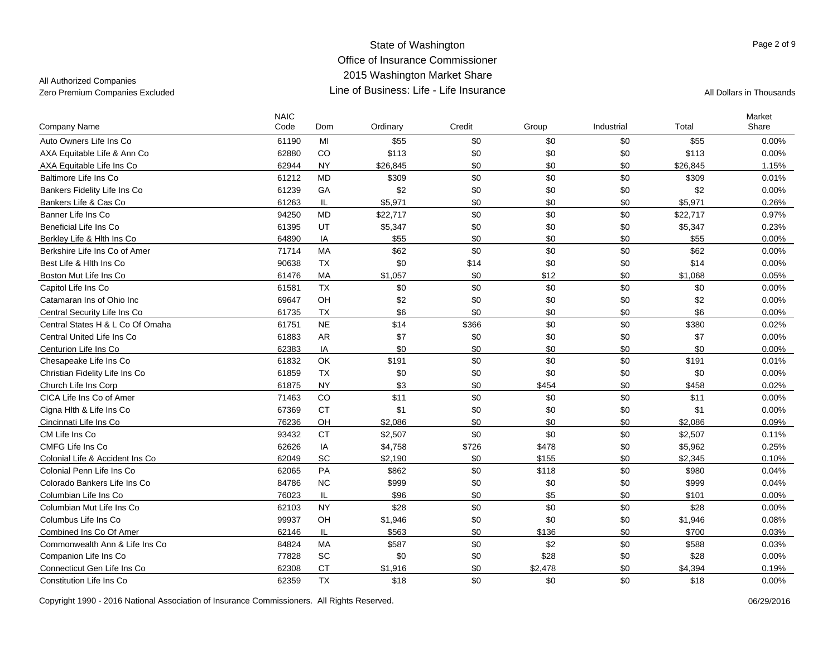All Authorized Companies

| <b>Company Name</b>              | <b>NAIC</b><br>Code | Dom       | Ordinary | Credit | Group   | Industrial | Total    | Market<br>Share |
|----------------------------------|---------------------|-----------|----------|--------|---------|------------|----------|-----------------|
| Auto Owners Life Ins Co          | 61190               | MI        | \$55     | \$0    | \$0     | \$0        | \$55     | 0.00%           |
|                                  | 62880               | CO        | \$113    | \$0    | \$0     | \$0        | \$113    | 0.00%           |
| AXA Equitable Life & Ann Co      |                     | <b>NY</b> |          | \$0    | \$0     | \$0        |          |                 |
| AXA Equitable Life Ins Co        | 62944               |           | \$26,845 |        |         | \$0        | \$26,845 | 1.15%           |
| Baltimore Life Ins Co            | 61212               | <b>MD</b> | \$309    | \$0    | \$0     |            | \$309    | 0.01%           |
| Bankers Fidelity Life Ins Co     | 61239               | GA        | \$2      | \$0    | \$0     | \$0        | \$2      | 0.00%           |
| Bankers Life & Cas Co            | 61263               | IL.       | \$5.971  | \$0    | \$0     | \$0        | \$5.971  | 0.26%           |
| Banner Life Ins Co               | 94250               | <b>MD</b> | \$22,717 | \$0    | \$0     | \$0        | \$22,717 | 0.97%           |
| Beneficial Life Ins Co           | 61395               | UT        | \$5,347  | \$0    | \$0     | \$0        | \$5,347  | 0.23%           |
| Berkley Life & Hith Ins Co       | 64890               | IA        | \$55     | \$0    | \$0     | \$0        | \$55     | $0.00\%$        |
| Berkshire Life Ins Co of Amer    | 71714               | <b>MA</b> | \$62     | \$0    | \$0     | \$0        | \$62     | $0.00\%$        |
| Best Life & Hlth Ins Co          | 90638               | <b>TX</b> | \$0      | \$14   | \$0     | \$0        | \$14     | 0.00%           |
| Boston Mut Life Ins Co           | 61476               | <b>MA</b> | \$1.057  | \$0    | \$12    | \$0        | \$1.068  | 0.05%           |
| Capitol Life Ins Co              | 61581               | <b>TX</b> | \$0      | \$0    | \$0     | \$0        | \$0      | 0.00%           |
| Catamaran Ins of Ohio Inc        | 69647               | OH        | \$2      | \$0    | \$0     | \$0        | \$2      | 0.00%           |
| Central Security Life Ins Co     | 61735               | <b>TX</b> | \$6      | \$0    | \$0     | \$0        | \$6      | $0.00\%$        |
| Central States H & L Co Of Omaha | 61751               | <b>NE</b> | \$14     | \$366  | \$0     | \$0        | \$380    | 0.02%           |
| Central United Life Ins Co       | 61883               | <b>AR</b> | \$7      | \$0    | \$0     | \$0        | \$7      | 0.00%           |
| Centurion Life Ins Co            | 62383               | IA        | \$0      | \$0    | \$0     | \$0        | \$0      | $0.00\%$        |
| Chesapeake Life Ins Co           | 61832               | OK        | \$191    | \$0    | \$0     | \$0        | \$191    | 0.01%           |
| Christian Fidelity Life Ins Co   | 61859               | <b>TX</b> | \$0      | \$0    | \$0     | \$0        | \$0      | 0.00%           |
| Church Life Ins Corp             | 61875               | <b>NY</b> | \$3      | \$0    | \$454   | \$0        | \$458    | 0.02%           |
| CICA Life Ins Co of Amer         | 71463               | CO        | \$11     | \$0    | \$0     | \$0        | \$11     | 0.00%           |
| Cigna Hlth & Life Ins Co         | 67369               | <b>CT</b> | \$1      | \$0    | \$0     | \$0        | \$1      | 0.00%           |
| Cincinnati Life Ins Co           | 76236               | OH        | \$2,086  | \$0    | \$0     | \$0        | \$2,086  | 0.09%           |
| CM Life Ins Co                   | 93432               | <b>CT</b> | \$2,507  | \$0    | \$0     | \$0        | \$2,507  | 0.11%           |
| CMFG Life Ins Co                 | 62626               | IA        | \$4,758  | \$726  | \$478   | \$0        | \$5,962  | 0.25%           |
| Colonial Life & Accident Ins Co  | 62049               | SC        | \$2,190  | \$0    | \$155   | \$0        | \$2,345  | 0.10%           |
| Colonial Penn Life Ins Co        | 62065               | PA        | \$862    | \$0    | \$118   | \$0        | \$980    | 0.04%           |
| Colorado Bankers Life Ins Co     | 84786               | <b>NC</b> | \$999    | \$0    | \$0     | \$0        | \$999    | 0.04%           |
| Columbian Life Ins Co            | 76023               | IL.       | \$96     | \$0    | \$5     | \$0        | \$101    | 0.00%           |
| Columbian Mut Life Ins Co        | 62103               | <b>NY</b> | \$28     | \$0    | \$0     | \$0        | \$28     | 0.00%           |
| Columbus Life Ins Co             | 99937               | OH        | \$1,946  | \$0    | \$0     | \$0        | \$1,946  | 0.08%           |
| Combined Ins Co Of Amer          | 62146               | IL        | \$563    | \$0    | \$136   | \$0        | \$700    | 0.03%           |
| Commonwealth Ann & Life Ins Co   | 84824               | MA        | \$587    | \$0    | \$2     | \$0        | \$588    | 0.03%           |
| Companion Life Ins Co            | 77828               | SC        | \$0      | \$0    | \$28    | \$0        | \$28     | 0.00%           |
| Connecticut Gen Life Ins Co      | 62308               | <b>CT</b> | \$1,916  | \$0    | \$2,478 | \$0        | \$4,394  | 0.19%           |
| Constitution Life Ins Co         | 62359               | <b>TX</b> | \$18     | \$0    | \$0     | \$0        | \$18     | 0.00%           |
|                                  |                     |           |          |        |         |            |          |                 |

Copyright 1990 - 2016 National Association of Insurance Commissioners. All Rights Reserved. 06/29/2016

Page 2 of 9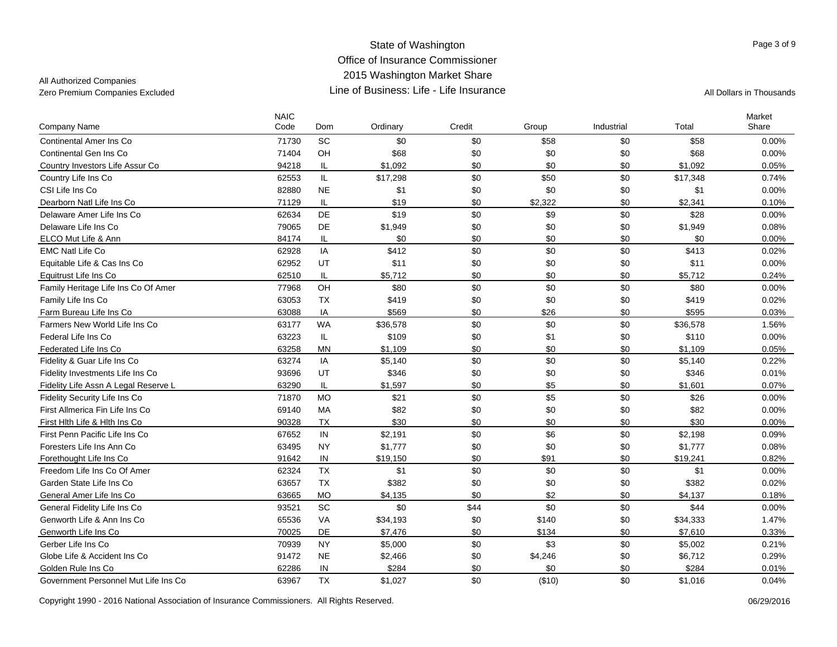All Authorized Companies

| <b>Company Name</b>                  | <b>NAIC</b><br>Code | Dom       | Ordinary | Credit | Group   | Industrial | Total    | Market<br>Share |
|--------------------------------------|---------------------|-----------|----------|--------|---------|------------|----------|-----------------|
| <b>Continental Amer Ins Co</b>       | 71730               | SC        | \$0      | \$0    | \$58    | \$0        | \$58     | 0.00%           |
| Continental Gen Ins Co               | 71404               | OH        | \$68     | \$0    | \$0     | \$0        | \$68     | 0.00%           |
| Country Investors Life Assur Co      | 94218               | IL        | \$1,092  | \$0    | \$0     | \$0        | \$1,092  | 0.05%           |
| Country Life Ins Co                  | 62553               | IL        | \$17,298 | \$0    | \$50    | \$0        | \$17,348 | 0.74%           |
| CSI Life Ins Co                      | 82880               | <b>NE</b> | \$1      | \$0    | \$0     | \$0        | \$1      | 0.00%           |
| Dearborn Natl Life Ins Co            | 71129               | IL        | \$19     | \$0    | \$2,322 | \$0        | \$2,341  | 0.10%           |
| Delaware Amer Life Ins Co            | 62634               | DE        | \$19     | \$0    | \$9     | \$0        | \$28     | 0.00%           |
| Delaware Life Ins Co                 | 79065               | DE        | \$1,949  | \$0    | \$0     | \$0        | \$1,949  | 0.08%           |
| ELCO Mut Life & Ann                  | 84174               | IL        | \$0      | \$0    | \$0     | \$0        | \$0      | 0.00%           |
| <b>EMC Natl Life Co</b>              | 62928               | IA        | \$412    | \$0    | \$0     | \$0        | \$413    | 0.02%           |
| Equitable Life & Cas Ins Co          | 62952               | UT        | \$11     | \$0    | \$0     | \$0        | \$11     | 0.00%           |
| Equitrust Life Ins Co                | 62510               | IL.       | \$5.712  | \$0    | \$0     | \$0        | \$5.712  | 0.24%           |
| Family Heritage Life Ins Co Of Amer  | 77968               | OH        | \$80     | \$0    | \$0     | \$0        | \$80     | 0.00%           |
| Family Life Ins Co                   | 63053               | <b>TX</b> | \$419    | \$0    | \$0     | \$0        | \$419    | 0.02%           |
| Farm Bureau Life Ins Co              | 63088               | IA        | \$569    | \$0    | \$26    | \$0        | \$595    | 0.03%           |
| Farmers New World Life Ins Co        | 63177               | <b>WA</b> | \$36,578 | \$0    | \$0     | \$0        | \$36,578 | 1.56%           |
| Federal Life Ins Co                  | 63223               | IL        | \$109    | \$0    | \$1     | \$0        | \$110    | 0.00%           |
| Federated Life Ins Co                | 63258               | <b>MN</b> | \$1,109  | \$0    | \$0     | \$0        | \$1,109  | 0.05%           |
| Fidelity & Guar Life Ins Co          | 63274               | IA        | \$5,140  | \$0    | \$0     | \$0        | \$5,140  | 0.22%           |
| Fidelity Investments Life Ins Co     | 93696               | UT        | \$346    | \$0    | \$0     | \$0        | \$346    | 0.01%           |
| Fidelity Life Assn A Legal Reserve L | 63290               | IL        | \$1,597  | \$0    | \$5     | \$0        | \$1,601  | 0.07%           |
| Fidelity Security Life Ins Co        | 71870               | <b>MO</b> | \$21     | \$0    | \$5     | \$0        | \$26     | 0.00%           |
| First Allmerica Fin Life Ins Co      | 69140               | MA        | \$82     | \$0    | \$0     | \$0        | \$82     | 0.00%           |
| First Hlth Life & Hlth Ins Co        | 90328               | <b>TX</b> | \$30     | \$0    | \$0     | \$0        | \$30     | 0.00%           |
| First Penn Pacific Life Ins Co       | 67652               | IN        | \$2,191  | \$0    | \$6     | \$0        | \$2,198  | 0.09%           |
| Foresters Life Ins Ann Co            | 63495               | <b>NY</b> | \$1,777  | \$0    | \$0     | \$0        | \$1,777  | 0.08%           |
| Forethought Life Ins Co              | 91642               | IN        | \$19,150 | \$0    | \$91    | \$0        | \$19,241 | 0.82%           |
| Freedom Life Ins Co Of Amer          | 62324               | <b>TX</b> | \$1      | \$0    | \$0     | \$0        | \$1      | 0.00%           |
| Garden State Life Ins Co             | 63657               | <b>TX</b> | \$382    | \$0    | \$0     | \$0        | \$382    | 0.02%           |
| General Amer Life Ins Co             | 63665               | <b>MO</b> | \$4,135  | \$0    | \$2     | \$0        | \$4,137  | $0.18\%$        |
| General Fidelity Life Ins Co         | 93521               | SC        | \$0      | \$44   | \$0     | \$0        | \$44     | 0.00%           |
| Genworth Life & Ann Ins Co           | 65536               | VA        | \$34,193 | \$0    | \$140   | \$0        | \$34,333 | 1.47%           |
| Genworth Life Ins Co                 | 70025               | DE        | \$7,476  | \$0    | \$134   | \$0        | \$7,610  | 0.33%           |
| Gerber Life Ins Co                   | 70939               | <b>NY</b> | \$5,000  | \$0    | \$3     | \$0        | \$5,002  | 0.21%           |
| Globe Life & Accident Ins Co         | 91472               | <b>NE</b> | \$2,466  | \$0    | \$4,246 | \$0        | \$6,712  | 0.29%           |
| Golden Rule Ins Co                   | 62286               | IN        | \$284    | \$0    | \$0     | \$0        | \$284    | 0.01%           |
| Government Personnel Mut Life Ins Co | 63967               | <b>TX</b> | \$1,027  | \$0    | (\$10)  | \$0        | \$1,016  | 0.04%           |

Copyright 1990 - 2016 National Association of Insurance Commissioners. All Rights Reserved.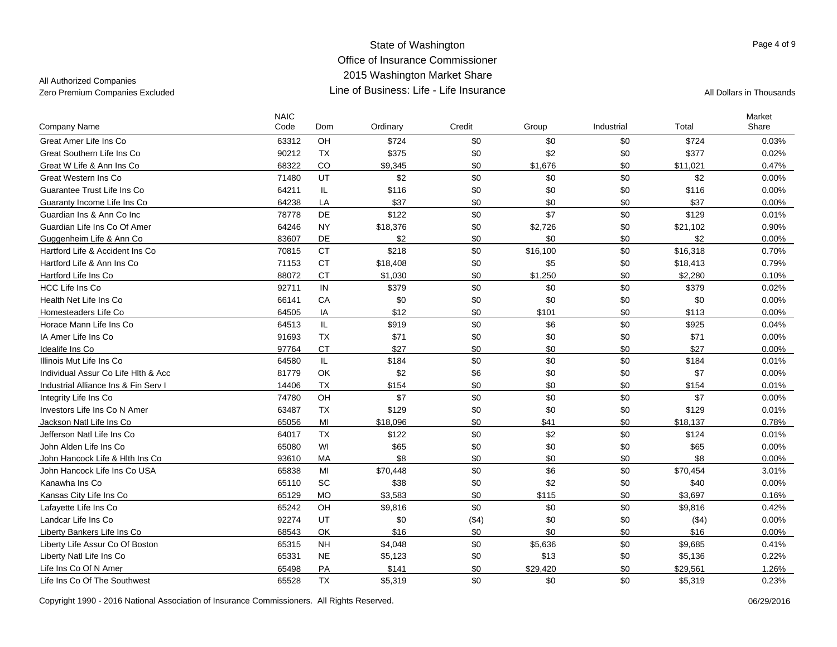## All Authorized Companies

| Company Name                         | <b>NAIC</b><br>Code | Dom       | Ordinary | Credit | Group    | Industrial | Total    | Market<br>Share |
|--------------------------------------|---------------------|-----------|----------|--------|----------|------------|----------|-----------------|
| Great Amer Life Ins Co               | 63312               | OH        | \$724    | \$0    | \$0      | \$0        | \$724    | 0.03%           |
| Great Southern Life Ins Co           | 90212               | <b>TX</b> | \$375    | \$0    | \$2      | \$0        | \$377    | 0.02%           |
| Great W Life & Ann Ins Co            | 68322               | CO        | \$9,345  | \$0    | \$1,676  | \$0        | \$11,021 | 0.47%           |
| Great Western Ins Co.                | 71480               | UT        | \$2      | \$0    | \$0      | \$0        | \$2      | $0.00\%$        |
| Guarantee Trust Life Ins Co          | 64211               | IL        | \$116    | \$0    | \$0      | \$0        | \$116    | 0.00%           |
| Guaranty Income Life Ins Co          | 64238               | LA        | \$37     | \$0    | \$0      | \$0        | \$37     | 0.00%           |
| Guardian Ins & Ann Co Inc            | 78778               | DE        | \$122    | \$0    | \$7      | \$0        | \$129    | 0.01%           |
| Guardian Life Ins Co Of Amer         | 64246               | <b>NY</b> | \$18,376 | \$0    | \$2,726  | \$0        | \$21,102 | 0.90%           |
| Guggenheim Life & Ann Co             | 83607               | DE        | \$2      | \$0    | \$0      | \$0        | \$2      | 0.00%           |
| Hartford Life & Accident Ins Co      | 70815               | <b>CT</b> | \$218    | \$0    | \$16,100 | \$0        | \$16,318 | 0.70%           |
| Hartford Life & Ann Ins Co           | 71153               | <b>CT</b> | \$18,408 | \$0    | \$5      | \$0        | \$18,413 | 0.79%           |
| Hartford Life Ins Co                 | 88072               | <b>CT</b> | \$1,030  | \$0    | \$1,250  | \$0        | \$2.280  | 0.10%           |
| <b>HCC Life Ins Co</b>               | 92711               | IN        | \$379    | \$0    | \$0      | \$0        | \$379    | 0.02%           |
| Health Net Life Ins Co               | 66141               | CA        | \$0      | \$0    | \$0      | \$0        | \$0      | 0.00%           |
| Homesteaders Life Co                 | 64505               | IA        | \$12     | \$0    | \$101    | \$0        | \$113    | $0.00\%$        |
| Horace Mann Life Ins Co              | 64513               | IL.       | \$919    | \$0    | \$6      | \$0        | \$925    | 0.04%           |
| IA Amer Life Ins Co                  | 91693               | <b>TX</b> | \$71     | \$0    | \$0      | \$0        | \$71     | 0.00%           |
| Idealife Ins Co                      | 97764               | <b>CT</b> | \$27     | \$0    | \$0      | \$0        | \$27     | 0.00%           |
| Illinois Mut Life Ins Co             | 64580               | IL.       | \$184    | \$0    | \$0      | \$0        | \$184    | 0.01%           |
| Individual Assur Co Life Hith & Acc  | 81779               | OK        | \$2      | \$6    | \$0      | \$0        | \$7      | 0.00%           |
| Industrial Alliance Ins & Fin Serv I | 14406               | <b>TX</b> | \$154    | \$0    | \$0      | \$0        | \$154    | 0.01%           |
| Integrity Life Ins Co                | 74780               | OH        | \$7      | \$0    | \$0      | \$0        | \$7      | 0.00%           |
| Investors Life Ins Co N Amer         | 63487               | <b>TX</b> | \$129    | \$0    | \$0      | \$0        | \$129    | 0.01%           |
| Jackson Natl Life Ins Co             | 65056               | MI        | \$18,096 | \$0    | \$41     | \$0        | \$18,137 | 0.78%           |
| Jefferson Natl Life Ins Co           | 64017               | <b>TX</b> | \$122    | \$0    | \$2      | \$0        | \$124    | 0.01%           |
| John Alden Life Ins Co               | 65080               | WI        | \$65     | \$0    | \$0      | \$0        | \$65     | 0.00%           |
| John Hancock Life & Hith Ins Co      | 93610               | MA        | \$8      | \$0    | \$0      | \$0        | \$8      | 0.00%           |
| John Hancock Life Ins Co USA         | 65838               | MI        | \$70,448 | \$0    | \$6      | \$0        | \$70,454 | 3.01%           |
| Kanawha Ins Co                       | 65110               | SC        | \$38     | \$0    | \$2      | \$0        | \$40     | 0.00%           |
| Kansas City Life Ins Co              | 65129               | <b>MO</b> | \$3,583  | \$0    | \$115    | \$0        | \$3,697  | 0.16%           |
| Lafayette Life Ins Co                | 65242               | OH        | \$9,816  | \$0    | \$0      | \$0        | \$9,816  | 0.42%           |
| Landcar Life Ins Co                  | 92274               | UT        | \$0      | ( \$4) | \$0      | \$0        | $($ \$4) | 0.00%           |
| Liberty Bankers Life Ins Co          | 68543               | OK        | \$16     | \$0    | \$0      | \$0        | \$16     | 0.00%           |
| Liberty Life Assur Co Of Boston      | 65315               | <b>NH</b> | \$4,048  | \$0    | \$5,636  | \$0        | \$9,685  | 0.41%           |
| Liberty Natl Life Ins Co             | 65331               | <b>NE</b> | \$5,123  | \$0    | \$13     | \$0        | \$5,136  | 0.22%           |
| Life Ins Co Of N Amer                | 65498               | PA        | \$141    | \$0    | \$29,420 | \$0        | \$29,561 | 1.26%           |
| Life Ins Co Of The Southwest         | 65528               | <b>TX</b> | \$5,319  | \$0    | \$0      | \$0        | \$5,319  | 0.23%           |

Copyright 1990 - 2016 National Association of Insurance Commissioners. All Rights Reserved. 06/29/2016 06/29/2016

Page 4 of 9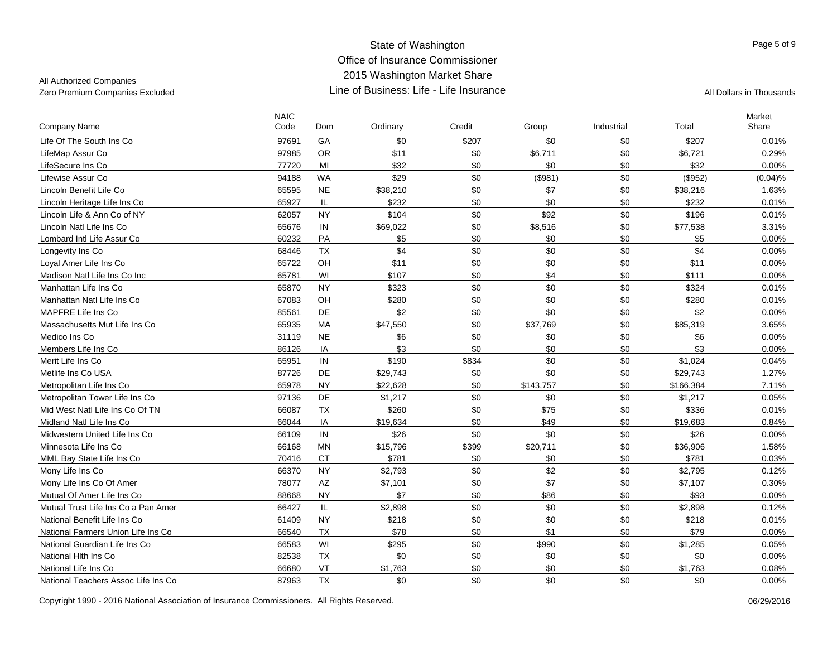## All Authorized Companies

| Company Name                        | <b>NAIC</b><br>Code | Dom       | Ordinary | Credit | Group     | Industrial | Total     | Market<br>Share |
|-------------------------------------|---------------------|-----------|----------|--------|-----------|------------|-----------|-----------------|
| Life Of The South Ins Co            | 97691               | GA        | \$0      | \$207  | \$0       | \$0        | \$207     | 0.01%           |
| LifeMap Assur Co                    | 97985               | <b>OR</b> | \$11     | \$0    | \$6,711   | \$0        | \$6,721   | 0.29%           |
| LifeSecure Ins Co                   | 77720               | MI        | \$32     | \$0    | \$0       | \$0        | \$32      | 0.00%           |
| Lifewise Assur Co                   | 94188               | <b>WA</b> | \$29     | \$0    | (\$981)   | \$0        | (\$952)   | (0.04)%         |
| Lincoln Benefit Life Co             | 65595               | <b>NE</b> | \$38,210 | \$0    | \$7       | \$0        | \$38,216  | 1.63%           |
| Lincoln Heritage Life Ins Co        | 65927               | IL        | \$232    | \$0    | \$0       | \$0        | \$232     | 0.01%           |
| Lincoln Life & Ann Co of NY         | 62057               | <b>NY</b> | \$104    | \$0    | \$92      | \$0        | \$196     | 0.01%           |
| Lincoln Natl Life Ins Co            | 65676               | IN        | \$69,022 | \$0    | \$8,516   | \$0        | \$77,538  | 3.31%           |
| Lombard Intl Life Assur Co          | 60232               | PA        | \$5      | \$0    | \$0       | \$0        | \$5       | 0.00%           |
| Longevity Ins Co                    | 68446               | <b>TX</b> | \$4      | \$0    | \$0       | \$0        | \$4       | 0.00%           |
| Loyal Amer Life Ins Co              | 65722               | OH        | \$11     | \$0    | \$0       | \$0        | \$11      | 0.00%           |
| Madison Natl Life Ins Co Inc        | 65781               | WI        | \$107    | \$0    | \$4       | \$0        | \$111     | $0.00\%$        |
| Manhattan Life Ins Co               | 65870               | <b>NY</b> | \$323    | \$0    | \$0       | \$0        | \$324     | 0.01%           |
| Manhattan Natl Life Ins Co          | 67083               | OH        | \$280    | \$0    | \$0       | \$0        | \$280     | 0.01%           |
| MAPFRE Life Ins Co                  | 85561               | DE        | \$2      | \$0    | \$0       | \$0        | \$2       | $0.00\%$        |
| Massachusetts Mut Life Ins Co       | 65935               | <b>MA</b> | \$47,550 | \$0    | \$37,769  | \$0        | \$85,319  | 3.65%           |
| Medico Ins Co                       | 31119               | <b>NE</b> | \$6      | \$0    | \$0       | \$0        | \$6       | 0.00%           |
| Members Life Ins Co                 | 86126               | IA        | \$3      | \$0    | \$0       | \$0        | \$3       | 0.00%           |
| Merit Life Ins Co                   | 65951               | IN        | \$190    | \$834  | \$0       | \$0        | \$1,024   | 0.04%           |
| Metlife Ins Co USA                  | 87726               | DE        | \$29,743 | \$0    | \$0       | \$0        | \$29,743  | 1.27%           |
| Metropolitan Life Ins Co            | 65978               | <b>NY</b> | \$22,628 | \$0    | \$143,757 | \$0        | \$166,384 | 7.11%           |
| Metropolitan Tower Life Ins Co      | 97136               | DE        | \$1,217  | \$0    | \$0       | \$0        | \$1,217   | 0.05%           |
| Mid West Natl Life Ins Co Of TN     | 66087               | <b>TX</b> | \$260    | \$0    | \$75      | \$0        | \$336     | 0.01%           |
| Midland Natl Life Ins Co            | 66044               | IA        | \$19,634 | \$0    | \$49      | \$0        | \$19.683  | 0.84%           |
| Midwestern United Life Ins Co.      | 66109               | IN        | \$26     | \$0    | \$0       | \$0        | \$26      | 0.00%           |
| Minnesota Life Ins Co               | 66168               | <b>MN</b> | \$15,796 | \$399  | \$20,711  | \$0        | \$36,906  | 1.58%           |
| MML Bay State Life Ins Co           | 70416               | <b>CT</b> | \$781    | \$0    | \$0       | \$0        | \$781     | 0.03%           |
| Mony Life Ins Co                    | 66370               | <b>NY</b> | \$2,793  | \$0    | \$2       | \$0        | \$2,795   | 0.12%           |
| Mony Life Ins Co Of Amer            | 78077               | <b>AZ</b> | \$7,101  | \$0    | \$7       | \$0        | \$7,107   | 0.30%           |
| Mutual Of Amer Life Ins Co          | 88668               | <b>NY</b> | \$7      | \$0    | \$86      | \$0        | \$93      | 0.00%           |
| Mutual Trust Life Ins Co a Pan Amer | 66427               | IL.       | \$2,898  | \$0    | \$0       | \$0        | \$2,898   | 0.12%           |
| National Benefit Life Ins Co        | 61409               | <b>NY</b> | \$218    | \$0    | \$0       | \$0        | \$218     | 0.01%           |
| National Farmers Union Life Ins Co  | 66540               | <b>TX</b> | \$78     | \$0    | \$1       | \$0        | \$79      | 0.00%           |
| National Guardian Life Ins Co       | 66583               | WI        | \$295    | \$0    | \$990     | \$0        | \$1,285   | 0.05%           |
| National Hith Ins Co                | 82538               | <b>TX</b> | \$0      | \$0    | \$0       | \$0        | \$0       | 0.00%           |
| National Life Ins Co                | 66680               | VT        | \$1.763  | \$0    | \$0       | \$0        | \$1.763   | 0.08%           |
| National Teachers Assoc Life Ins Co | 87963               | <b>TX</b> | \$0      | \$0    | \$0       | \$0        | \$0       | 0.00%           |

Page 5 of 9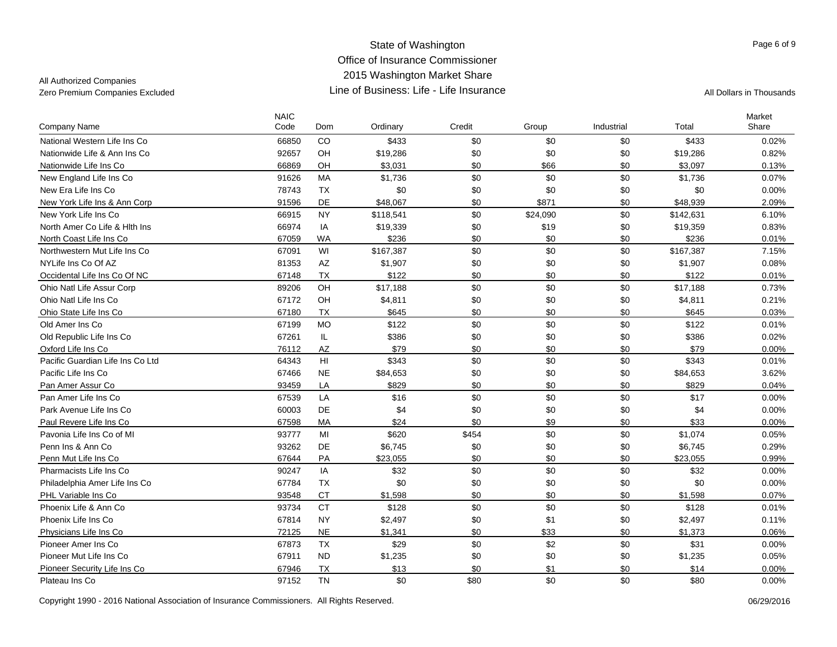All Authorized Companies

| Company Name                     | <b>NAIC</b><br>Code | Dom                    | Ordinary  | Credit | Group    | Industrial | Total     | Market<br>Share |
|----------------------------------|---------------------|------------------------|-----------|--------|----------|------------|-----------|-----------------|
| National Western Life Ins Co     | 66850               | CO                     | \$433     | \$0    | \$0      | \$0        | \$433     | 0.02%           |
| Nationwide Life & Ann Ins Co     | 92657               | OH                     | \$19,286  | \$0    | \$0      | \$0        | \$19,286  | 0.82%           |
| Nationwide Life Ins Co           | 66869               | OH                     | \$3,031   | \$0    | \$66     | \$0        | \$3.097   | 0.13%           |
| New England Life Ins Co          | 91626               | MA                     | \$1,736   | \$0    | \$0      | \$0        | \$1,736   | 0.07%           |
| New Era Life Ins Co              | 78743               | <b>TX</b>              | \$0       | \$0    | \$0      | \$0        | \$0       | 0.00%           |
| New York Life Ins & Ann Corp     | 91596               | DE                     | \$48,067  | \$0    | \$871    | \$0        | \$48,939  | 2.09%           |
| New York Life Ins Co             | 66915               | <b>NY</b>              | \$118,541 | \$0    | \$24,090 | \$0        | \$142,631 | 6.10%           |
| North Amer Co Life & Hith Ins    | 66974               | IA                     | \$19,339  | \$0    | \$19     | \$0        | \$19,359  | 0.83%           |
| North Coast Life Ins Co          | 67059               | <b>WA</b>              | \$236     | \$0    | \$0      | \$0        | \$236     | 0.01%           |
| Northwestern Mut Life Ins Co     | 67091               | WI                     | \$167,387 | \$0    | \$0      | \$0        | \$167,387 | 7.15%           |
| NYLife Ins Co Of AZ              | 81353               | $\mathsf{A}\mathsf{Z}$ | \$1,907   | \$0    | \$0      | \$0        | \$1,907   | 0.08%           |
| Occidental Life Ins Co Of NC     | 67148               | <b>TX</b>              | \$122     | \$0    | \$0      | \$0        | \$122     | 0.01%           |
| Ohio Natl Life Assur Corp        | 89206               | OH                     | \$17,188  | \$0    | \$0      | \$0        | \$17,188  | 0.73%           |
| Ohio Natl Life Ins Co            | 67172               | OH                     | \$4,811   | \$0    | \$0      | \$0        | \$4,811   | 0.21%           |
| Ohio State Life Ins Co           | 67180               | <b>TX</b>              | \$645     | \$0    | \$0      | \$0        | \$645     | 0.03%           |
| Old Amer Ins Co.                 | 67199               | <b>MO</b>              | \$122     | \$0    | \$0      | \$0        | \$122     | 0.01%           |
| Old Republic Life Ins Co         | 67261               | IL                     | \$386     | \$0    | \$0      | \$0        | \$386     | 0.02%           |
| Oxford Life Ins Co               | 76112               | AZ                     | \$79      | \$0    | \$0      | \$0        | \$79      | 0.00%           |
| Pacific Guardian Life Ins Co Ltd | 64343               | HI                     | \$343     | \$0    | \$0      | \$0        | \$343     | 0.01%           |
| Pacific Life Ins Co              | 67466               | <b>NE</b>              | \$84,653  | \$0    | \$0      | \$0        | \$84,653  | 3.62%           |
| Pan Amer Assur Co                | 93459               | LA                     | \$829     | \$0    | \$0      | \$0        | \$829     | 0.04%           |
| Pan Amer Life Ins Co             | 67539               | LA                     | \$16      | \$0    | \$0      | \$0        | \$17      | 0.00%           |
| Park Avenue Life Ins Co          | 60003               | DE                     | \$4       | \$0    | \$0      | \$0        | \$4       | 0.00%           |
| Paul Revere Life Ins Co          | 67598               | MA                     | \$24      | \$0    | \$9      | \$0        | \$33      | 0.00%           |
| Pavonia Life Ins Co of MI        | 93777               | MI                     | \$620     | \$454  | \$0      | \$0        | \$1,074   | 0.05%           |
| Penn Ins & Ann Co                | 93262               | DE                     | \$6,745   | \$0    | \$0      | \$0        | \$6,745   | 0.29%           |
| Penn Mut Life Ins Co             | 67644               | PA                     | \$23,055  | \$0    | \$0      | \$0        | \$23,055  | 0.99%           |
| Pharmacists Life Ins Co          | 90247               | IA                     | \$32      | \$0    | \$0      | \$0        | \$32      | $0.00\%$        |
| Philadelphia Amer Life Ins Co    | 67784               | <b>TX</b>              | \$0       | \$0    | \$0      | \$0        | \$0       | 0.00%           |
| PHL Variable Ins Co              | 93548               | <b>CT</b>              | \$1.598   | \$0    | \$0      | \$0        | \$1.598   | 0.07%           |
| Phoenix Life & Ann Co            | 93734               | <b>CT</b>              | \$128     | \$0    | \$0      | \$0        | \$128     | 0.01%           |
| Phoenix Life Ins Co              | 67814               | <b>NY</b>              | \$2,497   | \$0    | \$1      | \$0        | \$2,497   | 0.11%           |
| Physicians Life Ins Co           | 72125               | <b>NE</b>              | \$1,341   | \$0    | \$33     | \$0        | \$1,373   | 0.06%           |
| Pioneer Amer Ins Co              | 67873               | <b>TX</b>              | \$29      | \$0    | \$2      | \$0        | \$31      | $0.00\%$        |
| Pioneer Mut Life Ins Co          | 67911               | <b>ND</b>              | \$1,235   | \$0    | \$0      | \$0        | \$1,235   | 0.05%           |
| Pioneer Security Life Ins Co     | 67946               | <b>TX</b>              | \$13      | \$0    | \$1      | \$0        | \$14      | 0.00%           |
| Plateau Ins Co                   | 97152               | <b>TN</b>              | \$0       | \$80   | \$0      | \$0        | \$80      | 0.00%           |

Copyright 1990 - 2016 National Association of Insurance Commissioners. All Rights Reserved. 06/29/2016 06/29/2016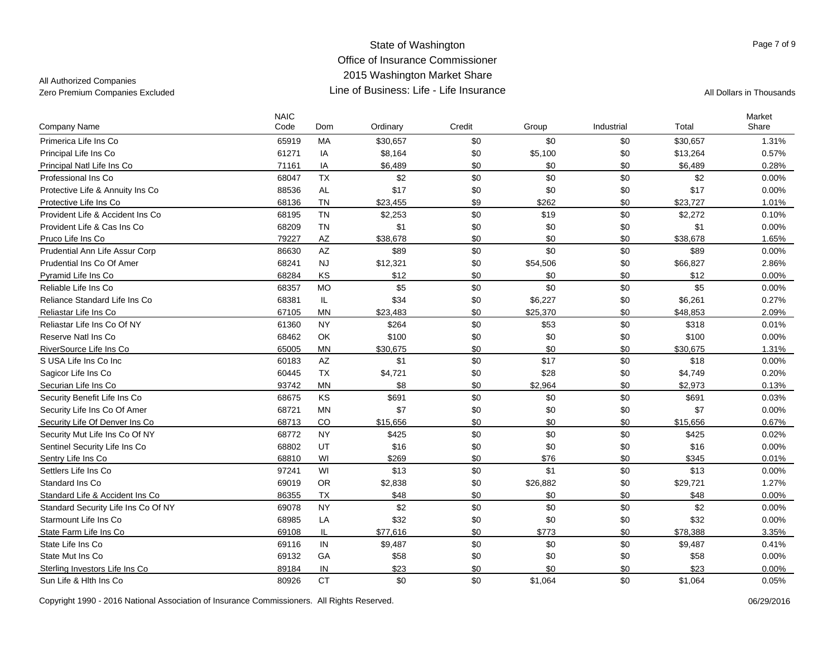## All Authorized Companies

| Company Name                        | <b>NAIC</b><br>Code | Dom       | Ordinary | Credit | Group    | Industrial | Total    | Market<br>Share |
|-------------------------------------|---------------------|-----------|----------|--------|----------|------------|----------|-----------------|
| Primerica Life Ins Co               | 65919               | MA        | \$30,657 | \$0    | \$0      | \$0        | \$30,657 | 1.31%           |
| Principal Life Ins Co               | 61271               | IA        | \$8,164  | \$0    | \$5,100  | \$0        | \$13,264 | 0.57%           |
| Principal Natl Life Ins Co          | 71161               | IA        | \$6,489  | \$0    | \$0      | \$0        | \$6,489  | 0.28%           |
| Professional Ins Co                 | 68047               | <b>TX</b> | \$2      | \$0    | \$0      | \$0        | \$2      | $0.00\%$        |
| Protective Life & Annuity Ins Co    | 88536               | <b>AL</b> | \$17     | \$0    | \$0      | \$0        | \$17     | 0.00%           |
| Protective Life Ins Co              | 68136               | <b>TN</b> | \$23,455 | \$9    | \$262    | \$0        | \$23,727 | 1.01%           |
| Provident Life & Accident Ins Co    | 68195               | <b>TN</b> | \$2,253  | \$0    | \$19     | \$0        | \$2,272  | 0.10%           |
| Provident Life & Cas Ins Co         | 68209               | <b>TN</b> | \$1      | \$0    | \$0      | \$0        | \$1      | 0.00%           |
| Pruco Life Ins Co                   | 79227               | AZ        | \$38,678 | \$0    | \$0      | \$0        | \$38,678 | 1.65%           |
| Prudential Ann Life Assur Corp      | 86630               | AZ        | \$89     | \$0    | \$0      | \$0        | \$89     | 0.00%           |
| Prudential Ins Co Of Amer           | 68241               | <b>NJ</b> | \$12,321 | \$0    | \$54,506 | \$0        | \$66,827 | 2.86%           |
| Pyramid Life Ins Co                 | 68284               | KS        | \$12     | \$0    | \$0      | \$0        | \$12     | $0.00\%$        |
| Reliable Life Ins Co                | 68357               | <b>MO</b> | \$5      | \$0    | \$0      | \$0        | \$5      | 0.00%           |
| Reliance Standard Life Ins Co       | 68381               | IL        | \$34     | \$0    | \$6,227  | \$0        | \$6,261  | 0.27%           |
| Reliastar Life Ins Co               | 67105               | <b>MN</b> | \$23,483 | \$0    | \$25,370 | \$0        | \$48,853 | 2.09%           |
| Reliastar Life Ins Co Of NY         | 61360               | <b>NY</b> | \$264    | \$0    | \$53     | \$0        | \$318    | 0.01%           |
| Reserve Natl Ins Co.                | 68462               | OK        | \$100    | \$0    | \$0      | \$0        | \$100    | 0.00%           |
| RiverSource Life Ins Co             | 65005               | <b>MN</b> | \$30,675 | \$0    | \$0      | \$0        | \$30,675 | 1.31%           |
| S USA Life Ins Co Inc               | 60183               | <b>AZ</b> | \$1      | \$0    | \$17     | \$0        | \$18     | 0.00%           |
| Sagicor Life Ins Co                 | 60445               | <b>TX</b> | \$4,721  | \$0    | \$28     | \$0        | \$4,749  | 0.20%           |
| Securian Life Ins Co                | 93742               | <b>MN</b> | \$8      | \$0    | \$2,964  | \$0        | \$2,973  | 0.13%           |
| Security Benefit Life Ins Co        | 68675               | KS        | \$691    | \$0    | \$0      | \$0        | \$691    | 0.03%           |
| Security Life Ins Co Of Amer        | 68721               | <b>MN</b> | \$7      | \$0    | \$0      | \$0        | \$7      | 0.00%           |
| Security Life Of Denver Ins Co      | 68713               | CO        | \$15,656 | \$0    | \$0      | \$0        | \$15,656 | 0.67%           |
| Security Mut Life Ins Co Of NY      | 68772               | <b>NY</b> | \$425    | \$0    | \$0      | \$0        | \$425    | 0.02%           |
| Sentinel Security Life Ins Co       | 68802               | UT        | \$16     | \$0    | \$0      | \$0        | \$16     | 0.00%           |
| Sentry Life Ins Co                  | 68810               | WI        | \$269    | \$0    | \$76     | \$0        | \$345    | 0.01%           |
| Settlers Life Ins Co                | 97241               | WI        | \$13     | \$0    | \$1      | \$0        | \$13     | 0.00%           |
| Standard Ins Co                     | 69019               | <b>OR</b> | \$2,838  | \$0    | \$26,882 | \$0        | \$29,721 | 1.27%           |
| Standard Life & Accident Ins Co     | 86355               | <b>TX</b> | \$48     | \$0    | \$0      | \$0        | \$48     | $0.00\%$        |
| Standard Security Life Ins Co Of NY | 69078               | <b>NY</b> | \$2      | \$0    | \$0      | \$0        | \$2      | 0.00%           |
| Starmount Life Ins Co               | 68985               | LA        | \$32     | \$0    | \$0      | \$0        | \$32     | 0.00%           |
| State Farm Life Ins Co              | 69108               | IL        | \$77,616 | \$0    | \$773    | \$0        | \$78,388 | 3.35%           |
| State Life Ins Co                   | 69116               | $\sf IN$  | \$9,487  | \$0    | \$0      | \$0        | \$9,487  | 0.41%           |
| State Mut Ins Co                    | 69132               | GA        | \$58     | \$0    | \$0      | \$0        | \$58     | 0.00%           |
| Sterling Investors Life Ins Co      | 89184               | IN        | \$23     | \$0    | \$0      | \$0        | \$23     | 0.00%           |
| Sun Life & Hith Ins Co              | 80926               | <b>CT</b> | \$0      | \$0    | \$1,064  | \$0        | \$1,064  | 0.05%           |

Copyright 1990 - 2016 National Association of Insurance Commissioners. All Rights Reserved.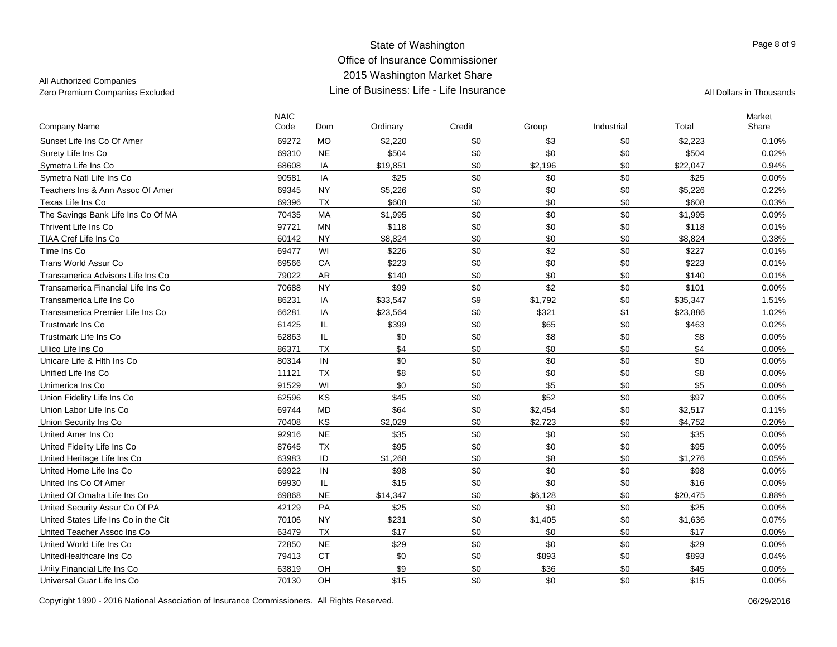## All Authorized Companies

| <b>Company Name</b>                  | <b>NAIC</b><br>Code | Dom       | Ordinary | Credit | Group   | Industrial | Total    | Market<br>Share |
|--------------------------------------|---------------------|-----------|----------|--------|---------|------------|----------|-----------------|
| Sunset Life Ins Co Of Amer           | 69272               | <b>MO</b> | \$2,220  | \$0    | \$3     | \$0        | \$2,223  | 0.10%           |
| Surety Life Ins Co                   | 69310               | <b>NE</b> | \$504    | \$0    | \$0     | \$0        | \$504    | 0.02%           |
| Symetra Life Ins Co                  | 68608               | IA        | \$19,851 | \$0    | \$2,196 | \$0        | \$22.047 | 0.94%           |
| Symetra Natl Life Ins Co             | 90581               | IA        | \$25     | \$0    | \$0     | \$0        | \$25     | 0.00%           |
| Teachers Ins & Ann Assoc Of Amer     | 69345               | <b>NY</b> | \$5,226  | \$0    | \$0     | \$0        | \$5,226  | 0.22%           |
| Texas Life Ins Co                    | 69396               | <b>TX</b> | \$608    | \$0    | \$0     | \$0        | \$608    | 0.03%           |
| The Savings Bank Life Ins Co Of MA   | 70435               | <b>MA</b> | \$1,995  | \$0    | \$0     | \$0        | \$1,995  | 0.09%           |
| Thrivent Life Ins Co                 | 97721               | <b>MN</b> | \$118    | \$0    | \$0     | \$0        | \$118    | 0.01%           |
| TIAA Cref Life Ins Co                | 60142               | <b>NY</b> | \$8,824  | \$0    | \$0     | \$0        | \$8,824  | 0.38%           |
| Time Ins Co                          | 69477               | WI        | \$226    | \$0    | \$2     | \$0        | \$227    | 0.01%           |
| <b>Trans World Assur Co</b>          | 69566               | CA        | \$223    | \$0    | \$0     | \$0        | \$223    | 0.01%           |
| Transamerica Advisors Life Ins Co    | 79022               | <b>AR</b> | \$140    | \$0    | \$0     | \$0        | \$140    | 0.01%           |
| Transamerica Financial Life Ins Co   | 70688               | <b>NY</b> | \$99     | \$0    | \$2     | \$0        | \$101    | 0.00%           |
| Transamerica Life Ins Co             | 86231               | IA        | \$33,547 | \$9    | \$1,792 | \$0        | \$35,347 | 1.51%           |
| Transamerica Premier Life Ins Co     | 66281               | IA        | \$23,564 | \$0    | \$321   | \$1        | \$23,886 | 1.02%           |
| <b>Trustmark Ins Co</b>              | 61425               | IL        | \$399    | \$0    | \$65    | \$0        | \$463    | 0.02%           |
| <b>Trustmark Life Ins Co</b>         | 62863               | IL        | \$0      | \$0    | \$8     | \$0        | \$8      | 0.00%           |
| Ullico Life Ins Co                   | 86371               | <b>TX</b> | \$4      | \$0    | \$0     | \$0        | \$4      | 0.00%           |
| Unicare Life & Hith Ins Co           | 80314               | IN        | \$0      | \$0    | \$0     | \$0        | \$0      | 0.00%           |
| Unified Life Ins Co                  | 11121               | <b>TX</b> | \$8      | \$0    | \$0     | \$0        | \$8      | 0.00%           |
| Unimerica Ins Co                     | 91529               | WI        | \$0      | \$0    | \$5     | \$0        | \$5      | 0.00%           |
| Union Fidelity Life Ins Co           | 62596               | KS        | \$45     | \$0    | \$52    | \$0        | \$97     | 0.00%           |
| Union Labor Life Ins Co              | 69744               | <b>MD</b> | \$64     | \$0    | \$2,454 | \$0        | \$2,517  | 0.11%           |
| Union Security Ins Co                | 70408               | KS        | \$2.029  | \$0    | \$2,723 | \$0        | \$4,752  | 0.20%           |
| United Amer Ins Co.                  | 92916               | <b>NE</b> | \$35     | \$0    | \$0     | \$0        | \$35     | 0.00%           |
| United Fidelity Life Ins Co          | 87645               | <b>TX</b> | \$95     | \$0    | \$0     | \$0        | \$95     | 0.00%           |
| United Heritage Life Ins Co.         | 63983               | ID        | \$1,268  | \$0    | \$8     | \$0        | \$1,276  | 0.05%           |
| United Home Life Ins Co              | 69922               | IN        | \$98     | \$0    | \$0     | \$0        | \$98     | 0.00%           |
| United Ins Co Of Amer                | 69930               | IL.       | \$15     | \$0    | \$0     | \$0        | \$16     | 0.00%           |
| United Of Omaha Life Ins Co          | 69868               | <b>NE</b> | \$14,347 | \$0    | \$6.128 | \$0        | \$20.475 | 0.88%           |
| United Security Assur Co Of PA       | 42129               | PA        | \$25     | \$0    | \$0     | \$0        | \$25     | 0.00%           |
| United States Life Ins Co in the Cit | 70106               | <b>NY</b> | \$231    | \$0    | \$1,405 | \$0        | \$1,636  | 0.07%           |
| United Teacher Assoc Ins Co          | 63479               | <b>TX</b> | \$17     | \$0    | \$0     | \$0        | \$17     | 0.00%           |
| United World Life Ins Co.            | 72850               | <b>NE</b> | \$29     | \$0    | \$0     | \$0        | \$29     | 0.00%           |
| UnitedHealthcare Ins Co              | 79413               | <b>CT</b> | \$0      | \$0    | \$893   | \$0        | \$893    | 0.04%           |
| Unity Financial Life Ins Co          | 63819               | OH        | \$9      | \$0    | \$36    | \$0        | \$45     | 0.00%           |
| Universal Guar Life Ins Co           | 70130               | OH        | \$15     | \$0    | \$0     | \$0        | \$15     | 0.00%           |

Copyright 1990 - 2016 National Association of Insurance Commissioners. All Rights Reserved. 06/29/2016 06/29/2016

Page 8 of 9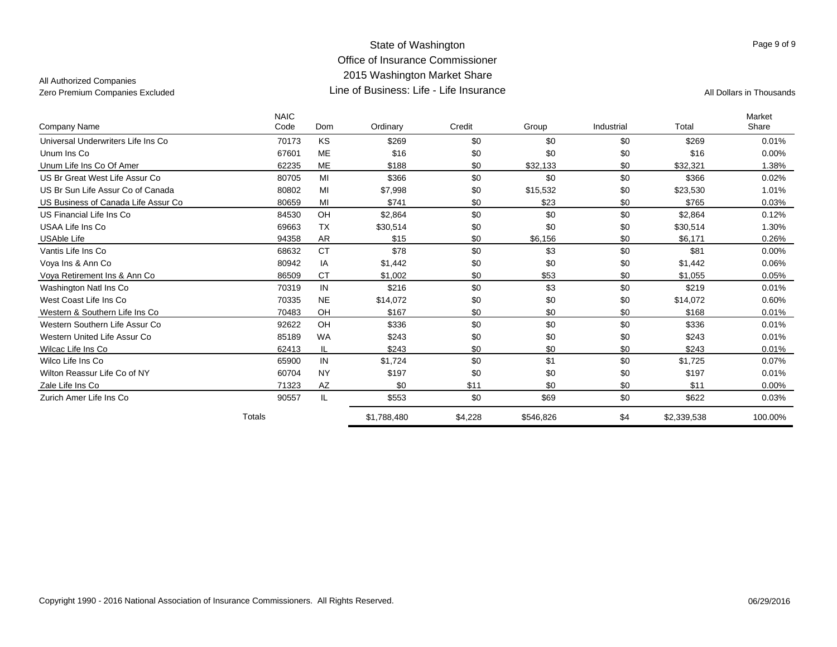## All Authorized Companies

|                                     | <b>NAIC</b> |           |             |         |           |            |             | Market   |
|-------------------------------------|-------------|-----------|-------------|---------|-----------|------------|-------------|----------|
| Company Name                        | Code        | Dom       | Ordinary    | Credit  | Group     | Industrial | Total       | Share    |
| Universal Underwriters Life Ins Co  | 70173       | <b>KS</b> | \$269       | \$0     | \$0       | \$0        | \$269       | 0.01%    |
| Unum Ins Co                         | 67601       | <b>ME</b> | \$16        | \$0     | \$0       | \$0        | \$16        | $0.00\%$ |
| Unum Life Ins Co Of Amer            | 62235       | <b>ME</b> | \$188       | \$0     | \$32,133  | \$0        | \$32.321    | 1.38%    |
| US Br Great West Life Assur Co      | 80705       | MI        | \$366       | \$0     | \$0       | \$0        | \$366       | 0.02%    |
| US Br Sun Life Assur Co of Canada   | 80802       | MI        | \$7,998     | \$0     | \$15,532  | \$0        | \$23,530    | 1.01%    |
| US Business of Canada Life Assur Co | 80659       | MI        | \$741       | \$0     | \$23      | \$0        | \$765       | 0.03%    |
| US Financial Life Ins Co            | 84530       | OH        | \$2,864     | \$0     | \$0       | \$0        | \$2,864     | 0.12%    |
| USAA Life Ins Co                    | 69663       | <b>TX</b> | \$30,514    | \$0     | \$0       | \$0        | \$30,514    | 1.30%    |
| <b>USAble Life</b>                  | 94358       | AR        | \$15        | \$0     | \$6,156   | \$0        | \$6,171     | 0.26%    |
| Vantis Life Ins Co                  | 68632       | <b>CT</b> | \$78        | \$0     | \$3       | \$0        | \$81        | $0.00\%$ |
| Voya Ins & Ann Co                   | 80942       | IA        | \$1,442     | \$0     | \$0       | \$0        | \$1,442     | 0.06%    |
| Vova Retirement Ins & Ann Co        | 86509       | <b>CT</b> | \$1,002     | \$0     | \$53      | \$0        | \$1,055     | 0.05%    |
| Washington Natl Ins Co              | 70319       | IN        | \$216       | \$0     | \$3       | \$0        | \$219       | 0.01%    |
| West Coast Life Ins Co              | 70335       | <b>NE</b> | \$14,072    | \$0     | \$0       | \$0        | \$14,072    | 0.60%    |
| Western & Southern Life Ins Co      | 70483       | OH        | \$167       | \$0     | \$0       | \$0        | \$168       | 0.01%    |
| Western Southern Life Assur Co      | 92622       | OH        | \$336       | \$0     | \$0       | \$0        | \$336       | 0.01%    |
| Western United Life Assur Co        | 85189       | <b>WA</b> | \$243       | \$0     | \$0       | \$0        | \$243       | 0.01%    |
| Wilcac Life Ins Co                  | 62413       | IL        | \$243       | \$0     | \$0       | \$0        | \$243       | 0.01%    |
| Wilco Life Ins Co                   | 65900       | IN        | \$1,724     | \$0     | \$1       | \$0        | \$1,725     | 0.07%    |
| Wilton Reassur Life Co of NY        | 60704       | <b>NY</b> | \$197       | \$0     | \$0       | \$0        | \$197       | 0.01%    |
| Zale Life Ins Co                    | 71323       | AZ        | \$0         | \$11    | \$0       | \$0        | \$11        | $0.00\%$ |
| Zurich Amer Life Ins Co             | 90557       | IL.       | \$553       | \$0     | \$69      | \$0        | \$622       | 0.03%    |
|                                     | Totals      |           | \$1,788,480 | \$4,228 | \$546,826 | \$4        | \$2,339,538 | 100.00%  |

Page 9 of 9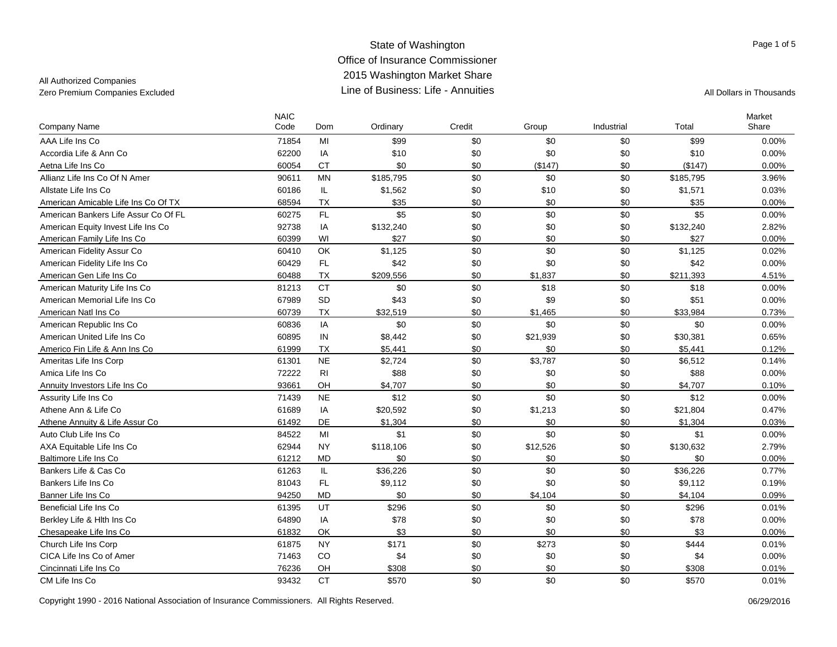## All Authorized Companies

| <b>Company Name</b>                  | <b>NAIC</b><br>Code | Dom       | Ordinary  | Credit | Group    | Industrial | Total     | Market<br>Share |
|--------------------------------------|---------------------|-----------|-----------|--------|----------|------------|-----------|-----------------|
| AAA Life Ins Co                      | 71854               | MI        | \$99      | \$0    | \$0      | \$0        | \$99      | 0.00%           |
| Accordia Life & Ann Co               | 62200               | IA        | \$10      | \$0    | \$0      | \$0        | \$10      | 0.00%           |
| Aetna Life Ins Co                    | 60054               | <b>CT</b> | \$0       | \$0    | (\$147)  | \$0        | (\$147)   | 0.00%           |
| Allianz Life Ins Co Of N Amer        | 90611               | <b>MN</b> | \$185,795 | \$0    | \$0      | \$0        | \$185,795 | 3.96%           |
| Allstate Life Ins Co                 | 60186               | IL.       | \$1,562   | \$0    | \$10     | \$0        | \$1,571   | 0.03%           |
| American Amicable Life Ins Co Of TX  | 68594               | <b>TX</b> | \$35      | \$0    | \$0      | \$0        | \$35      | 0.00%           |
| American Bankers Life Assur Co Of FL | 60275               | FL        | \$5       | \$0    | \$0      | \$0        | \$5       | 0.00%           |
| American Equity Invest Life Ins Co   | 92738               | IA        | \$132,240 | \$0    | \$0      | \$0        | \$132,240 | 2.82%           |
| American Family Life Ins Co          | 60399               | WI        | \$27      | \$0    | \$0      | \$0        | \$27      | $0.00\%$        |
| American Fidelity Assur Co           | 60410               | OK        | \$1,125   | \$0    | \$0      | \$0        | \$1,125   | 0.02%           |
| American Fidelity Life Ins Co        | 60429               | FL        | \$42      | \$0    | \$0      | \$0        | \$42      | 0.00%           |
| American Gen Life Ins Co             | 60488               | <b>TX</b> | \$209,556 | \$0    | \$1,837  | \$0        | \$211,393 | 4.51%           |
| American Maturity Life Ins Co        | 81213               | <b>CT</b> | \$0       | \$0    | \$18     | \$0        | \$18      | 0.00%           |
| American Memorial Life Ins Co        | 67989               | SD        | \$43      | \$0    | \$9      | \$0        | \$51      | 0.00%           |
| American Natl Ins Co.                | 60739               | TX        | \$32,519  | \$0    | \$1,465  | \$0        | \$33,984  | 0.73%           |
| American Republic Ins Co             | 60836               | IA        | \$0       | \$0    | \$0      | \$0        | \$0       | 0.00%           |
| American United Life Ins Co.         | 60895               | IN        | \$8,442   | \$0    | \$21,939 | \$0        | \$30,381  | 0.65%           |
| Americo Fin Life & Ann Ins Co        | 61999               | TX        | \$5,441   | \$0    | \$0      | \$0        | \$5,441   | 0.12%           |
| Ameritas Life Ins Corp               | 61301               | <b>NE</b> | \$2,724   | \$0    | \$3,787  | \$0        | \$6,512   | 0.14%           |
| Amica Life Ins Co                    | 72222               | <b>RI</b> | \$88      | \$0    | \$0      | \$0        | \$88      | 0.00%           |
| Annuity Investors Life Ins Co        | 93661               | OH        | \$4,707   | \$0    | \$0      | \$0        | \$4,707   | 0.10%           |
| Assurity Life Ins Co                 | 71439               | <b>NE</b> | \$12      | \$0    | \$0      | \$0        | \$12      | $0.00\%$        |
| Athene Ann & Life Co                 | 61689               | IA        | \$20,592  | \$0    | \$1,213  | \$0        | \$21,804  | 0.47%           |
| Athene Annuity & Life Assur Co       | 61492               | DE        | \$1,304   | \$0    | \$0      | \$0        | \$1,304   | 0.03%           |
| Auto Club Life Ins Co                | 84522               | MI        | \$1       | \$0    | \$0      | \$0        | \$1       | 0.00%           |
| AXA Equitable Life Ins Co            | 62944               | <b>NY</b> | \$118,106 | \$0    | \$12,526 | \$0        | \$130,632 | 2.79%           |
| Baltimore Life Ins Co                | 61212               | <b>MD</b> | \$0       | \$0    | \$0      | \$0        | \$0       | 0.00%           |
| Bankers Life & Cas Co                | 61263               | IL.       | \$36,226  | \$0    | \$0      | \$0        | \$36,226  | 0.77%           |
| Bankers Life Ins Co                  | 81043               | FL        | \$9,112   | \$0    | \$0      | \$0        | \$9,112   | 0.19%           |
| Banner Life Ins Co                   | 94250               | <b>MD</b> | \$0       | \$0    | \$4,104  | \$0        | \$4,104   | 0.09%           |
| Beneficial Life Ins Co               | 61395               | UT        | \$296     | \$0    | \$0      | \$0        | \$296     | 0.01%           |
| Berkley Life & Hith Ins Co           | 64890               | IA        | \$78      | \$0    | \$0      | \$0        | \$78      | 0.00%           |
| Chesapeake Life Ins Co               | 61832               | OK        | \$3       | \$0    | \$0      | \$0        | \$3       | $0.00\%$        |
| Church Life Ins Corp                 | 61875               | <b>NY</b> | \$171     | \$0    | \$273    | \$0        | \$444     | 0.01%           |
| CICA Life Ins Co of Amer             | 71463               | CO        | \$4       | \$0    | \$0      | \$0        | \$4       | 0.00%           |
| Cincinnati Life Ins Co               | 76236               | OH        | \$308     | \$0    | \$0      | \$0        | \$308     | 0.01%           |
| CM Life Ins Co                       | 93432               | <b>CT</b> | \$570     | \$0    | \$0      | \$0        | \$570     | 0.01%           |

Page 1 of 5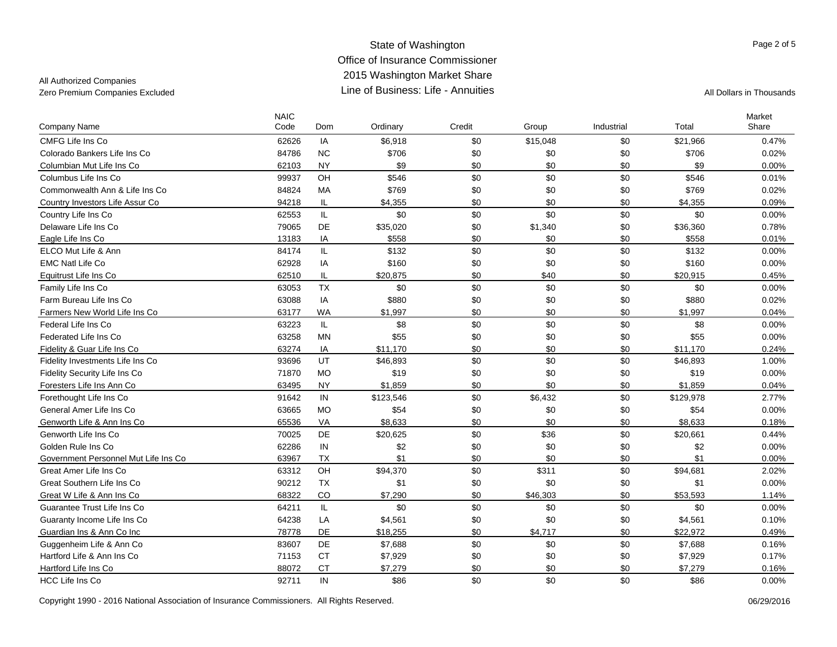## All Authorized Companies

| Company Name                         | <b>NAIC</b><br>Code | Dom        | Ordinary  | Credit | Group    | Industrial | Total     | Market<br>Share |
|--------------------------------------|---------------------|------------|-----------|--------|----------|------------|-----------|-----------------|
| CMFG Life Ins Co                     | 62626               | IA         | \$6,918   | \$0    | \$15,048 | \$0        | \$21,966  | 0.47%           |
| Colorado Bankers Life Ins Co         | 84786               | <b>NC</b>  | \$706     | \$0    | \$0      | \$0        | \$706     | 0.02%           |
| Columbian Mut Life Ins Co            | 62103               | <b>NY</b>  | \$9       | \$0    | \$0      | \$0        | \$9       | 0.00%           |
| Columbus Life Ins Co                 | 99937               | OH         | \$546     | \$0    | \$0      | \$0        | \$546     | 0.01%           |
| Commonwealth Ann & Life Ins Co       | 84824               | <b>MA</b>  | \$769     | \$0    | \$0      | \$0        | \$769     | 0.02%           |
| Country Investors Life Assur Co      | 94218               | IL         | \$4,355   | \$0    | \$0      | \$0        | \$4,355   | 0.09%           |
| Country Life Ins Co                  | 62553               | IL.        | \$0       | \$0    | \$0      | \$0        | \$0       | 0.00%           |
| Delaware Life Ins Co                 | 79065               | DE         | \$35,020  | \$0    | \$1,340  | \$0        | \$36,360  | 0.78%           |
| Eagle Life Ins Co                    | 13183               | IA         | \$558     | \$0    | \$0      | \$0        | \$558     | 0.01%           |
| ELCO Mut Life & Ann                  | 84174               | IL         | \$132     | \$0    | \$0      | \$0        | \$132     | 0.00%           |
| <b>EMC Natl Life Co</b>              | 62928               | IA         | \$160     | \$0    | \$0      | \$0        | \$160     | 0.00%           |
| Equitrust Life Ins Co                | 62510               | IL         | \$20,875  | \$0    | \$40     | \$0        | \$20,915  | 0.45%           |
| Family Life Ins Co                   | 63053               | <b>TX</b>  | \$0       | \$0    | \$0      | \$0        | \$0       | 0.00%           |
| Farm Bureau Life Ins Co              | 63088               | IA         | \$880     | \$0    | \$0      | \$0        | \$880     | 0.02%           |
| Farmers New World Life Ins Co        | 63177               | WA         | \$1,997   | \$0    | \$0      | \$0        | \$1,997   | 0.04%           |
| Federal Life Ins Co                  | 63223               | IL.        | \$8       | \$0    | \$0      | \$0        | \$8       | 0.00%           |
| Federated Life Ins Co                | 63258               | <b>MN</b>  | \$55      | \$0    | \$0      | \$0        | \$55      | 0.00%           |
| Fidelity & Guar Life Ins Co          | 63274               | IA         | \$11,170  | \$0    | \$0      | \$0        | \$11,170  | 0.24%           |
| Fidelity Investments Life Ins Co     | 93696               | UT         | \$46,893  | \$0    | \$0      | \$0        | \$46,893  | 1.00%           |
| Fidelity Security Life Ins Co        | 71870               | <b>MO</b>  | \$19      | \$0    | \$0      | \$0        | \$19      | 0.00%           |
| Foresters Life Ins Ann Co            | 63495               | <b>NY</b>  | \$1,859   | \$0    | \$0      | \$0        | \$1,859   | 0.04%           |
| Forethought Life Ins Co              | 91642               | ${\sf IN}$ | \$123,546 | \$0    | \$6,432  | \$0        | \$129,978 | 2.77%           |
| General Amer Life Ins Co             | 63665               | <b>MO</b>  | \$54      | \$0    | \$0      | \$0        | \$54      | 0.00%           |
| Genworth Life & Ann Ins Co           | 65536               | VA         | \$8,633   | \$0    | \$0      | \$0        | \$8,633   | 0.18%           |
| Genworth Life Ins Co                 | 70025               | DE         | \$20,625  | \$0    | \$36     | \$0        | \$20,661  | 0.44%           |
| Golden Rule Ins Co                   | 62286               | IN         | \$2       | \$0    | \$0      | \$0        | \$2       | 0.00%           |
| Government Personnel Mut Life Ins Co | 63967               | <b>TX</b>  | \$1       | \$0    | \$0      | \$0        | \$1       | 0.00%           |
| Great Amer Life Ins Co               | 63312               | OH         | \$94,370  | \$0    | \$311    | \$0        | \$94,681  | 2.02%           |
| Great Southern Life Ins Co           | 90212               | <b>TX</b>  | \$1       | \$0    | \$0      | \$0        | \$1       | 0.00%           |
| Great W Life & Ann Ins Co            | 68322               | CO         | \$7,290   | \$0    | \$46,303 | \$0        | \$53,593  | 1.14%           |
| Guarantee Trust Life Ins Co          | 64211               | IL.        | \$0       | \$0    | \$0      | \$0        | \$0       | 0.00%           |
| Guaranty Income Life Ins Co          | 64238               | LA         | \$4,561   | \$0    | \$0      | \$0        | \$4,561   | 0.10%           |
| Guardian Ins & Ann Co Inc            | 78778               | DE         | \$18,255  | \$0    | \$4,717  | \$0        | \$22,972  | 0.49%           |
| Guggenheim Life & Ann Co             | 83607               | DE         | \$7,688   | \$0    | \$0      | \$0        | \$7,688   | 0.16%           |
| Hartford Life & Ann Ins Co           | 71153               | <b>CT</b>  | \$7,929   | \$0    | \$0      | \$0        | \$7,929   | 0.17%           |
| Hartford Life Ins Co                 | 88072               | <b>CT</b>  | \$7,279   | \$0    | \$0      | \$0        | \$7,279   | 0.16%           |
| <b>HCC Life Ins Co</b>               | 92711               | IN         | \$86      | \$0    | \$0      | \$0        | \$86      | 0.00%           |

Copyright 1990 - 2016 National Association of Insurance Commissioners. All Rights Reserved. 06/29/2016 06/29/2016

Page 2 of 5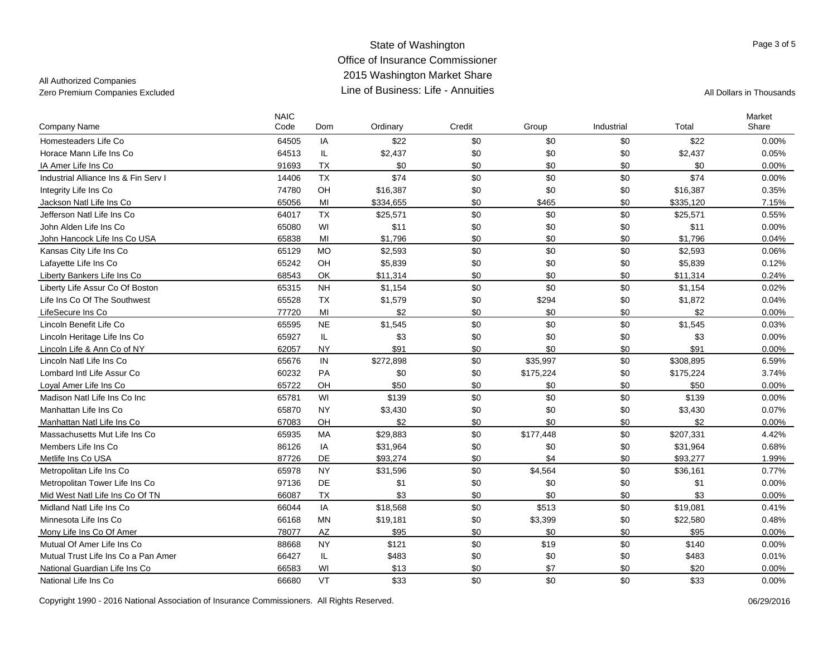### All Authorized Companies

| Company Name                         | <b>NAIC</b><br>Code | Dom            | Ordinary  | Credit | Group     | Industrial | Total     | Market<br>Share |
|--------------------------------------|---------------------|----------------|-----------|--------|-----------|------------|-----------|-----------------|
| Homesteaders Life Co                 | 64505               | IA             | \$22      | \$0    | \$0       | \$0        | \$22      | 0.00%           |
| Horace Mann Life Ins Co              | 64513               | IL             | \$2,437   | \$0    | \$0       | \$0        | \$2,437   | 0.05%           |
| IA Amer Life Ins Co                  | 91693               | <b>TX</b>      | \$0       | \$0    | \$0       | \$0        | \$0       | 0.00%           |
| Industrial Alliance Ins & Fin Serv I | 14406               | <b>TX</b>      | \$74      | \$0    | \$0       | \$0        | \$74      | 0.00%           |
| Integrity Life Ins Co                | 74780               | OH             | \$16,387  | \$0    | \$0       | \$0        | \$16,387  | 0.35%           |
| Jackson Natl Life Ins Co             | 65056               | M <sub>l</sub> | \$334,655 | \$0    | \$465     | \$0        | \$335,120 | 7.15%           |
| Jefferson Natl Life Ins Co           | 64017               | <b>TX</b>      | \$25,571  | \$0    | \$0       | \$0        | \$25,571  | 0.55%           |
| John Alden Life Ins Co               | 65080               | WI             | \$11      | \$0    | \$0       | \$0        | \$11      | 0.00%           |
| John Hancock Life Ins Co USA         | 65838               | MI             | \$1,796   | \$0    | \$0       | \$0        | \$1,796   | 0.04%           |
| Kansas City Life Ins Co              | 65129               | <b>MO</b>      | \$2,593   | \$0    | \$0       | \$0        | \$2,593   | 0.06%           |
| Lafayette Life Ins Co                | 65242               | OH             | \$5,839   | \$0    | \$0       | \$0        | \$5,839   | 0.12%           |
| Liberty Bankers Life Ins Co          | 68543               | OK             | \$11,314  | \$0    | \$0       | \$0        | \$11,314  | 0.24%           |
| Liberty Life Assur Co Of Boston      | 65315               | <b>NH</b>      | \$1,154   | \$0    | \$0       | \$0        | \$1,154   | 0.02%           |
| Life Ins Co Of The Southwest         | 65528               | <b>TX</b>      | \$1,579   | \$0    | \$294     | \$0        | \$1,872   | 0.04%           |
| LifeSecure Ins Co                    | 77720               | MI             | \$2       | \$0    | \$0       | \$0        | \$2       | 0.00%           |
| Lincoln Benefit Life Co              | 65595               | <b>NE</b>      | \$1,545   | \$0    | \$0       | \$0        | \$1,545   | 0.03%           |
| Lincoln Heritage Life Ins Co         | 65927               | IL             | \$3       | \$0    | \$0       | \$0        | \$3       | $0.00\%$        |
| Lincoln Life & Ann Co of NY          | 62057               | <b>NY</b>      | \$91      | \$0    | \$0       | \$0        | \$91      | 0.00%           |
| Lincoln Natl Life Ins Co             | 65676               | IN             | \$272,898 | \$0    | \$35,997  | \$0        | \$308,895 | 6.59%           |
| Lombard Intl Life Assur Co           | 60232               | <b>PA</b>      | \$0       | \$0    | \$175,224 | \$0        | \$175,224 | 3.74%           |
| Loyal Amer Life Ins Co               | 65722               | OH             | \$50      | \$0    | \$0       | \$0        | \$50      | 0.00%           |
| Madison Natl Life Ins Co Inc         | 65781               | WI             | \$139     | \$0    | \$0       | \$0        | \$139     | 0.00%           |
| Manhattan Life Ins Co                | 65870               | <b>NY</b>      | \$3,430   | \$0    | \$0       | \$0        | \$3,430   | 0.07%           |
| Manhattan Natl Life Ins Co           | 67083               | OH             | \$2       | \$0    | \$0       | \$0        | \$2       | 0.00%           |
| Massachusetts Mut Life Ins Co        | 65935               | MA             | \$29,883  | \$0    | \$177,448 | \$0        | \$207,331 | 4.42%           |
| Members Life Ins Co                  | 86126               | IA             | \$31,964  | \$0    | \$0       | \$0        | \$31,964  | 0.68%           |
| Metlife Ins Co USA                   | 87726               | DE             | \$93,274  | \$0    | \$4       | \$0        | \$93,277  | 1.99%           |
| Metropolitan Life Ins Co             | 65978               | <b>NY</b>      | \$31,596  | \$0    | \$4,564   | \$0        | \$36,161  | 0.77%           |
| Metropolitan Tower Life Ins Co       | 97136               | DE             | \$1       | \$0    | \$0       | \$0        | \$1       | 0.00%           |
| Mid West Natl Life Ins Co Of TN      | 66087               | <b>TX</b>      | \$3       | \$0    | \$0       | \$0        | \$3       | 0.00%           |
| Midland Natl Life Ins Co             | 66044               | IA             | \$18,568  | \$0    | \$513     | \$0        | \$19,081  | 0.41%           |
| Minnesota Life Ins Co                | 66168               | <b>MN</b>      | \$19,181  | \$0    | \$3,399   | \$0        | \$22,580  | 0.48%           |
| Mony Life Ins Co Of Amer             | 78077               | AZ             | \$95      | \$0    | \$0       | \$0        | \$95      | 0.00%           |
| Mutual Of Amer Life Ins Co.          | 88668               | <b>NY</b>      | \$121     | \$0    | \$19      | \$0        | \$140     | 0.00%           |
| Mutual Trust Life Ins Co a Pan Amer  | 66427               | IL             | \$483     | \$0    | \$0       | \$0        | \$483     | 0.01%           |
| National Guardian Life Ins Co        | 66583               | WI             | \$13      | \$0    | \$7       | \$0        | \$20      | 0.00%           |
| National Life Ins Co                 | 66680               | VT             | \$33      | \$0    | \$0       | \$0        | \$33      | 0.00%           |

Page 3 of 5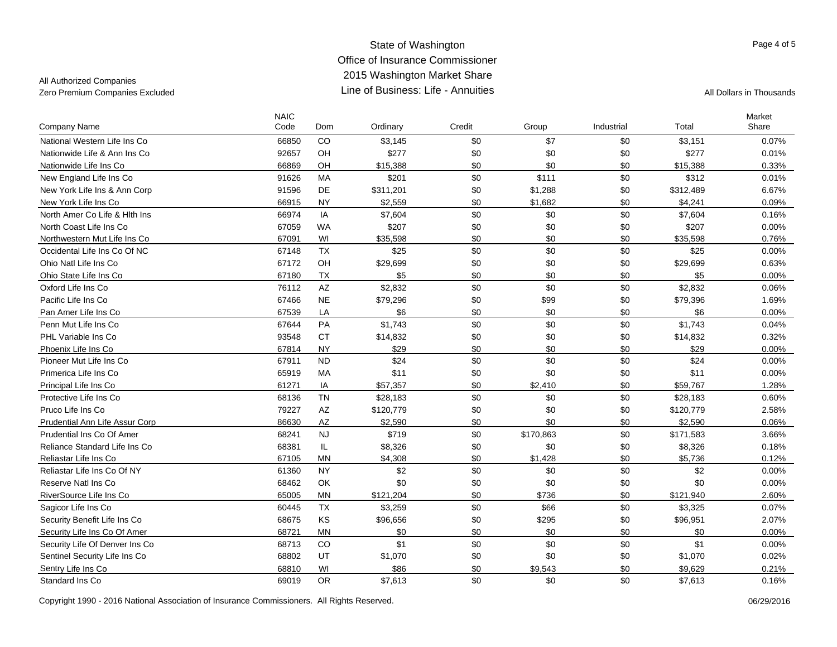## All Authorized Companies

| Company Name                   | <b>NAIC</b><br>Code | Dom                    | Ordinary  | Credit | Group     | Industrial | Total     | Market<br>Share |
|--------------------------------|---------------------|------------------------|-----------|--------|-----------|------------|-----------|-----------------|
| National Western Life Ins Co   | 66850               | CO                     | \$3,145   | \$0    | \$7       | \$0        | \$3,151   | 0.07%           |
| Nationwide Life & Ann Ins Co   | 92657               | OH                     | \$277     | \$0    | \$0       | \$0        | \$277     | 0.01%           |
| Nationwide Life Ins Co         | 66869               | OH                     | \$15,388  | \$0    | \$0       | \$0        | \$15,388  | 0.33%           |
| New England Life Ins Co        | 91626               | <b>MA</b>              | \$201     | \$0    | \$111     | \$0        | \$312     | 0.01%           |
| New York Life Ins & Ann Corp   | 91596               | DE                     | \$311,201 | \$0    | \$1,288   | \$0        | \$312,489 | 6.67%           |
| New York Life Ins Co           | 66915               | <b>NY</b>              | \$2,559   | \$0    | \$1,682   | \$0        | \$4,241   | 0.09%           |
| North Amer Co Life & Hith Ins  | 66974               | IA                     | \$7,604   | \$0    | \$0       | \$0        | \$7,604   | 0.16%           |
| North Coast Life Ins Co        | 67059               | <b>WA</b>              | \$207     | \$0    | \$0       | \$0        | \$207     | 0.00%           |
| Northwestern Mut Life Ins Co   | 67091               | WI                     | \$35,598  | \$0    | \$0       | \$0        | \$35,598  | 0.76%           |
| Occidental Life Ins Co Of NC   | 67148               | TX                     | \$25      | \$0    | \$0       | \$0        | \$25      | 0.00%           |
| Ohio Natl Life Ins Co          | 67172               | OH                     | \$29,699  | \$0    | \$0       | \$0        | \$29,699  | 0.63%           |
| Ohio State Life Ins Co         | 67180               | <b>TX</b>              | \$5       | \$0    | \$0       | \$0        | \$5       | 0.00%           |
| Oxford Life Ins Co             | 76112               | $\mathsf{A}\mathsf{Z}$ | \$2,832   | \$0    | \$0       | \$0        | \$2,832   | 0.06%           |
| Pacific Life Ins Co            | 67466               | $N\mathsf{E}$          | \$79,296  | \$0    | \$99      | \$0        | \$79,396  | 1.69%           |
| Pan Amer Life Ins Co           | 67539               | LA                     | \$6       | \$0    | \$0       | \$0        | \$6       | $0.00\%$        |
| Penn Mut Life Ins Co           | 67644               | PA                     | \$1,743   | \$0    | \$0       | \$0        | \$1,743   | 0.04%           |
| PHL Variable Ins Co.           | 93548               | <b>CT</b>              | \$14,832  | \$0    | \$0       | \$0        | \$14,832  | 0.32%           |
| Phoenix Life Ins Co            | 67814               | <b>NY</b>              | \$29      | \$0    | \$0       | \$0        | \$29      | 0.00%           |
| Pioneer Mut Life Ins Co        | 67911               | <b>ND</b>              | \$24      | \$0    | \$0       | \$0        | \$24      | 0.00%           |
| Primerica Life Ins Co          | 65919               | MA                     | \$11      | \$0    | \$0       | \$0        | \$11      | 0.00%           |
| Principal Life Ins Co          | 61271               | IA                     | \$57,357  | \$0    | \$2,410   | \$0        | \$59,767  | 1.28%           |
| Protective Life Ins Co         | 68136               | <b>TN</b>              | \$28,183  | \$0    | \$0       | \$0        | \$28,183  | 0.60%           |
| Pruco Life Ins Co              | 79227               | AZ                     | \$120,779 | \$0    | \$0       | \$0        | \$120,779 | 2.58%           |
| Prudential Ann Life Assur Corp | 86630               | <b>AZ</b>              | \$2,590   | \$0    | \$0       | \$0        | \$2,590   | 0.06%           |
| Prudential Ins Co Of Amer      | 68241               | <b>NJ</b>              | \$719     | \$0    | \$170,863 | \$0        | \$171,583 | 3.66%           |
| Reliance Standard Life Ins Co  | 68381               | IL                     | \$8,326   | \$0    | \$0       | \$0        | \$8,326   | 0.18%           |
| Reliastar Life Ins Co          | 67105               | <b>MN</b>              | \$4,308   | \$0    | \$1,428   | \$0        | \$5,736   | 0.12%           |
| Reliastar Life Ins Co Of NY    | 61360               | <b>NY</b>              | \$2       | \$0    | \$0       | \$0        | \$2       | 0.00%           |
| Reserve Natl Ins Co            | 68462               | OK                     | \$0       | \$0    | \$0       | \$0        | \$0       | 0.00%           |
| RiverSource Life Ins Co        | 65005               | <b>MN</b>              | \$121,204 | \$0    | \$736     | \$0        | \$121,940 | 2.60%           |
| Sagicor Life Ins Co            | 60445               | <b>TX</b>              | \$3,259   | \$0    | \$66      | \$0        | \$3,325   | 0.07%           |
| Security Benefit Life Ins Co   | 68675               | KS                     | \$96,656  | \$0    | \$295     | \$0        | \$96,951  | 2.07%           |
| Security Life Ins Co Of Amer   | 68721               | <b>MN</b>              | \$0       | \$0    | \$0       | \$0        | \$0       | 0.00%           |
| Security Life Of Denver Ins Co | 68713               | CO                     | \$1       | \$0    | \$0       | \$0        | \$1       | 0.00%           |
| Sentinel Security Life Ins Co  | 68802               | UT                     | \$1,070   | \$0    | \$0       | \$0        | \$1,070   | 0.02%           |
| Sentry Life Ins Co             | 68810               | WI                     | \$86      | \$0    | \$9,543   | \$0        | \$9,629   | 0.21%           |
| Standard Ins Co                | 69019               | <b>OR</b>              | \$7,613   | \$0    | \$0       | \$0        | \$7,613   | 0.16%           |

Copyright 1990 - 2016 National Association of Insurance Commissioners. All Rights Reserved. 06/29/2016 06/29/2016

Page 4 of 5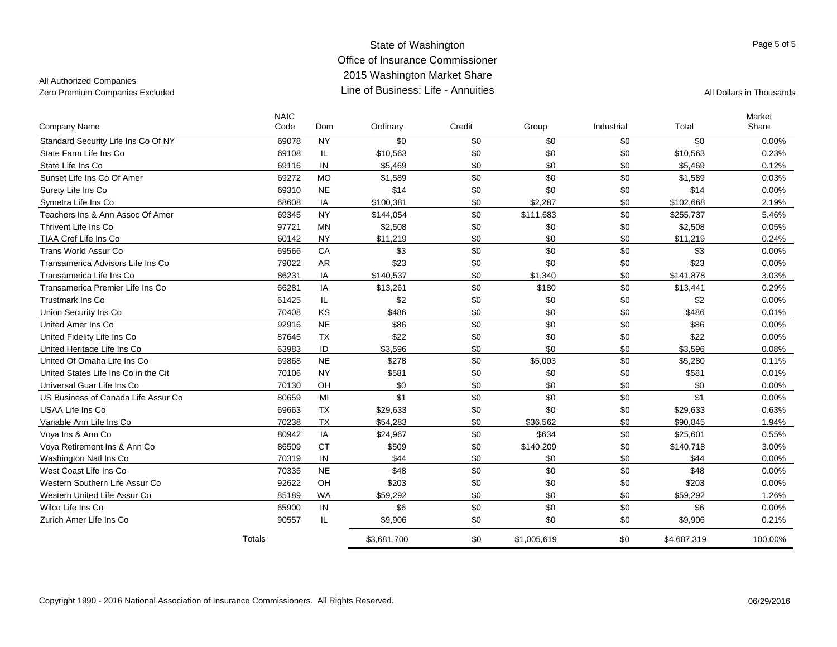## All Authorized Companies

|                                      | <b>NAIC</b><br>Code | Dom       | Ordinary    | Credit | Group       | Industrial | Total       | Market<br>Share |
|--------------------------------------|---------------------|-----------|-------------|--------|-------------|------------|-------------|-----------------|
| <b>Company Name</b>                  |                     |           |             |        |             |            |             |                 |
| Standard Security Life Ins Co Of NY  | 69078               | <b>NY</b> | \$0         | \$0    | \$0         | \$0        | \$0         | 0.00%           |
| State Farm Life Ins Co               | 69108               | IL        | \$10,563    | \$0    | \$0         | \$0        | \$10,563    | 0.23%           |
| State Life Ins Co                    | 69116               | IN        | \$5.469     | \$0    | \$0         | \$0        | \$5.469     | 0.12%           |
| Sunset Life Ins Co Of Amer           | 69272               | <b>MO</b> | \$1,589     | \$0    | \$0         | \$0        | \$1,589     | 0.03%           |
| Surety Life Ins Co                   | 69310               | <b>NE</b> | \$14        | \$0    | \$0         | \$0        | \$14        | 0.00%           |
| Symetra Life Ins Co                  | 68608               | IA        | \$100,381   | \$0    | \$2,287     | \$0        | \$102,668   | 2.19%           |
| Teachers Ins & Ann Assoc Of Amer     | 69345               | <b>NY</b> | \$144,054   | \$0    | \$111,683   | \$0        | \$255,737   | 5.46%           |
| Thrivent Life Ins Co.                | 97721               | <b>MN</b> | \$2,508     | \$0    | \$0         | \$0        | \$2,508     | 0.05%           |
| TIAA Cref Life Ins Co                | 60142               | <b>NY</b> | \$11,219    | \$0    | \$0         | \$0        | \$11,219    | 0.24%           |
| Trans World Assur Co.                | 69566               | CA        | \$3         | \$0    | \$0         | \$0        | \$3         | 0.00%           |
| Transamerica Advisors Life Ins Co    | 79022               | <b>AR</b> | \$23        | \$0    | \$0         | \$0        | \$23        | 0.00%           |
| Transamerica Life Ins Co             | 86231               | IA        | \$140,537   | \$0    | \$1,340     | \$0        | \$141.878   | 3.03%           |
| Transamerica Premier Life Ins Co     | 66281               | IA        | \$13,261    | \$0    | \$180       | \$0        | \$13,441    | 0.29%           |
| <b>Trustmark Ins Co</b>              | 61425               | IL        | \$2         | \$0    | \$0         | \$0        | \$2         | 0.00%           |
| Union Security Ins Co                | 70408               | KS        | \$486       | \$0    | \$0         | \$0        | \$486       | 0.01%           |
| United Amer Ins Co.                  | 92916               | <b>NE</b> | \$86        | \$0    | \$0         | \$0        | \$86        | 0.00%           |
| United Fidelity Life Ins Co          | 87645               | <b>TX</b> | \$22        | \$0    | \$0         | \$0        | \$22        | 0.00%           |
| United Heritage Life Ins Co          | 63983               | ID        | \$3,596     | \$0    | \$0         | \$0        | \$3,596     | 0.08%           |
| United Of Omaha Life Ins Co.         | 69868               | <b>NE</b> | \$278       | \$0    | \$5,003     | \$0        | \$5,280     | 0.11%           |
| United States Life Ins Co in the Cit | 70106               | <b>NY</b> | \$581       | \$0    | \$0         | \$0        | \$581       | 0.01%           |
| Universal Guar Life Ins Co           | 70130               | OH        | \$0         | \$0    | \$0         | \$0        | \$0         | 0.00%           |
| US Business of Canada Life Assur Co  | 80659               | MI        | \$1         | \$0    | \$0         | \$0        | \$1         | $0.00\%$        |
| USAA Life Ins Co                     | 69663               | <b>TX</b> | \$29,633    | \$0    | \$0         | \$0        | \$29,633    | 0.63%           |
| Variable Ann Life Ins Co             | 70238               | <b>TX</b> | \$54,283    | \$0    | \$36,562    | \$0        | \$90,845    | 1.94%           |
| Voya Ins & Ann Co                    | 80942               | IA        | \$24,967    | \$0    | \$634       | \$0        | \$25,601    | 0.55%           |
| Voya Retirement Ins & Ann Co         | 86509               | <b>CT</b> | \$509       | \$0    | \$140,209   | \$0        | \$140,718   | 3.00%           |
| Washington Natl Ins Co               | 70319               | IN        | \$44        | \$0    | \$0         | \$0        | \$44        | 0.00%           |
| West Coast Life Ins Co               | 70335               | <b>NE</b> | \$48        | \$0    | \$0         | \$0        | \$48        | 0.00%           |
| Western Southern Life Assur Co       | 92622               | OH        | \$203       | \$0    | \$0         | \$0        | \$203       | 0.00%           |
| Western United Life Assur Co         | 85189               | <b>WA</b> | \$59.292    | \$0    | \$0         | \$0        | \$59,292    | 1.26%           |
| Wilco Life Ins Co                    | 65900               | IN        | \$6         | \$0    | \$0         | \$0        | \$6         | 0.00%           |
| Zurich Amer Life Ins Co              | 90557               | IL        | \$9,906     | \$0    | \$0         | \$0        | \$9,906     | 0.21%           |
|                                      | Totals              |           | \$3,681,700 | \$0    | \$1,005,619 | \$0        | \$4,687,319 | 100.00%         |

Page 5 of 5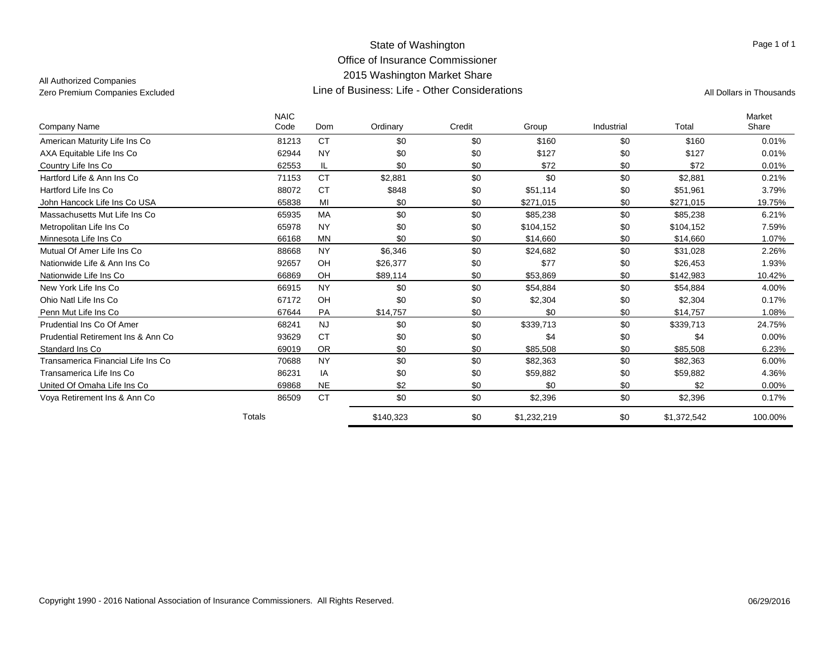All Authorized Companies

| Company Name                        | <b>NAIC</b><br>Code | Dom       | Ordinary  | Credit | Group       | Industrial | Total       | Market<br>Share |
|-------------------------------------|---------------------|-----------|-----------|--------|-------------|------------|-------------|-----------------|
| American Maturity Life Ins Co       | 81213               | <b>CT</b> | \$0       | \$0    | \$160       | \$0        | \$160       | 0.01%           |
|                                     |                     |           |           |        |             |            |             |                 |
| AXA Equitable Life Ins Co           | 62944               | <b>NY</b> | \$0       | \$0    | \$127       | \$0        | \$127       | 0.01%           |
| Country Life Ins Co                 | 62553               | IL        | \$0       | \$0    | \$72        | \$0        | \$72        | 0.01%           |
| Hartford Life & Ann Ins Co          | 71153               | <b>CT</b> | \$2,881   | \$0    | \$0         | \$0        | \$2.881     | 0.21%           |
| Hartford Life Ins Co                | 88072               | <b>CT</b> | \$848     | \$0    | \$51,114    | \$0        | \$51,961    | 3.79%           |
| John Hancock Life Ins Co USA        | 65838               | MI        | \$0       | \$0    | \$271,015   | \$0        | \$271,015   | 19.75%          |
| Massachusetts Mut Life Ins Co       | 65935               | MA        | \$0       | \$0    | \$85,238    | \$0        | \$85,238    | 6.21%           |
| Metropolitan Life Ins Co            | 65978               | <b>NY</b> | \$0       | \$0    | \$104,152   | \$0        | \$104,152   | 7.59%           |
| Minnesota Life Ins Co               | 66168               | <b>MN</b> | \$0       | \$0    | \$14,660    | \$0        | \$14,660    | 1.07%           |
| Mutual Of Amer Life Ins Co.         | 88668               | <b>NY</b> | \$6,346   | \$0    | \$24.682    | \$0        | \$31.028    | 2.26%           |
| Nationwide Life & Ann Ins Co.       | 92657               | OH        | \$26,377  | \$0    | \$77        | \$0        | \$26,453    | 1.93%           |
| Nationwide Life Ins Co              | 66869               | OH        | \$89,114  | \$0    | \$53.869    | \$0        | \$142,983   | 10.42%          |
| New York Life Ins Co.               | 66915               | <b>NY</b> | \$0       | \$0    | \$54,884    | \$0        | \$54,884    | 4.00%           |
| Ohio Natl Life Ins Co               | 67172               | OH        | \$0       | \$0    | \$2,304     | \$0        | \$2,304     | 0.17%           |
| Penn Mut Life Ins Co                | 67644               | PA        | \$14,757  | \$0    | \$0         | \$0        | \$14,757    | 1.08%           |
| Prudential Ins Co Of Amer           | 68241               | <b>NJ</b> | \$0       | \$0    | \$339,713   | \$0        | \$339,713   | 24.75%          |
| Prudential Retirement Ins & Ann Co. | 93629               | <b>CT</b> | \$0       | \$0    | \$4         | \$0        | \$4         | $0.00\%$        |
| Standard Ins Co                     | 69019               | <b>OR</b> | \$0       | \$0    | \$85,508    | \$0        | \$85,508    | 6.23%           |
| Transamerica Financial Life Ins Co  | 70688               | <b>NY</b> | \$0       | \$0    | \$82,363    | \$0        | \$82,363    | 6.00%           |
| Transamerica Life Ins Co            | 86231               | IA        | \$0       | \$0    | \$59,882    | \$0        | \$59,882    | 4.36%           |
| United Of Omaha Life Ins Co         | 69868               | <b>NE</b> | \$2       | \$0    | \$0         | \$0        | \$2         | $0.00\%$        |
| Voya Retirement Ins & Ann Co        | 86509               | <b>CT</b> | \$0       | \$0    | \$2,396     | \$0        | \$2,396     | 0.17%           |
|                                     | Totals              |           | \$140,323 | \$0    | \$1,232,219 | \$0        | \$1,372,542 | 100.00%         |

Page 1 of 1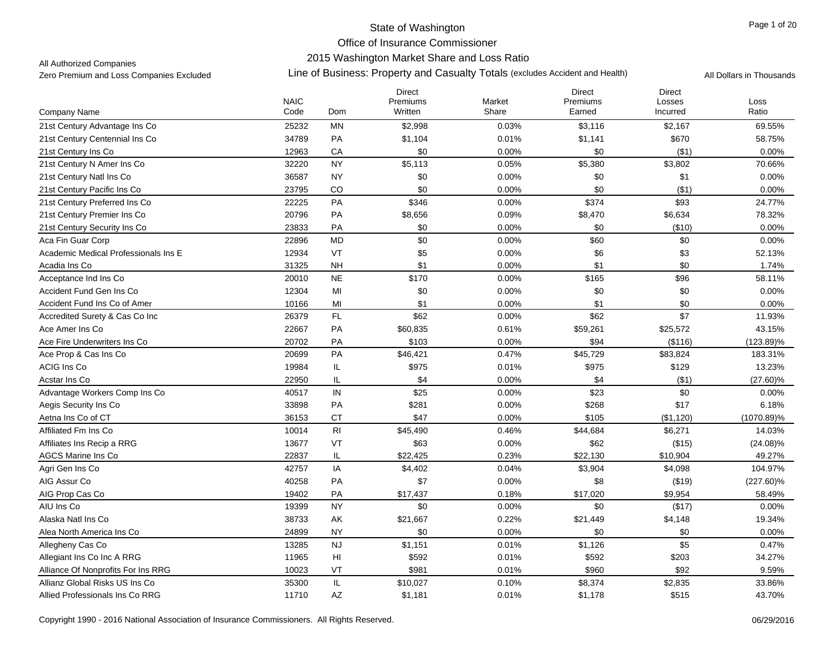## 2015 Washington Market Share and Loss Ratio

All Authorized Companies

|                                      |                     |                        | <b>Direct</b>       |                 | <b>Direct</b>      | <b>Direct</b>      |               |
|--------------------------------------|---------------------|------------------------|---------------------|-----------------|--------------------|--------------------|---------------|
| <b>Company Name</b>                  | <b>NAIC</b><br>Code | Dom                    | Premiums<br>Written | Market<br>Share | Premiums<br>Earned | Losses<br>Incurred | Loss<br>Ratio |
| 21st Century Advantage Ins Co        | 25232               | MN                     | \$2,998             | 0.03%           | \$3,116            | \$2,167            | 69.55%        |
| 21st Century Centennial Ins Co       | 34789               | PA                     | \$1,104             | 0.01%           | \$1,141            | \$670              | 58.75%        |
| 21st Century Ins Co                  | 12963               | СA                     | \$0                 | 0.00%           | \$0                | ( \$1)             | 0.00%         |
| 21st Century N Amer Ins Co           | 32220               | <b>NY</b>              | \$5,113             | 0.05%           | \$5,380            | \$3,802            | 70.66%        |
| 21st Century Natl Ins Co             | 36587               | <b>NY</b>              | \$0                 | 0.00%           | \$0                | \$1                | 0.00%         |
| 21st Century Pacific Ins Co          | 23795               | CO                     | \$0                 | 0.00%           | \$0                | ( \$1)             | 0.00%         |
| 21st Century Preferred Ins Co        | 22225               | PA                     | \$346               | 0.00%           | \$374              | \$93               | 24.77%        |
| 21st Century Premier Ins Co          | 20796               | PA                     | \$8,656             | 0.09%           | \$8,470            | \$6,634            | 78.32%        |
| 21st Century Security Ins Co         | 23833               | PA                     | \$0                 | 0.00%           | \$0                | (\$10)             | 0.00%         |
| Aca Fin Guar Corp                    | 22896               | <b>MD</b>              | \$0                 | 0.00%           | \$60               | \$0                | $0.00\%$      |
| Academic Medical Professionals Ins E | 12934               | VT                     | \$5                 | 0.00%           | \$6                | \$3                | 52.13%        |
| Acadia Ins Co                        | 31325               | <b>NH</b>              | \$1                 | 0.00%           | \$1                | \$0                | 1.74%         |
| Acceptance Ind Ins Co                | 20010               | <b>NE</b>              | \$170               | 0.00%           | \$165              | \$96               | 58.11%        |
| Accident Fund Gen Ins Co             | 12304               | MI                     | \$0                 | 0.00%           | \$0                | \$0                | 0.00%         |
| Accident Fund Ins Co of Amer         | 10166               | MI                     | \$1                 | 0.00%           | \$1                | \$0                | 0.00%         |
| Accredited Surety & Cas Co Inc       | 26379               | FL                     | \$62                | 0.00%           | \$62               | \$7                | 11.93%        |
| Ace Amer Ins Co                      | 22667               | PA                     | \$60,835            | 0.61%           | \$59,261           | \$25,572           | 43.15%        |
| Ace Fire Underwriters Ins Co         | 20702               | PA                     | \$103               | 0.00%           | \$94               | (\$116)            | $(123.89)\%$  |
| Ace Prop & Cas Ins Co                | 20699               | PA                     | \$46,421            | 0.47%           | \$45,729           | \$83,824           | 183.31%       |
| <b>ACIG Ins Co</b>                   | 19984               | IL                     | \$975               | 0.01%           | \$975              | \$129              | 13.23%        |
| Acstar Ins Co                        | 22950               | IL                     | \$4                 | 0.00%           | \$4                | (\$1)              | $(27.60)\%$   |
| Advantage Workers Comp Ins Co        | 40517               | IN                     | \$25                | 0.00%           | \$23               | \$0                | 0.00%         |
| Aegis Security Ins Co.               | 33898               | PA                     | \$281               | 0.00%           | \$268              | \$17               | 6.18%         |
| Aetna Ins Co of CT                   | 36153               | <b>CT</b>              | \$47                | 0.00%           | \$105              | (\$1,120)          | $(1070.89)\%$ |
| Affiliated Fm Ins Co                 | 10014               | R <sub>l</sub>         | \$45,490            | 0.46%           | \$44,684           | \$6,271            | 14.03%        |
| Affiliates Ins Recip a RRG           | 13677               | VT                     | \$63                | 0.00%           | \$62               | (\$15)             | $(24.08)\%$   |
| <b>AGCS Marine Ins Co</b>            | 22837               | IL                     | \$22,425            | 0.23%           | \$22,130           | \$10,904           | 49.27%        |
| Agri Gen Ins Co                      | 42757               | IA                     | \$4,402             | 0.04%           | \$3,904            | \$4,098            | 104.97%       |
| AIG Assur Co                         | 40258               | PA                     | \$7                 | 0.00%           | \$8                | (\$19)             | $(227.60)\%$  |
| AIG Prop Cas Co                      | 19402               | PA                     | \$17,437            | 0.18%           | \$17,020           | \$9,954            | 58.49%        |
| AIU Ins Co                           | 19399               | <b>NY</b>              | \$0                 | 0.00%           | \$0                | (\$17)             | 0.00%         |
| Alaska Natl Ins Co                   | 38733               | AK                     | \$21,667            | 0.22%           | \$21,449           | \$4,148            | 19.34%        |
| Alea North America Ins Co            | 24899               | <b>NY</b>              | \$0                 | 0.00%           | \$0                | \$0                | 0.00%         |
| Allegheny Cas Co                     | 13285               | <b>NJ</b>              | \$1,151             | 0.01%           | \$1,126            | \$5                | 0.47%         |
| Allegiant Ins Co Inc A RRG           | 11965               | $\mathsf{H}\mathsf{I}$ | \$592               | 0.01%           | \$592              | \$203              | 34.27%        |
| Alliance Of Nonprofits For Ins RRG   | 10023               | VT                     | \$981               | 0.01%           | \$960              | \$92               | 9.59%         |
| Allianz Global Risks US Ins Co       | 35300               | IL                     | \$10,027            | 0.10%           | \$8,374            | \$2,835            | 33.86%        |
| Allied Professionals Ins Co RRG      | 11710               | AZ                     | \$1,181             | 0.01%           | \$1,178            | \$515              | 43.70%        |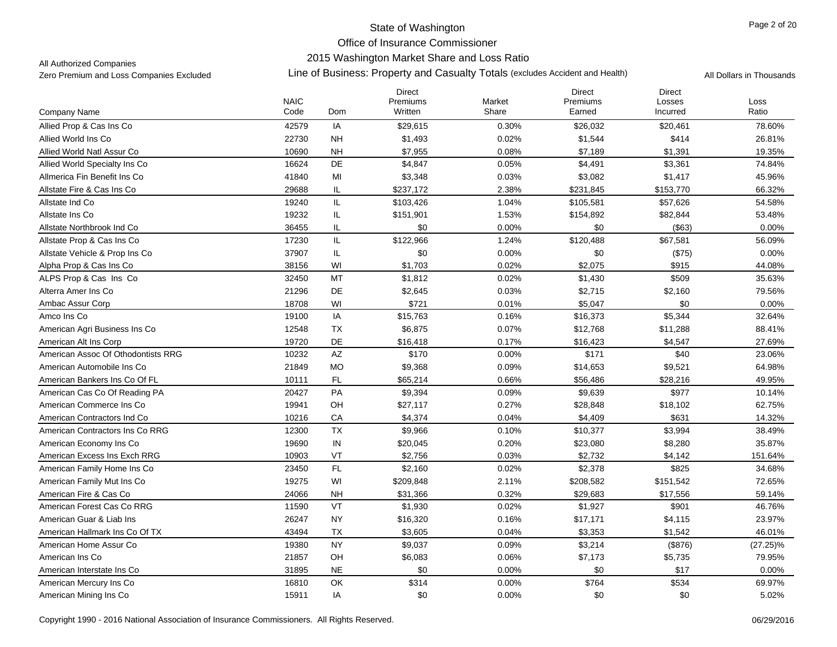## 2015 Washington Market Share and Loss Ratio

All Authorized Companies

|                                    |                     |           | <b>Direct</b>       |                 | <b>Direct</b>      | <b>Direct</b>      |               |
|------------------------------------|---------------------|-----------|---------------------|-----------------|--------------------|--------------------|---------------|
| Company Name                       | <b>NAIC</b><br>Code | Dom       | Premiums<br>Written | Market<br>Share | Premiums<br>Earned | Losses<br>Incurred | Loss<br>Ratio |
| Allied Prop & Cas Ins Co           | 42579               | IA        | \$29,615            | 0.30%           | \$26,032           | \$20,461           | 78.60%        |
| Allied World Ins Co                | 22730               | <b>NH</b> | \$1,493             | 0.02%           | \$1,544            | \$414              | 26.81%        |
| Allied World Natl Assur Co         | 10690               | <b>NH</b> | \$7,955             | 0.08%           | \$7,189            | \$1,391            | 19.35%        |
| Allied World Specialty Ins Co      | 16624               | DE        | \$4,847             | 0.05%           | \$4,491            | \$3,361            | 74.84%        |
|                                    |                     |           |                     |                 |                    |                    |               |
| Allmerica Fin Benefit Ins Co       | 41840               | MI        | \$3,348             | 0.03%           | \$3,082            | \$1,417            | 45.96%        |
| Allstate Fire & Cas Ins Co         | 29688               | IL        | \$237,172           | 2.38%           | \$231,845          | \$153,770          | 66.32%        |
| Allstate Ind Co                    | 19240               | IL        | \$103,426           | 1.04%           | \$105,581          | \$57,626           | 54.58%        |
| Allstate Ins Co                    | 19232               | IL        | \$151,901           | 1.53%           | \$154,892          | \$82,844           | 53.48%        |
| Allstate Northbrook Ind Co         | 36455               | IL        | \$0                 | 0.00%           | \$0                | ( \$63)            | 0.00%         |
| Allstate Prop & Cas Ins Co         | 17230               | IL        | \$122,966           | 1.24%           | \$120,488          | \$67,581           | 56.09%        |
| Allstate Vehicle & Prop Ins Co     | 37907               | IL        | \$0                 | 0.00%           | \$0                | (\$75)             | 0.00%         |
| Alpha Prop & Cas Ins Co            | 38156               | WI        | \$1,703             | 0.02%           | \$2,075            | \$915              | 44.08%        |
| ALPS Prop & Cas Ins Co             | 32450               | MT        | \$1,812             | 0.02%           | \$1,430            | \$509              | 35.63%        |
| Alterra Amer Ins Co                | 21296               | DE        | \$2,645             | 0.03%           | \$2,715            | \$2,160            | 79.56%        |
| Ambac Assur Corp                   | 18708               | WI        | \$721               | 0.01%           | \$5,047            | \$0                | 0.00%         |
| Amco Ins Co                        | 19100               | IA        | \$15,763            | 0.16%           | \$16,373           | \$5,344            | 32.64%        |
| American Agri Business Ins Co      | 12548               | <b>TX</b> | \$6,875             | 0.07%           | \$12,768           | \$11,288           | 88.41%        |
| American Alt Ins Corp              | 19720               | DE        | \$16,418            | 0.17%           | \$16,423           | \$4,547            | 27.69%        |
| American Assoc Of Othodontists RRG | 10232               | AZ        | \$170               | 0.00%           | \$171              | \$40               | 23.06%        |
| American Automobile Ins Co         | 21849               | <b>MO</b> | \$9,368             | 0.09%           | \$14,653           | \$9,521            | 64.98%        |
| American Bankers Ins Co Of FL      | 10111               | FL        | \$65,214            | 0.66%           | \$56,486           | \$28,216           | 49.95%        |
| American Cas Co Of Reading PA      | 20427               | PA        | \$9,394             | 0.09%           | \$9,639            | \$977              | 10.14%        |
| American Commerce Ins Co           | 19941               | OH        | \$27,117            | 0.27%           | \$28,848           | \$18,102           | 62.75%        |
| American Contractors Ind Co        | 10216               | CA        | \$4,374             | 0.04%           | \$4,409            | \$631              | 14.32%        |
| American Contractors Ins Co RRG    | 12300               | TX        | \$9,966             | 0.10%           | \$10,377           | \$3,994            | 38.49%        |
| American Economy Ins Co            | 19690               | IN        | \$20,045            | 0.20%           | \$23,080           | \$8,280            | 35.87%        |
| American Excess Ins Exch RRG       | 10903               | VT        | \$2,756             | 0.03%           | \$2,732            | \$4,142            | 151.64%       |
| American Family Home Ins Co        | 23450               | FL        | \$2,160             | 0.02%           | \$2,378            | \$825              | 34.68%        |
| American Family Mut Ins Co         | 19275               | WI        | \$209,848           | 2.11%           | \$208,582          | \$151,542          | 72.65%        |
| American Fire & Cas Co             | 24066               | NH        | \$31,366            | 0.32%           | \$29,683           | \$17,556           | 59.14%        |
| American Forest Cas Co RRG         | 11590               | VT        | \$1,930             | 0.02%           | \$1,927            | \$901              | 46.76%        |
| American Guar & Liab Ins           | 26247               | <b>NY</b> | \$16,320            | 0.16%           | \$17,171           | \$4,115            | 23.97%        |
| American Hallmark Ins Co Of TX     | 43494               | <b>TX</b> | \$3,605             | 0.04%           | \$3,353            | \$1,542            | 46.01%        |
| American Home Assur Co             | 19380               | <b>NY</b> | \$9,037             | 0.09%           | \$3,214            | (\$876)            | $(27.25)\%$   |
| American Ins Co                    | 21857               | OH        | \$6,083             | 0.06%           | \$7,173            | \$5,735            | 79.95%        |
| American Interstate Ins Co         | 31895               | <b>NE</b> | \$0                 | 0.00%           | \$0                | \$17               | 0.00%         |
| American Mercury Ins Co            | 16810               | OK        | \$314               | 0.00%           | \$764              | \$534              | 69.97%        |
| American Mining Ins Co             | 15911               | IA        | \$0                 | 0.00%           | \$0                | \$0                | 5.02%         |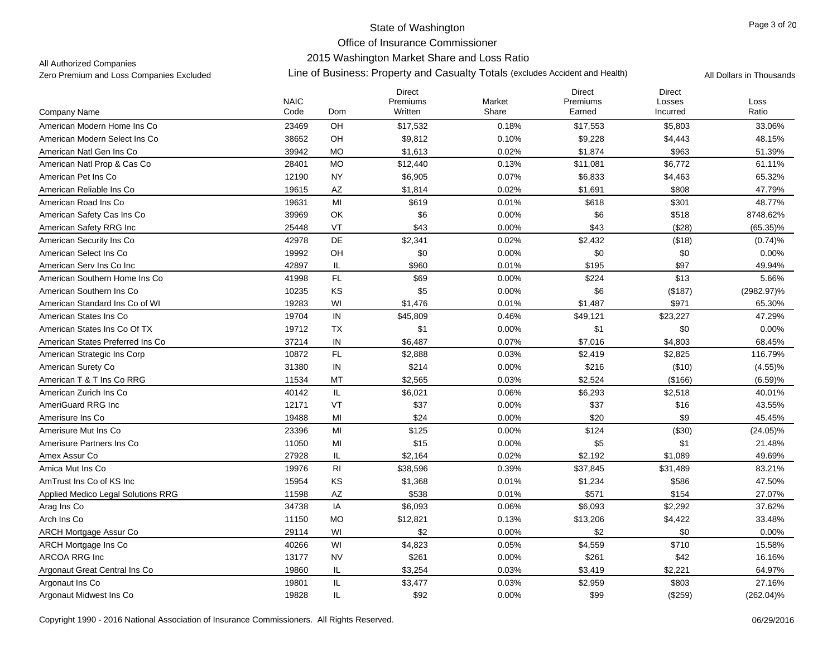## State of Washington Office of Insurance Commissioner 2015 Washington Market Share and Loss Ratio

### All Authorized Companies

|                                    |                     |                | <b>Direct</b>       |                 | <b>Direct</b>      | <b>Direct</b>      |               |
|------------------------------------|---------------------|----------------|---------------------|-----------------|--------------------|--------------------|---------------|
| <b>Company Name</b>                | <b>NAIC</b><br>Code | <b>Dom</b>     | Premiums<br>Written | Market<br>Share | Premiums<br>Earned | Losses<br>Incurred | Loss<br>Ratio |
|                                    |                     |                |                     |                 |                    |                    |               |
| American Modern Home Ins Co        | 23469               | OH             | \$17,532            | 0.18%           | \$17,553           | \$5,803            | 33.06%        |
| American Modern Select Ins Co      | 38652               | OH             | \$9,812             | 0.10%           | \$9,228            | \$4,443            | 48.15%        |
| American Natl Gen Ins Co           | 39942               | <b>MO</b>      | \$1,613             | 0.02%           | \$1,874            | \$963              | 51.39%        |
| American Natl Prop & Cas Co        | 28401               | <b>MO</b>      | \$12,440            | 0.13%           | \$11,081           | \$6,772            | 61.11%        |
| American Pet Ins Co                | 12190               | <b>NY</b>      | \$6,905             | 0.07%           | \$6,833            | \$4,463            | 65.32%        |
| American Reliable Ins Co           | 19615               | AZ             | \$1,814             | 0.02%           | \$1,691            | \$808              | 47.79%        |
| American Road Ins Co               | 19631               | MI             | \$619               | 0.01%           | \$618              | \$301              | 48.77%        |
| American Safety Cas Ins Co         | 39969               | OK             | \$6                 | 0.00%           | \$6                | \$518              | 8748.62%      |
| American Safety RRG Inc            | 25448               | VT             | \$43                | 0.00%           | \$43               | (\$28)             | $(65.35)\%$   |
| American Security Ins Co           | 42978               | DE             | \$2,341             | 0.02%           | \$2,432            | (\$18)             | (0.74)%       |
| American Select Ins Co             | 19992               | OH             | \$0                 | 0.00%           | \$0                | \$0                | 0.00%         |
| American Serv Ins Co Inc           | 42897               | IL             | \$960               | 0.01%           | \$195              | \$97               | 49.94%        |
| American Southern Home Ins Co      | 41998               | FL             | \$69                | 0.00%           | \$224              | \$13               | 5.66%         |
| American Southern Ins Co           | 10235               | KS             | \$5                 | 0.00%           | \$6                | (\$187)            | (2982.97)%    |
| American Standard Ins Co of WI     | 19283               | WI             | \$1,476             | 0.01%           | \$1,487            | \$971              | 65.30%        |
| American States Ins Co             | 19704               | $\sf IN$       | \$45,809            | 0.46%           | \$49,121           | \$23,227           | 47.29%        |
| American States Ins Co Of TX       | 19712               | TX             | \$1                 | 0.00%           | \$1                | \$0                | 0.00%         |
| American States Preferred Ins Co   | 37214               | ${\sf IN}$     | \$6,487             | 0.07%           | \$7,016            | \$4,803            | 68.45%        |
| American Strategic Ins Corp        | 10872               | FL             | \$2,888             | 0.03%           | \$2,419            | \$2,825            | 116.79%       |
| American Surety Co                 | 31380               | $\sf IN$       | \$214               | 0.00%           | \$216              | (\$10)             | (4.55)%       |
| American T & T Ins Co RRG          | 11534               | MT             | \$2,565             | 0.03%           | \$2,524            | (\$166)            | (6.59)%       |
| American Zurich Ins Co.            | 40142               | IL.            | \$6,021             | 0.06%           | \$6,293            | \$2,518            | 40.01%        |
| AmeriGuard RRG Inc.                | 12171               | VT             | \$37                | 0.00%           | \$37               | \$16               | 43.55%        |
| Amerisure Ins Co                   | 19488               | MI             | \$24                | 0.00%           | \$20               | \$9                | 45.45%        |
| Amerisure Mut Ins Co.              | 23396               | MI             | \$125               | 0.00%           | \$124              | (\$30)             | $(24.05)\%$   |
| Amerisure Partners Ins Co          | 11050               | MI             | \$15                | 0.00%           | \$5                | \$1                | 21.48%        |
| Amex Assur Co                      | 27928               | IL             | \$2,164             | 0.02%           | \$2,192            | \$1,089            | 49.69%        |
| Amica Mut Ins Co                   | 19976               | R <sub>l</sub> | \$38,596            | 0.39%           | \$37,845           | \$31,489           | 83.21%        |
| AmTrust Ins Co of KS Inc           | 15954               | KS             | \$1,368             | 0.01%           | \$1,234            | \$586              | 47.50%        |
| Applied Medico Legal Solutions RRG | 11598               | AZ             | \$538               | 0.01%           | \$571              | \$154              | 27.07%        |
| Arag Ins Co                        | 34738               | IA             | \$6,093             | 0.06%           | \$6,093            | \$2,292            | 37.62%        |
| Arch Ins Co                        | 11150               | <b>MO</b>      | \$12,821            | 0.13%           | \$13,206           | \$4,422            | 33.48%        |
| ARCH Mortgage Assur Co             | 29114               | WI             | \$2                 | 0.00%           | \$2                | \$0                | 0.00%         |
| ARCH Mortgage Ins Co               | 40266               | WI             | \$4,823             | 0.05%           | \$4,559            | \$710              | 15.58%        |
| <b>ARCOA RRG Inc</b>               | 13177               | <b>NV</b>      | \$261               | 0.00%           | \$261              | \$42               | 16.16%        |
| Argonaut Great Central Ins Co      | 19860               | IL             | \$3,254             | 0.03%           | \$3,419            | \$2,221            | 64.97%        |
|                                    |                     |                |                     |                 |                    |                    |               |
| Argonaut Ins Co                    | 19801               | IL             | \$3,477             | 0.03%           | \$2,959            | \$803              | 27.16%        |
| Argonaut Midwest Ins Co            | 19828               | IL             | \$92                | 0.00%           | \$99               | (\$259)            | $(262.04)\%$  |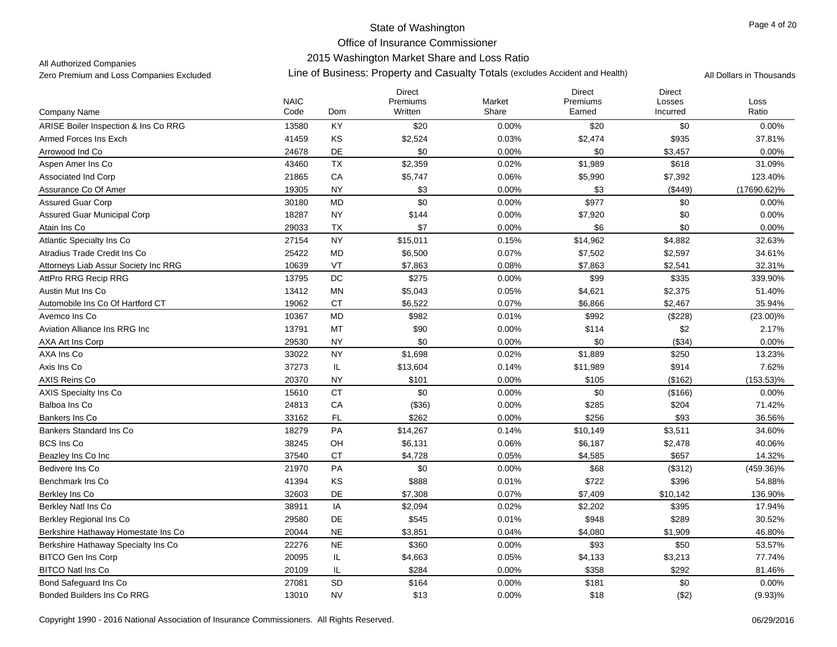## 2015 Washington Market Share and Loss Ratio

All Authorized Companies

|                                                              |                     |                        | <b>Direct</b>       |                 | <b>Direct</b>      | <b>Direct</b>      |                   |
|--------------------------------------------------------------|---------------------|------------------------|---------------------|-----------------|--------------------|--------------------|-------------------|
| Company Name                                                 | <b>NAIC</b><br>Code | Dom                    | Premiums<br>Written | Market<br>Share | Premiums<br>Earned | Losses<br>Incurred | Loss<br>Ratio     |
| ARISE Boiler Inspection & Ins Co RRG                         | 13580               | KY                     | \$20                | $0.00\%$        | \$20               | \$0                | 0.00%             |
| Armed Forces Ins Exch                                        | 41459               | KS                     | \$2,524             | 0.03%           | \$2,474            | \$935              | 37.81%            |
| Arrowood Ind Co                                              | 24678               | DE                     | \$0                 | 0.00%           | \$0                | \$3,457            | 0.00%             |
| Aspen Amer Ins Co                                            | 43460               | <b>TX</b>              | \$2,359             | 0.02%           | \$1,989            | \$618              | 31.09%            |
| Associated Ind Corp                                          | 21865               | CA                     | \$5,747             | 0.06%           | \$5,990            | \$7,392            | 123.40%           |
| Assurance Co Of Amer                                         | 19305               | <b>NY</b>              | \$3                 | 0.00%           | \$3                | (\$449)            | $(17690.62)\%$    |
| <b>Assured Guar Corp</b>                                     | 30180               | <b>MD</b>              | \$0                 | 0.00%           | \$977              | \$0                | 0.00%             |
| <b>Assured Guar Municipal Corp</b>                           | 18287               | <b>NY</b>              | \$144               | 0.00%           | \$7,920            | \$0                | 0.00%             |
| Atain Ins Co                                                 | 29033               | TX                     | \$7                 | 0.00%           | \$6                | \$0                | 0.00%             |
| <b>Atlantic Specialty Ins Co</b>                             | 27154               | <b>NY</b>              | \$15,011            | 0.15%           | \$14,962           | \$4,882            | 32.63%            |
| Atradius Trade Credit Ins Co                                 |                     | <b>MD</b>              |                     |                 |                    |                    |                   |
|                                                              | 25422<br>10639      | VT                     | \$6,500<br>\$7,863  | 0.07%<br>0.08%  | \$7,502            | \$2,597<br>\$2,541 | 34.61%            |
| Attorneys Liab Assur Society Inc RRG<br>AttPro RRG Recip RRG | 13795               | $\mathsf{DC}$          | \$275               | 0.00%           | \$7,863<br>\$99    | \$335              | 32.31%<br>339.90% |
| Austin Mut Ins Co                                            | 13412               | MN                     |                     |                 |                    |                    | 51.40%            |
| Automobile Ins Co Of Hartford CT                             | 19062               | <b>CT</b>              | \$5,043<br>\$6,522  | 0.05%           | \$4,621            | \$2,375<br>\$2,467 |                   |
|                                                              |                     | <b>MD</b>              |                     | 0.07%           | \$6,866            |                    | 35.94%            |
| Avemco Ins Co                                                | 10367               | MT                     | \$982               | 0.01%           | \$992              | (\$228)<br>\$2     | $(23.00)\%$       |
| Aviation Alliance Ins RRG Inc                                | 13791               |                        | \$90<br>\$0         | 0.00%           | \$114              |                    | 2.17%             |
| AXA Art Ins Corp                                             | 29530               | <b>NY</b><br><b>NY</b> |                     | 0.00%           | \$0                | (\$34)             | 0.00%             |
| AXA Ins Co                                                   | 33022               |                        | \$1,698             | 0.02%           | \$1,889            | \$250              | 13.23%            |
| Axis Ins Co                                                  | 37273               | IL                     | \$13,604            | 0.14%           | \$11,989           | \$914              | 7.62%             |
| AXIS Reins Co                                                | 20370               | <b>NY</b>              | \$101               | 0.00%           | \$105              | (\$162)            | $(153.53)\%$      |
| <b>AXIS Specialty Ins Co</b>                                 | 15610               | <b>CT</b>              | \$0                 | $0.00\%$        | \$0                | (\$166)            | 0.00%             |
| Balboa Ins Co                                                | 24813               | CA                     | (\$36)              | 0.00%           | \$285              | \$204              | 71.42%            |
| Bankers Ins Co                                               | 33162               | FL                     | \$262               | 0.00%           | \$256              | \$93               | 36.56%            |
| Bankers Standard Ins Co                                      | 18279               | PA                     | \$14,267            | 0.14%           | \$10,149           | \$3,511            | 34.60%            |
| <b>BCS Ins Co</b>                                            | 38245               | OH                     | \$6,131             | 0.06%           | \$6,187            | \$2,478            | 40.06%            |
| Beazley Ins Co Inc                                           | 37540               | <b>CT</b>              | \$4,728             | 0.05%           | \$4,585            | \$657              | 14.32%            |
| Bedivere Ins Co                                              | 21970               | PA                     | \$0                 | 0.00%           | \$68               | (\$312)            | $(459.36)\%$      |
| Benchmark Ins Co                                             | 41394               | KS                     | \$888               | 0.01%           | \$722              | \$396              | 54.88%            |
| Berkley Ins Co                                               | 32603               | DE                     | \$7,308             | 0.07%           | \$7,409            | \$10,142           | 136.90%           |
| <b>Berkley Natl Ins Co</b>                                   | 38911               | IA                     | \$2,094             | 0.02%           | \$2,202            | \$395              | 17.94%            |
| Berkley Regional Ins Co                                      | 29580               | DE                     | \$545               | 0.01%           | \$948              | \$289              | 30.52%            |
| Berkshire Hathaway Homestate Ins Co                          | 20044               | <b>NE</b>              | \$3,851             | 0.04%           | \$4,080            | \$1,909            | 46.80%            |
| Berkshire Hathaway Specialty Ins Co                          | 22276               | <b>NE</b>              | \$360               | 0.00%           | \$93               | \$50               | 53.57%            |
| <b>BITCO Gen Ins Corp</b>                                    | 20095               | IL                     | \$4,663             | 0.05%           | \$4,133            | \$3,213            | 77.74%            |
| <b>BITCO Natl Ins Co</b>                                     | 20109               | IL                     | \$284               | 0.00%           | \$358              | \$292              | 81.46%            |
| <b>Bond Safequard Ins Co</b>                                 | 27081               | SD                     | \$164               | 0.00%           | \$181              | \$0                | 0.00%             |
| <b>Bonded Builders Ins Co RRG</b>                            | 13010               | <b>NV</b>              | \$13                | 0.00%           | \$18               | ( \$2)             | $(9.93)\%$        |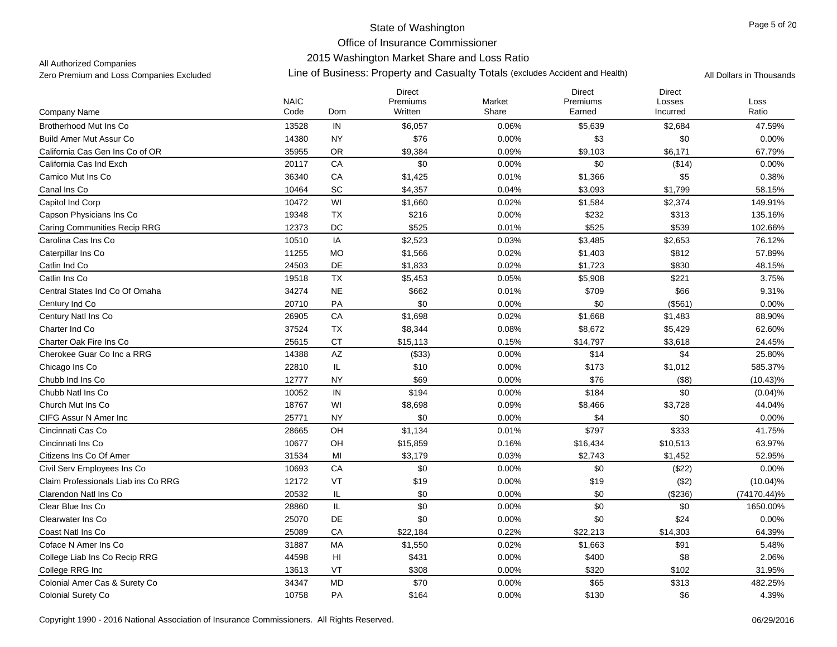## 2015 Washington Market Share and Loss Ratio

All Authorized Companies

|                                     | <b>NAIC</b> |                        | <b>Direct</b><br>Premiums | Market | <b>Direct</b><br>Premiums | <b>Direct</b>      | Loss        |
|-------------------------------------|-------------|------------------------|---------------------------|--------|---------------------------|--------------------|-------------|
| Company Name                        | Code        | Dom                    | Written                   | Share  | Earned                    | Losses<br>Incurred | Ratio       |
| <b>Brotherhood Mut Ins Co</b>       | 13528       | IN                     | \$6,057                   | 0.06%  | \$5,639                   | \$2,684            | 47.59%      |
| <b>Build Amer Mut Assur Co</b>      | 14380       | <b>NY</b>              | \$76                      | 0.00%  | \$3                       | \$0                | 0.00%       |
| California Cas Gen Ins Co of OR     | 35955       | <b>OR</b>              | \$9,384                   | 0.09%  | \$9,103                   | \$6,171            | 67.79%      |
| California Cas Ind Exch             | 20117       | CA                     | \$0                       | 0.00%  | \$0                       | (\$14)             | 0.00%       |
| Camico Mut Ins Co                   | 36340       | CA                     | \$1,425                   | 0.01%  | \$1,366                   | \$5                | 0.38%       |
| Canal Ins Co                        | 10464       | SC                     | \$4,357                   | 0.04%  | \$3,093                   | \$1,799            | 58.15%      |
| Capitol Ind Corp                    | 10472       | WI                     | \$1,660                   | 0.02%  | \$1,584                   | \$2,374            | 149.91%     |
| Capson Physicians Ins Co            | 19348       | <b>TX</b>              | \$216                     | 0.00%  | \$232                     | \$313              | 135.16%     |
| <b>Caring Communities Recip RRG</b> | 12373       | DC                     | \$525                     | 0.01%  | \$525                     | \$539              | 102.66%     |
| Carolina Cas Ins Co                 | 10510       | IA                     | \$2,523                   | 0.03%  | \$3,485                   | \$2,653            | 76.12%      |
| Caterpillar Ins Co                  | 11255       | <b>MO</b>              | \$1,566                   | 0.02%  | \$1,403                   | \$812              | 57.89%      |
| Catlin Ind Co                       | 24503       | DE                     | \$1,833                   | 0.02%  | \$1,723                   | \$830              | 48.15%      |
| Catlin Ins Co                       | 19518       | <b>TX</b>              | \$5,453                   | 0.05%  | \$5,908                   | \$221              | 3.75%       |
| Central States Ind Co Of Omaha      | 34274       | <b>NE</b>              | \$662                     | 0.01%  | \$709                     | \$66               | 9.31%       |
| Century Ind Co                      | 20710       | PA                     | \$0                       | 0.00%  | \$0                       | (\$561)            | 0.00%       |
| Century Natl Ins Co                 | 26905       | ${\sf CA}$             | \$1,698                   | 0.02%  | \$1,668                   | \$1,483            | 88.90%      |
| Charter Ind Co                      | 37524       | TX                     | \$8,344                   | 0.08%  | \$8,672                   | \$5,429            | 62.60%      |
| Charter Oak Fire Ins Co             | 25615       | <b>CT</b>              | \$15,113                  | 0.15%  | \$14,797                  | \$3,618            | 24.45%      |
| Cherokee Guar Co Inc a RRG          | 14388       | AZ                     | (\$33)                    | 0.00%  | \$14                      | \$4                | 25.80%      |
| Chicago Ins Co                      | 22810       | IL                     | \$10                      | 0.00%  | \$173                     | \$1,012            | 585.37%     |
| Chubb Ind Ins Co                    | 12777       | <b>NY</b>              | \$69                      | 0.00%  | \$76                      | (\$8)              | $(10.43)\%$ |
| Chubb Natl Ins Co.                  | 10052       | IN                     | \$194                     | 0.00%  | \$184                     | \$0                | (0.04)%     |
| Church Mut Ins Co.                  | 18767       | WI                     | \$8,698                   | 0.09%  | \$8,466                   | \$3,728            | 44.04%      |
| CIFG Assur N Amer Inc               | 25771       | <b>NY</b>              | \$0                       | 0.00%  | \$4                       | \$0                | 0.00%       |
| Cincinnati Cas Co                   | 28665       | OH                     | \$1,134                   | 0.01%  | \$797                     | \$333              | 41.75%      |
| Cincinnati Ins Co                   | 10677       | OH                     | \$15,859                  | 0.16%  | \$16,434                  | \$10,513           | 63.97%      |
| Citizens Ins Co Of Amer             | 31534       | MI                     | \$3,179                   | 0.03%  | \$2,743                   | \$1,452            | 52.95%      |
| Civil Serv Employees Ins Co         | 10693       | CA                     | \$0                       | 0.00%  | \$0                       | (\$22)             | 0.00%       |
| Claim Professionals Liab ins Co RRG | 12172       | VT                     | \$19                      | 0.00%  | \$19                      | (\$2)              | $(10.04)\%$ |
| Clarendon Natl Ins Co               | 20532       | IL                     | \$0                       | 0.00%  | \$0                       | (\$236)            | (74170.44)% |
| Clear Blue Ins Co                   | 28860       | IL                     | \$0                       | 0.00%  | \$0                       | \$0                | 1650.00%    |
| Clearwater Ins Co.                  | 25070       | DE                     | \$0                       | 0.00%  | \$0                       | \$24               | 0.00%       |
| Coast Natl Ins Co                   | 25089       | CA                     | \$22,184                  | 0.22%  | \$22,213                  | \$14,303           | 64.39%      |
| Coface N Amer Ins Co                | 31887       | MA                     | \$1,550                   | 0.02%  | \$1,663                   | \$91               | 5.48%       |
| College Liab Ins Co Recip RRG       | 44598       | $\mathsf{H}\mathsf{I}$ | \$431                     | 0.00%  | \$400                     | \$8                | 2.06%       |
| College RRG Inc                     | 13613       | VT                     | \$308                     | 0.00%  | \$320                     | \$102              | 31.95%      |
| Colonial Amer Cas & Surety Co       | 34347       | <b>MD</b>              | \$70                      | 0.00%  | \$65                      | \$313              | 482.25%     |
| <b>Colonial Surety Co</b>           | 10758       | PA                     | \$164                     | 0.00%  | \$130                     | \$6                | 4.39%       |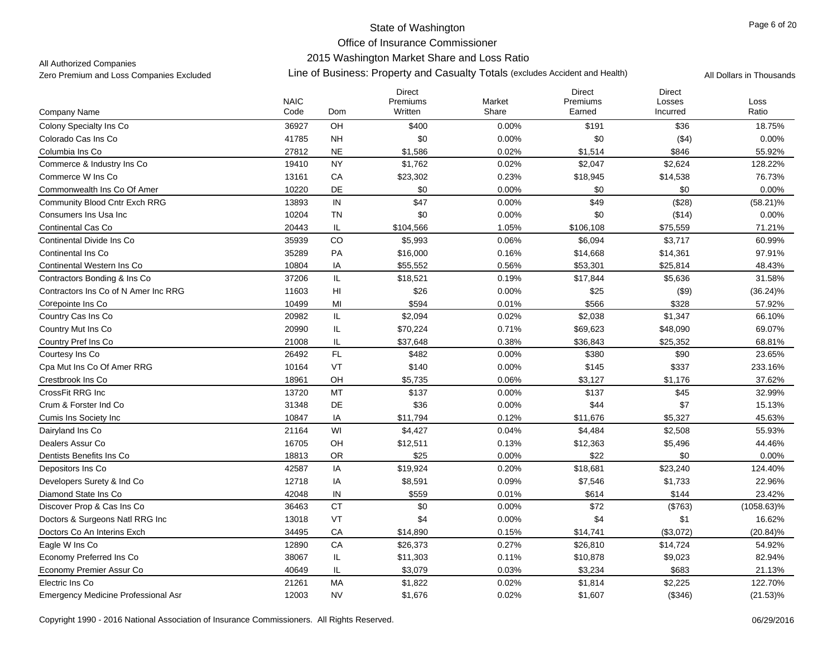## 2015 Washington Market Share and Loss Ratio

All Authorized Companies

|                                            | <b>NAIC</b> |                | <b>Direct</b><br>Premiums | Market   | <b>Direct</b><br>Premiums | <b>Direct</b><br>Losses | Loss          |
|--------------------------------------------|-------------|----------------|---------------------------|----------|---------------------------|-------------------------|---------------|
| Company Name                               | Code        | Dom            | Written                   | Share    | Earned                    | Incurred                | Ratio         |
| Colony Specialty Ins Co                    | 36927       | OH             | \$400                     | 0.00%    | \$191                     | \$36                    | 18.75%        |
| Colorado Cas Ins Co                        | 41785       | <b>NH</b>      | \$0                       | 0.00%    | \$0                       | (\$4)                   | 0.00%         |
| Columbia Ins Co                            | 27812       | <b>NE</b>      | \$1,586                   | 0.02%    | \$1,514                   | \$846                   | 55.92%        |
| Commerce & Industry Ins Co                 | 19410       | <b>NY</b>      | \$1,762                   | 0.02%    | \$2,047                   | \$2,624                 | 128.22%       |
| Commerce W Ins Co                          | 13161       | CA             | \$23,302                  | 0.23%    | \$18,945                  | \$14,538                | 76.73%        |
| Commonwealth Ins Co Of Amer                | 10220       | DE             | \$0                       | 0.00%    | \$0                       | \$0                     | 0.00%         |
| Community Blood Cntr Exch RRG              | 13893       | IN             | \$47                      | $0.00\%$ | \$49                      | (\$28)                  | $(58.21)\%$   |
| Consumers Ins Usa Inc                      | 10204       | <b>TN</b>      | \$0                       | 0.00%    | \$0                       | (\$14)                  | 0.00%         |
| <b>Continental Cas Co</b>                  | 20443       | IL             | \$104,566                 | 1.05%    | \$106,108                 | \$75,559                | 71.21%        |
| Continental Divide Ins Co.                 | 35939       | CO             | \$5,993                   | 0.06%    | \$6,094                   | \$3,717                 | 60.99%        |
| Continental Ins Co.                        | 35289       | PA             | \$16,000                  | 0.16%    | \$14,668                  | \$14,361                | 97.91%        |
| Continental Western Ins Co                 | 10804       | IA             | \$55,552                  | 0.56%    | \$53,301                  | \$25,814                | 48.43%        |
| Contractors Bonding & Ins Co               | 37206       | IL             | \$18,521                  | 0.19%    | \$17,844                  | \$5,636                 | 31.58%        |
| Contractors Ins Co of N Amer Inc RRG       | 11603       | H <sub>l</sub> | \$26                      | 0.00%    | \$25                      | (\$9)                   | $(36.24)\%$   |
| Corepointe Ins Co                          | 10499       | MI             | \$594                     | 0.01%    | \$566                     | \$328                   | 57.92%        |
| Country Cas Ins Co                         | 20982       | IL             | \$2,094                   | 0.02%    | \$2,038                   | \$1,347                 | 66.10%        |
| Country Mut Ins Co                         | 20990       | IL             | \$70,224                  | 0.71%    | \$69,623                  | \$48,090                | 69.07%        |
| Country Pref Ins Co                        | 21008       | IL             | \$37,648                  | 0.38%    | \$36,843                  | \$25,352                | 68.81%        |
| Courtesy Ins Co                            | 26492       | FL             | \$482                     | 0.00%    | \$380                     | \$90                    | 23.65%        |
| Cpa Mut Ins Co Of Amer RRG                 | 10164       | VT             | \$140                     | 0.00%    | \$145                     | \$337                   | 233.16%       |
| Crestbrook Ins Co                          | 18961       | OH             | \$5,735                   | 0.06%    | \$3,127                   | \$1,176                 | 37.62%        |
| CrossFit RRG Inc.                          | 13720       | <b>MT</b>      | \$137                     | 0.00%    | \$137                     | \$45                    | 32.99%        |
| Crum & Forster Ind Co                      | 31348       | DE             | \$36                      | 0.00%    | \$44                      | \$7                     | 15.13%        |
| Cumis Ins Society Inc                      | 10847       | IA             | \$11,794                  | 0.12%    | \$11,676                  | \$5,327                 | 45.63%        |
| Dairyland Ins Co.                          | 21164       | WI             | \$4,427                   | 0.04%    | \$4,484                   | \$2,508                 | 55.93%        |
| Dealers Assur Co                           | 16705       | OH             | \$12,511                  | 0.13%    | \$12,363                  | \$5,496                 | 44.46%        |
| Dentists Benefits Ins Co                   | 18813       | <b>OR</b>      | \$25                      | 0.00%    | \$22                      | \$0                     | 0.00%         |
| Depositors Ins Co                          | 42587       | IA             | \$19,924                  | 0.20%    | \$18,681                  | \$23,240                | 124.40%       |
| Developers Surety & Ind Co.                | 12718       | IA             | \$8,591                   | 0.09%    | \$7,546                   | \$1,733                 | 22.96%        |
| Diamond State Ins Co                       | 42048       | IN             | \$559                     | 0.01%    | \$614                     | \$144                   | 23.42%        |
| Discover Prop & Cas Ins Co                 | 36463       | <b>CT</b>      | \$0                       | 0.00%    | \$72                      | (\$763)                 | $(1058.63)\%$ |
| Doctors & Surgeons Natl RRG Inc            | 13018       | VT             | \$4                       | 0.00%    | \$4                       | \$1                     | 16.62%        |
| Doctors Co An Interins Exch                | 34495       | CA             | \$14,890                  | 0.15%    | \$14,741                  | (\$3,072)               | $(20.84)\%$   |
| Eagle W Ins Co                             | 12890       | CA             | \$26,373                  | 0.27%    | \$26,810                  | \$14,724                | 54.92%        |
| Economy Preferred Ins Co                   | 38067       | IL.            | \$11,303                  | 0.11%    | \$10,878                  | \$9,023                 | 82.94%        |
| Economy Premier Assur Co                   | 40649       | IL             | \$3,079                   | 0.03%    | \$3,234                   | \$683                   | 21.13%        |
| Electric Ins Co                            | 21261       | <b>MA</b>      | \$1,822                   | 0.02%    | \$1,814                   | \$2,225                 | 122.70%       |
| <b>Emergency Medicine Professional Asr</b> | 12003       | <b>NV</b>      | \$1,676                   | 0.02%    | \$1,607                   | (\$346)                 | $(21.53)\%$   |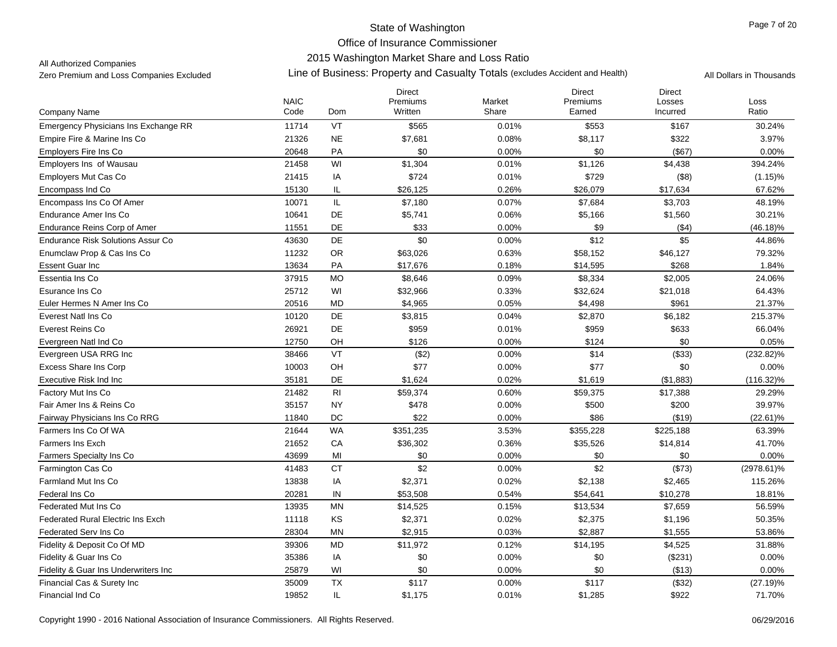## 2015 Washington Market Share and Loss Ratio

All Authorized Companies

|                                          | <b>NAIC</b> |                                   | <b>Direct</b><br>Premiums | Market | <b>Direct</b><br>Premiums | <b>Direct</b><br>Losses | Loss          |
|------------------------------------------|-------------|-----------------------------------|---------------------------|--------|---------------------------|-------------------------|---------------|
| Company Name                             | Code        | Dom                               | Written                   | Share  | Earned                    | Incurred                | Ratio         |
| Emergency Physicians Ins Exchange RR     | 11714       | VT                                | \$565                     | 0.01%  | \$553                     | \$167                   | 30.24%        |
| Empire Fire & Marine Ins Co              | 21326       | <b>NE</b>                         | \$7,681                   | 0.08%  | \$8,117                   | \$322                   | 3.97%         |
| <b>Employers Fire Ins Co</b>             | 20648       | <b>PA</b>                         | \$0                       | 0.00%  | \$0                       | (\$67)                  | 0.00%         |
| Employers Ins of Wausau                  | 21458       | WI                                | \$1,304                   | 0.01%  | \$1,126                   | \$4,438                 | 394.24%       |
| <b>Employers Mut Cas Co</b>              | 21415       | IA                                | \$724                     | 0.01%  | \$729                     | (\$8)                   | $(1.15)\%$    |
| Encompass Ind Co                         | 15130       | IL                                | \$26,125                  | 0.26%  | \$26,079                  | \$17,634                | 67.62%        |
| Encompass Ins Co Of Amer                 | 10071       | $\ensuremath{\mathsf{IL}}\xspace$ | \$7,180                   | 0.07%  | \$7,684                   | \$3,703                 | 48.19%        |
| Endurance Amer Ins Co                    | 10641       | DE                                | \$5,741                   | 0.06%  | \$5,166                   | \$1,560                 | 30.21%        |
| <b>Endurance Reins Corp of Amer</b>      | 11551       | DE                                | \$33                      | 0.00%  | \$9                       | ( \$4)                  | $(46.18)\%$   |
| <b>Endurance Risk Solutions Assur Co</b> | 43630       | DE                                | \$0                       | 0.00%  | \$12                      | \$5                     | 44.86%        |
| Enumclaw Prop & Cas Ins Co               | 11232       | OR                                | \$63,026                  | 0.63%  | \$58,152                  | \$46,127                | 79.32%        |
| <b>Essent Guar Inc</b>                   | 13634       | PA                                | \$17,676                  | 0.18%  | \$14,595                  | \$268                   | 1.84%         |
| Essentia Ins Co                          | 37915       | <b>MO</b>                         | \$8,646                   | 0.09%  | \$8,334                   | \$2,005                 | 24.06%        |
| Esurance Ins Co                          | 25712       | WI                                | \$32,966                  | 0.33%  | \$32,624                  | \$21,018                | 64.43%        |
| Euler Hermes N Amer Ins Co               | 20516       | MD                                | \$4,965                   | 0.05%  | \$4,498                   | \$961                   | 21.37%        |
| Everest Natl Ins Co                      | 10120       | DE                                | \$3,815                   | 0.04%  | \$2,870                   | \$6,182                 | 215.37%       |
| Everest Reins Co                         | 26921       | DE                                | \$959                     | 0.01%  | \$959                     | \$633                   | 66.04%        |
| Evergreen Natl Ind Co                    | 12750       | OH                                | \$126                     | 0.00%  | \$124                     | \$0                     | 0.05%         |
| Evergreen USA RRG Inc                    | 38466       | VT                                | (\$2)                     | 0.00%  | \$14                      | (\$33)                  | $(232.82)\%$  |
| <b>Excess Share Ins Corp</b>             | 10003       | OH                                | \$77                      | 0.00%  | \$77                      | \$0                     | 0.00%         |
| Executive Risk Ind Inc                   | 35181       | <b>DE</b>                         | \$1,624                   | 0.02%  | \$1,619                   | (\$1,883)               | $(116.32)\%$  |
| Factory Mut Ins Co                       | 21482       | RI                                | \$59,374                  | 0.60%  | \$59,375                  | \$17,388                | 29.29%        |
| Fair Amer Ins & Reins Co                 | 35157       | <b>NY</b>                         | \$478                     | 0.00%  | \$500                     | \$200                   | 39.97%        |
| Fairway Physicians Ins Co RRG            | 11840       | DC                                | \$22                      | 0.00%  | \$86                      | (\$19)                  | $(22.61)\%$   |
| Farmers Ins Co Of WA                     | 21644       | <b>WA</b>                         | \$351,235                 | 3.53%  | \$355,228                 | \$225,188               | 63.39%        |
| <b>Farmers Ins Exch</b>                  | 21652       | CA                                | \$36,302                  | 0.36%  | \$35,526                  | \$14,814                | 41.70%        |
| Farmers Specialty Ins Co                 | 43699       | MI                                | \$0                       | 0.00%  | \$0                       | \$0                     | 0.00%         |
| Farmington Cas Co                        | 41483       | <b>CT</b>                         | \$2                       | 0.00%  | \$2                       | (\$73)                  | $(2978.61)\%$ |
| <b>Farmland Mut Ins Co</b>               | 13838       | IA                                | \$2,371                   | 0.02%  | \$2,138                   | \$2,465                 | 115.26%       |
| Federal Ins Co                           | 20281       | IN                                | \$53,508                  | 0.54%  | \$54,641                  | \$10,278                | 18.81%        |
| Federated Mut Ins Co                     | 13935       | <b>MN</b>                         | \$14,525                  | 0.15%  | \$13,534                  | \$7,659                 | 56.59%        |
| <b>Federated Rural Electric Ins Exch</b> | 11118       | KS                                | \$2,371                   | 0.02%  | \$2,375                   | \$1,196                 | 50.35%        |
| Federated Serv Ins Co                    | 28304       | <b>MN</b>                         | \$2,915                   | 0.03%  | \$2,887                   | \$1,555                 | 53.86%        |
| Fidelity & Deposit Co Of MD              | 39306       | <b>MD</b>                         | \$11,972                  | 0.12%  | \$14,195                  | \$4,525                 | 31.88%        |
| Fidelity & Guar Ins Co                   | 35386       | IA                                | \$0                       | 0.00%  | \$0                       | (\$231)                 | 0.00%         |
| Fidelity & Guar Ins Underwriters Inc     | 25879       | WI                                | \$0                       | 0.00%  | \$0                       | (\$13)                  | 0.00%         |
| Financial Cas & Surety Inc               | 35009       | <b>TX</b>                         | \$117                     | 0.00%  | \$117                     | (\$32)                  | $(27.19)\%$   |
| Financial Ind Co                         | 19852       | IL                                | \$1,175                   | 0.01%  | \$1,285                   | \$922                   | 71.70%        |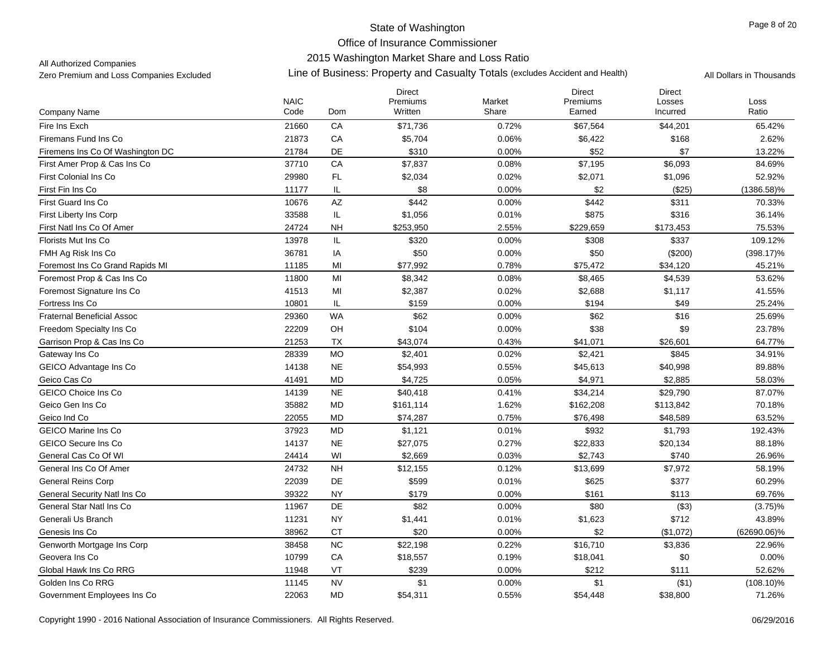## 2015 Washington Market Share and Loss Ratio

All Authorized Companies

|                                     |                     |                        | <b>Direct</b>       |                 | <b>Direct</b>      | <b>Direct</b>      |               |
|-------------------------------------|---------------------|------------------------|---------------------|-----------------|--------------------|--------------------|---------------|
| Company Name                        | <b>NAIC</b><br>Code | Dom                    | Premiums<br>Written | Market<br>Share | Premiums<br>Earned | Losses<br>Incurred | Loss<br>Ratio |
| Fire Ins Exch                       | 21660               | CA                     | \$71,736            | 0.72%           | \$67,564           | \$44,201           | 65.42%        |
| Firemans Fund Ins Co                | 21873               | CA                     | \$5,704             | 0.06%           | \$6,422            | \$168              | 2.62%         |
| Firemens Ins Co Of Washington DC    | 21784               | DE                     | \$310               | 0.00%           | \$52               | \$7                | 13.22%        |
| First Amer Prop & Cas Ins Co        | 37710               | CA                     | \$7,837             | 0.08%           | \$7,195            | \$6,093            | 84.69%        |
| <b>First Colonial Ins Co</b>        | 29980               | FL                     | \$2,034             | 0.02%           | \$2,071            | \$1,096            | 52.92%        |
| First Fin Ins Co                    | 11177               | IL                     | \$8                 | 0.00%           | \$2                | (\$25)             | $(1386.58)\%$ |
| First Guard Ins Co                  | 10676               | $\mathsf{A}\mathsf{Z}$ | \$442               | 0.00%           | \$442              | \$311              | 70.33%        |
| First Liberty Ins Corp              | 33588               | IL                     | \$1,056             | 0.01%           | \$875              | \$316              | 36.14%        |
| First Natl Ins Co Of Amer           | 24724               | <b>NH</b>              | \$253,950           | 2.55%           | \$229,659          | \$173,453          | 75.53%        |
| Florists Mut Ins Co                 | 13978               | IL                     | \$320               | 0.00%           | \$308              | \$337              | 109.12%       |
| FMH Ag Risk Ins Co                  | 36781               | IA                     | \$50                | 0.00%           | \$50               | (\$200)            | $(398.17)\%$  |
| Foremost Ins Co Grand Rapids MI     | 11185               | MI                     | \$77,992            | 0.78%           | \$75,472           | \$34,120           | 45.21%        |
| Foremost Prop & Cas Ins Co          | 11800               | MI                     | \$8,342             | 0.08%           | \$8,465            | \$4,539            | 53.62%        |
| Foremost Signature Ins Co           | 41513               | MI                     | \$2,387             | 0.02%           | \$2,688            | \$1,117            | 41.55%        |
| Fortress Ins Co                     | 10801               | IL                     | \$159               | 0.00%           | \$194              | \$49               | 25.24%        |
| <b>Fraternal Beneficial Assoc</b>   | 29360               | <b>WA</b>              | \$62                | 0.00%           | \$62               | \$16               | 25.69%        |
| Freedom Specialty Ins Co            | 22209               | OH                     | \$104               | 0.00%           | \$38               | \$9                | 23.78%        |
| Garrison Prop & Cas Ins Co          | 21253               | <b>TX</b>              | \$43,074            | 0.43%           | \$41,071           | \$26,601           | 64.77%        |
| Gateway Ins Co                      | 28339               | <b>MO</b>              | \$2,401             | 0.02%           | \$2,421            | \$845              | 34.91%        |
| GEICO Advantage Ins Co              | 14138               | <b>NE</b>              | \$54,993            | 0.55%           | \$45,613           | \$40,998           | 89.88%        |
| Geico Cas Co                        | 41491               | <b>MD</b>              | \$4,725             | 0.05%           | \$4,971            | \$2,885            | 58.03%        |
| <b>GEICO Choice Ins Co</b>          | 14139               | <b>NE</b>              | \$40,418            | 0.41%           | \$34,214           | \$29,790           | 87.07%        |
| Geico Gen Ins Co                    | 35882               | <b>MD</b>              | \$161,114           | 1.62%           | \$162,208          | \$113,842          | 70.18%        |
| Geico Ind Co                        | 22055               | MD                     | \$74,287            | 0.75%           | \$76,498           | \$48,589           | 63.52%        |
| <b>GEICO Marine Ins Co</b>          | 37923               | <b>MD</b>              | \$1,121             | 0.01%           | \$932              | \$1,793            | 192.43%       |
| <b>GEICO Secure Ins Co</b>          | 14137               | <b>NE</b>              | \$27,075            | 0.27%           | \$22,833           | \$20,134           | 88.18%        |
| General Cas Co Of WI                | 24414               | WI                     | \$2,669             | 0.03%           | \$2,743            | \$740              | 26.96%        |
| General Ins Co Of Amer              | 24732               | <b>NH</b>              | \$12,155            | 0.12%           | \$13,699           | \$7,972            | 58.19%        |
| <b>General Reins Corp</b>           | 22039               | DE                     | \$599               | 0.01%           | \$625              | \$377              | 60.29%        |
| <b>General Security Natl Ins Co</b> | 39322               | <b>NY</b>              | \$179               | 0.00%           | \$161              | \$113              | 69.76%        |
| General Star Natl Ins Co            | 11967               | DE                     | \$82                | 0.00%           | \$80               | (\$3)              | $(3.75)\%$    |
| Generali Us Branch                  | 11231               | <b>NY</b>              | \$1,441             | 0.01%           | \$1,623            | \$712              | 43.89%        |
| Genesis Ins Co                      | 38962               | CT                     | \$20                | 0.00%           | \$2                | (\$1,072)          | (62690.06)%   |
| Genworth Mortgage Ins Corp          | 38458               | NC                     | \$22,198            | 0.22%           | \$16,710           | \$3,836            | 22.96%        |
| Geovera Ins Co                      | 10799               | CA                     | \$18,557            | 0.19%           | \$18,041           | \$0                | 0.00%         |
| Global Hawk Ins Co RRG              | 11948               | VT                     | \$239               | 0.00%           | \$212              | \$111              | 52.62%        |
| Golden Ins Co RRG                   | 11145               | <b>NV</b>              | \$1                 | 0.00%           | \$1                | ( \$1)             | $(108.10)\%$  |
| Government Employees Ins Co         | 22063               | <b>MD</b>              | \$54,311            | 0.55%           | \$54,448           | \$38,800           | 71.26%        |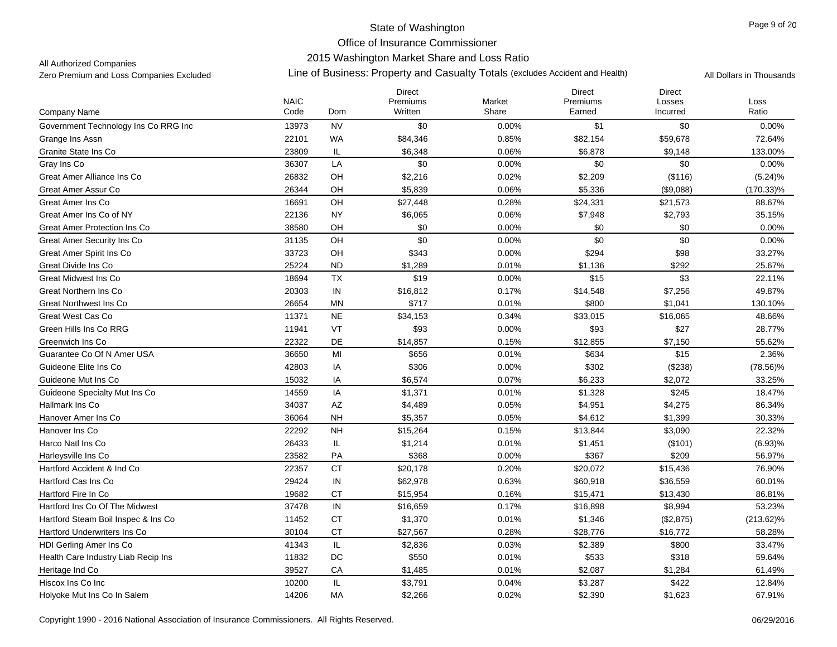## 2015 Washington Market Share and Loss Ratio

All Authorized Companies

|                                      | <b>NAIC</b> |           | Direct<br>Premiums | Market | <b>Direct</b><br>Premiums | <b>Direct</b><br>Losses | Loss         |
|--------------------------------------|-------------|-----------|--------------------|--------|---------------------------|-------------------------|--------------|
| Company Name                         | Code        | Dom       | Written            | Share  | Earned                    | Incurred                | Ratio        |
| Government Technology Ins Co RRG Inc | 13973       | <b>NV</b> | \$0                | 0.00%  | \$1                       | \$0                     | 0.00%        |
| Grange Ins Assn                      | 22101       | <b>WA</b> | \$84,346           | 0.85%  | \$82,154                  | \$59,678                | 72.64%       |
| Granite State Ins Co                 | 23809       | IL        | \$6,348            | 0.06%  | \$6,878                   | \$9,148                 | 133.00%      |
| Gray Ins Co                          | 36307       | LA        | \$0                | 0.00%  | \$0                       | \$0                     | 0.00%        |
| Great Amer Alliance Ins Co           | 26832       | OH        | \$2,216            | 0.02%  | \$2,209                   | (\$116)                 | $(5.24)\%$   |
| Great Amer Assur Co                  | 26344       | OH        | \$5,839            | 0.06%  | \$5,336                   | (\$9,088)               | $(170.33)\%$ |
| Great Amer Ins Co                    | 16691       | OH        | \$27,448           | 0.28%  | \$24,331                  | \$21,573                | 88.67%       |
| Great Amer Ins Co of NY              | 22136       | <b>NY</b> | \$6,065            | 0.06%  | \$7,948                   | \$2,793                 | 35.15%       |
| Great Amer Protection Ins Co         | 38580       | OH        | \$0                | 0.00%  | \$0                       | \$0                     | 0.00%        |
| Great Amer Security Ins Co           | 31135       | OH        | \$0                | 0.00%  | \$0                       | \$0                     | 0.00%        |
| Great Amer Spirit Ins Co             | 33723       | OH        | \$343              | 0.00%  | \$294                     | \$98                    | 33.27%       |
| Great Divide Ins Co                  | 25224       | <b>ND</b> | \$1,289            | 0.01%  | \$1,136                   | \$292                   | 25.67%       |
| <b>Great Midwest Ins Co</b>          | 18694       | TX        | \$19               | 0.00%  | \$15                      | \$3                     | 22.11%       |
| Great Northern Ins Co                | 20303       | IN        | \$16,812           | 0.17%  | \$14,548                  | \$7,256                 | 49.87%       |
| Great Northwest Ins Co               | 26654       | ΜN        | \$717              | 0.01%  | \$800                     | \$1,041                 | 130.10%      |
| Great West Cas Co                    | 11371       | <b>NE</b> | \$34,153           | 0.34%  | \$33,015                  | \$16,065                | 48.66%       |
| Green Hills Ins Co RRG               | 11941       | VT        | \$93               | 0.00%  | \$93                      | \$27                    | 28.77%       |
| Greenwich Ins Co                     | 22322       | DE        | \$14,857           | 0.15%  | \$12,855                  | \$7,150                 | 55.62%       |
| Guarantee Co Of N Amer USA           | 36650       | MI        | \$656              | 0.01%  | \$634                     | \$15                    | 2.36%        |
| Guideone Elite Ins Co                | 42803       | IA        | \$306              | 0.00%  | \$302                     | (\$238)                 | $(78.56)\%$  |
| Guideone Mut Ins Co                  | 15032       | IA        | \$6,574            | 0.07%  | \$6,233                   | \$2,072                 | 33.25%       |
| Guideone Specialty Mut Ins Co        | 14559       | IA        | \$1,371            | 0.01%  | \$1,328                   | \$245                   | 18.47%       |
| Hallmark Ins Co                      | 34037       | AZ        | \$4,489            | 0.05%  | \$4,951                   | \$4,275                 | 86.34%       |
| Hanover Amer Ins Co                  | 36064       | <b>NH</b> | \$5,357            | 0.05%  | \$4,612                   | \$1,399                 | 30.33%       |
| Hanover Ins Co                       | 22292       | <b>NH</b> | \$15,264           | 0.15%  | \$13,844                  | \$3,090                 | 22.32%       |
| Harco Natl Ins Co                    | 26433       | IL        | \$1,214            | 0.01%  | \$1,451                   | (\$101)                 | (6.93)%      |
| Harleysville Ins Co                  | 23582       | PA        | \$368              | 0.00%  | \$367                     | \$209                   | 56.97%       |
| Hartford Accident & Ind Co.          | 22357       | <b>CT</b> | \$20,178           | 0.20%  | \$20,072                  | \$15,436                | 76.90%       |
| Hartford Cas Ins Co                  | 29424       | IN        | \$62,978           | 0.63%  | \$60,918                  | \$36,559                | 60.01%       |
| Hartford Fire In Co                  | 19682       | <b>CT</b> | \$15,954           | 0.16%  | \$15,471                  | \$13,430                | 86.81%       |
| Hartford Ins Co Of The Midwest       | 37478       | IN        | \$16,659           | 0.17%  | \$16,898                  | \$8,994                 | 53.23%       |
| Hartford Steam Boil Inspec & Ins Co  | 11452       | <b>CT</b> | \$1,370            | 0.01%  | \$1,346                   | (\$2,875)               | $(213.62)\%$ |
| <b>Hartford Underwriters Ins Co</b>  | 30104       | <b>CT</b> | \$27,567           | 0.28%  | \$28,776                  | \$16,772                | 58.28%       |
| HDI Gerling Amer Ins Co              | 41343       | $\sf IL$  | \$2,836            | 0.03%  | \$2,389                   | \$800                   | 33.47%       |
| Health Care Industry Liab Recip Ins  | 11832       | DC        | \$550              | 0.01%  | \$533                     | \$318                   | 59.64%       |
| Heritage Ind Co                      | 39527       | CA        | \$1,485            | 0.01%  | \$2,087                   | \$1,284                 | 61.49%       |
| Hiscox Ins Co Inc                    | 10200       | IL        | \$3,791            | 0.04%  | \$3,287                   | \$422                   | 12.84%       |
| Holyoke Mut Ins Co In Salem          | 14206       | MA        | \$2,266            | 0.02%  | \$2,390                   | \$1,623                 | 67.91%       |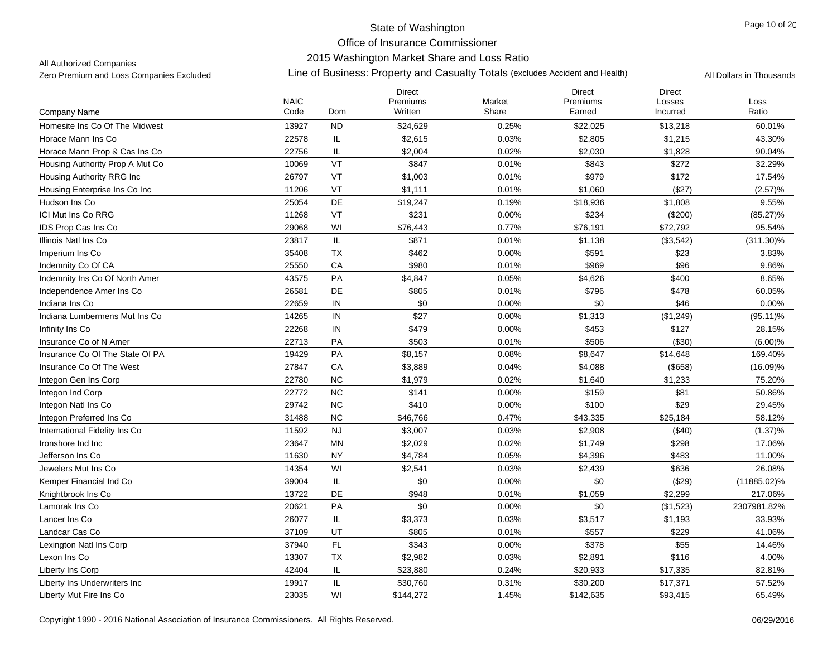## 2015 Washington Market Share and Loss Ratio

All Authorized Companies

|                                 | <b>NAIC</b> |           | <b>Direct</b><br>Premiums | Market | Direct<br>Premiums | <b>Direct</b><br>Losses | Loss           |
|---------------------------------|-------------|-----------|---------------------------|--------|--------------------|-------------------------|----------------|
| Company Name                    | Code        | Dom       | Written                   | Share  | Earned             | Incurred                | Ratio          |
| Homesite Ins Co Of The Midwest  | 13927       | <b>ND</b> | \$24,629                  | 0.25%  | \$22,025           | \$13,218                | 60.01%         |
| Horace Mann Ins Co              | 22578       | IL        | \$2,615                   | 0.03%  | \$2,805            | \$1,215                 | 43.30%         |
| Horace Mann Prop & Cas Ins Co   | 22756       | IL        | \$2,004                   | 0.02%  | \$2,030            | \$1,828                 | 90.04%         |
| Housing Authority Prop A Mut Co | 10069       | VT        | \$847                     | 0.01%  | \$843              | \$272                   | 32.29%         |
| Housing Authority RRG Inc       | 26797       | VT        | \$1,003                   | 0.01%  | \$979              | \$172                   | 17.54%         |
| Housing Enterprise Ins Co Inc   | 11206       | VT        | \$1,111                   | 0.01%  | \$1,060            | (\$27)                  | (2.57)%        |
| Hudson Ins Co                   | 25054       | DE        | \$19,247                  | 0.19%  | \$18,936           | \$1,808                 | 9.55%          |
| <b>ICI Mut Ins Co RRG</b>       | 11268       | VT        | \$231                     | 0.00%  | \$234              | (\$200)                 | $(85.27)\%$    |
| IDS Prop Cas Ins Co             | 29068       | WI        | \$76,443                  | 0.77%  | \$76,191           | \$72,792                | 95.54%         |
| Illinois Natl Ins Co            | 23817       | IL        | \$871                     | 0.01%  | \$1,138            | (\$3,542)               | $(311.30)\%$   |
| Imperium Ins Co                 | 35408       | TX        | \$462                     | 0.00%  | \$591              | \$23                    | 3.83%          |
| Indemnity Co Of CA              | 25550       | CA        | \$980                     | 0.01%  | \$969              | \$96                    | 9.86%          |
| Indemnity Ins Co Of North Amer  | 43575       | PA        | \$4,847                   | 0.05%  | \$4,626            | \$400                   | 8.65%          |
| Independence Amer Ins Co        | 26581       | DE        | \$805                     | 0.01%  | \$796              | \$478                   | 60.05%         |
| Indiana Ins Co                  | 22659       | IN        | \$0                       | 0.00%  | \$0                | \$46                    | 0.00%          |
| Indiana Lumbermens Mut Ins Co   | 14265       | IN        | \$27                      | 0.00%  | \$1,313            | (\$1,249)               | $(95.11)\%$    |
| Infinity Ins Co                 | 22268       | IN        | \$479                     | 0.00%  | \$453              | \$127                   | 28.15%         |
| Insurance Co of N Amer          | 22713       | PA        | \$503                     | 0.01%  | \$506              | (\$30)                  | $(6.00)\%$     |
| Insurance Co Of The State Of PA | 19429       | PA        | \$8,157                   | 0.08%  | \$8,647            | \$14,648                | 169.40%        |
| Insurance Co Of The West        | 27847       | CA        | \$3,889                   | 0.04%  | \$4,088            | (\$658)                 | $(16.09)\%$    |
| Integon Gen Ins Corp            | 22780       | <b>NC</b> | \$1,979                   | 0.02%  | \$1,640            | \$1,233                 | 75.20%         |
| Integon Ind Corp                | 22772       | <b>NC</b> | \$141                     | 0.00%  | \$159              | \$81                    | 50.86%         |
| Integon Natl Ins Co             | 29742       | NC        | \$410                     | 0.00%  | \$100              | \$29                    | 29.45%         |
| Integon Preferred Ins Co        | 31488       | <b>NC</b> | \$46,766                  | 0.47%  | \$43,335           | \$25,184                | 58.12%         |
| International Fidelity Ins Co   | 11592       | <b>NJ</b> | \$3,007                   | 0.03%  | \$2,908            | (\$40)                  | $(1.37)\%$     |
| Ironshore Ind Inc               | 23647       | <b>MN</b> | \$2,029                   | 0.02%  | \$1,749            | \$298                   | 17.06%         |
| Jefferson Ins Co                | 11630       | <b>NY</b> | \$4,784                   | 0.05%  | \$4,396            | \$483                   | 11.00%         |
| Jewelers Mut Ins Co             | 14354       | WI        | \$2,541                   | 0.03%  | \$2,439            | \$636                   | 26.08%         |
| Kemper Financial Ind Co         | 39004       | IL.       | \$0                       | 0.00%  | \$0                | (\$29)                  | $(11885.02)\%$ |
| Knightbrook Ins Co              | 13722       | <b>DE</b> | \$948                     | 0.01%  | \$1,059            | \$2,299                 | 217.06%        |
| Lamorak Ins Co                  | 20621       | PA        | \$0                       | 0.00%  | \$0                | (\$1,523)               | 2307981.82%    |
| Lancer Ins Co                   | 26077       | IL        | \$3,373                   | 0.03%  | \$3,517            | \$1,193                 | 33.93%         |
| Landcar Cas Co                  | 37109       | UT        | \$805                     | 0.01%  | \$557              | \$229                   | 41.06%         |
| Lexington Natl Ins Corp         | 37940       | FL        | \$343                     | 0.00%  | \$378              | \$55                    | 14.46%         |
| Lexon Ins Co                    | 13307       | TX        | \$2,982                   | 0.03%  | \$2,891            | \$116                   | 4.00%          |
| <b>Liberty Ins Corp</b>         | 42404       | IL        | \$23,880                  | 0.24%  | \$20,933           | \$17,335                | 82.81%         |
| Liberty Ins Underwriters Inc    | 19917       | IL.       | \$30,760                  | 0.31%  | \$30,200           | \$17,371                | 57.52%         |
| Liberty Mut Fire Ins Co         | 23035       | WI        | \$144,272                 | 1.45%  | \$142,635          | \$93,415                | 65.49%         |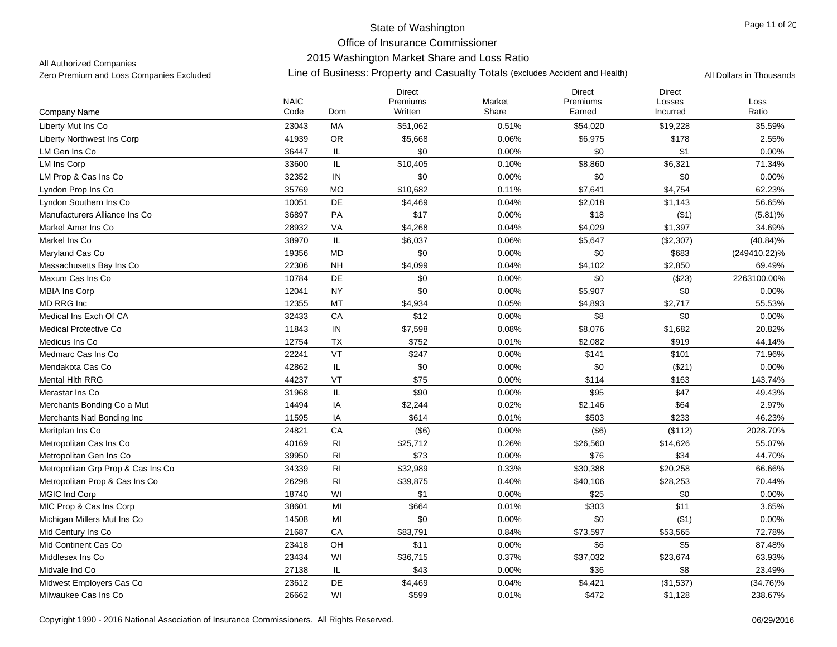### 2015 Washington Market Share and Loss Ratio

All Authorized Companies

|                                    | <b>NAIC</b> |                                   | <b>Direct</b><br>Premiums | Market | <b>Direct</b><br>Premiums | <b>Direct</b><br>Losses | Loss         |
|------------------------------------|-------------|-----------------------------------|---------------------------|--------|---------------------------|-------------------------|--------------|
| Company Name                       | Code        | Dom                               | Written                   | Share  | Earned                    | Incurred                | Ratio        |
| Liberty Mut Ins Co                 | 23043       | МA                                | \$51,062                  | 0.51%  | \$54,020                  | \$19,228                | 35.59%       |
| <b>Liberty Northwest Ins Corp</b>  | 41939       | OR                                | \$5,668                   | 0.06%  | \$6,975                   | \$178                   | 2.55%        |
| LM Gen Ins Co                      | 36447       | IL                                | \$0                       | 0.00%  | \$0                       | \$1                     | 0.00%        |
| <b>LM Ins Corp</b>                 | 33600       | IL                                | \$10,405                  | 0.10%  | \$8,860                   | \$6,321                 | 71.34%       |
| LM Prop & Cas Ins Co               | 32352       | $\sf IN$                          | \$0                       | 0.00%  | \$0                       | \$0                     | 0.00%        |
| Lyndon Prop Ins Co                 | 35769       | <b>MO</b>                         | \$10,682                  | 0.11%  | \$7,641                   | \$4,754                 | 62.23%       |
| Lyndon Southern Ins Co             | 10051       | DE                                | \$4,469                   | 0.04%  | \$2,018                   | \$1,143                 | 56.65%       |
| Manufacturers Alliance Ins Co      | 36897       | PA                                | \$17                      | 0.00%  | \$18                      | ( \$1)                  | $(5.81)\%$   |
| Markel Amer Ins Co                 | 28932       | VA                                | \$4,268                   | 0.04%  | \$4,029                   | \$1,397                 | 34.69%       |
| Markel Ins Co                      | 38970       | $\ensuremath{\mathsf{IL}}\xspace$ | \$6,037                   | 0.06%  | \$5,647                   | (\$2,307)               | $(40.84)\%$  |
| Maryland Cas Co                    | 19356       | <b>MD</b>                         | \$0                       | 0.00%  | \$0                       | \$683                   | (249410.22)% |
| Massachusetts Bay Ins Co           | 22306       | <b>NH</b>                         | \$4,099                   | 0.04%  | \$4,102                   | \$2,850                 | 69.49%       |
| Maxum Cas Ins Co                   | 10784       | DE                                | \$0                       | 0.00%  | \$0                       | (\$23)                  | 2263100.00%  |
| <b>MBIA Ins Corp</b>               | 12041       | <b>NY</b>                         | \$0                       | 0.00%  | \$5,907                   | \$0                     | 0.00%        |
| MD RRG Inc                         | 12355       | MT                                | \$4,934                   | 0.05%  | \$4,893                   | \$2,717                 | 55.53%       |
| Medical Ins Exch Of CA             | 32433       | CA                                | \$12                      | 0.00%  | \$8                       | \$0                     | 0.00%        |
| <b>Medical Protective Co</b>       | 11843       | IN                                | \$7,598                   | 0.08%  | \$8,076                   | \$1,682                 | 20.82%       |
| Medicus Ins Co                     | 12754       | <b>TX</b>                         | \$752                     | 0.01%  | \$2,082                   | \$919                   | 44.14%       |
| Medmarc Cas Ins Co                 | 22241       | VT                                | \$247                     | 0.00%  | \$141                     | \$101                   | 71.96%       |
| Mendakota Cas Co                   | 42862       | IL                                | \$0                       | 0.00%  | \$0                       | (\$21)                  | 0.00%        |
| <b>Mental Hith RRG</b>             | 44237       | VT                                | \$75                      | 0.00%  | \$114                     | \$163                   | 143.74%      |
| Merastar Ins Co                    | 31968       | IL                                | \$90                      | 0.00%  | \$95                      | \$47                    | 49.43%       |
| Merchants Bonding Co a Mut         | 14494       | IA                                | \$2,244                   | 0.02%  | \$2,146                   | \$64                    | 2.97%        |
| Merchants Natl Bonding Inc         | 11595       | IA                                | \$614                     | 0.01%  | \$503                     | \$233                   | 46.23%       |
| Meritplan Ins Co                   | 24821       | CA                                | (\$6)                     | 0.00%  | (\$6)                     | (\$112)                 | 2028.70%     |
| Metropolitan Cas Ins Co            | 40169       | R <sub>l</sub>                    | \$25,712                  | 0.26%  | \$26,560                  | \$14,626                | 55.07%       |
| Metropolitan Gen Ins Co            | 39950       | R <sub>l</sub>                    | \$73                      | 0.00%  | \$76                      | \$34                    | 44.70%       |
| Metropolitan Grp Prop & Cas Ins Co | 34339       | R <sub>l</sub>                    | \$32,989                  | 0.33%  | \$30,388                  | \$20,258                | 66.66%       |
| Metropolitan Prop & Cas Ins Co     | 26298       | R <sub>l</sub>                    | \$39,875                  | 0.40%  | \$40,106                  | \$28,253                | 70.44%       |
| <b>MGIC Ind Corp</b>               | 18740       | WI                                | \$1                       | 0.00%  | \$25                      | \$0                     | 0.00%        |
| MIC Prop & Cas Ins Corp            | 38601       | MI                                | \$664                     | 0.01%  | \$303                     | \$11                    | 3.65%        |
| Michigan Millers Mut Ins Co        | 14508       | MI                                | \$0                       | 0.00%  | \$0                       | (\$1)                   | 0.00%        |
| Mid Century Ins Co                 | 21687       | CA                                | \$83,791                  | 0.84%  | \$73,597                  | \$53,565                | 72.78%       |
| Mid Continent Cas Co               | 23418       | OH                                | \$11                      | 0.00%  | \$6                       | \$5                     | 87.48%       |
| Middlesex Ins Co                   | 23434       | WI                                | \$36,715                  | 0.37%  | \$37,032                  | \$23,674                | 63.93%       |
| Midvale Ind Co                     | 27138       | IL                                | \$43                      | 0.00%  | \$36                      | \$8                     | 23.49%       |
| Midwest Emplovers Cas Co           | 23612       | <b>DE</b>                         | \$4,469                   | 0.04%  | \$4,421                   | (\$1,537)               | $(34.76)\%$  |
| Milwaukee Cas Ins Co               | 26662       | WI                                | \$599                     | 0.01%  | \$472                     | \$1,128                 | 238.67%      |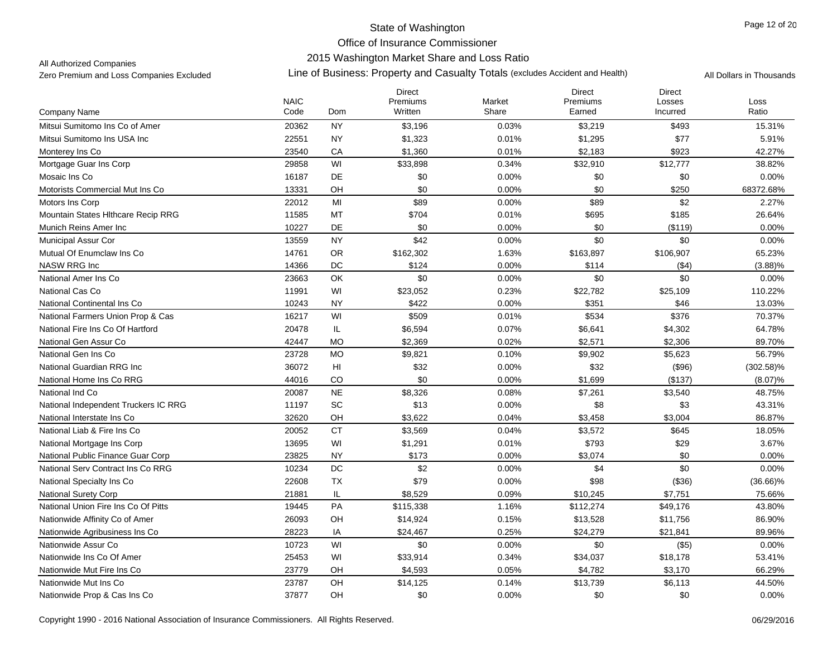## 2015 Washington Market Share and Loss Ratio

All Authorized Companies

|                                      |                     |                | <b>Direct</b>       |                 | <b>Direct</b>      | <b>Direct</b>      |               |
|--------------------------------------|---------------------|----------------|---------------------|-----------------|--------------------|--------------------|---------------|
| Company Name                         | <b>NAIC</b><br>Code | Dom            | Premiums<br>Written | Market<br>Share | Premiums<br>Earned | Losses<br>Incurred | Loss<br>Ratio |
| Mitsui Sumitomo Ins Co of Amer       | 20362               | <b>NY</b>      | \$3,196             | 0.03%           | \$3,219            | \$493              | 15.31%        |
| Mitsui Sumitomo Ins USA Inc          | 22551               | <b>NY</b>      | \$1,323             | 0.01%           | \$1,295            | \$77               | 5.91%         |
| Monterey Ins Co                      | 23540               | CA             | \$1,360             | 0.01%           | \$2,183            | \$923              | 42.27%        |
| Mortgage Guar Ins Corp               | 29858               | WI             | \$33,898            | 0.34%           | \$32,910           | \$12,777           | 38.82%        |
| Mosaic Ins Co                        | 16187               | DE             | \$0                 | 0.00%           | \$0                | \$0                | 0.00%         |
| Motorists Commercial Mut Ins Co      | 13331               | OH             | \$0                 | 0.00%           | \$0                | \$250              | 68372.68%     |
| Motors Ins Corp                      | 22012               | MI             | \$89                | 0.00%           | \$89               | \$2                | 2.27%         |
| Mountain States Hithcare Recip RRG   | 11585               | MT             | \$704               | 0.01%           | \$695              | \$185              | 26.64%        |
| Munich Reins Amer Inc                | 10227               | DE             | \$0                 | 0.00%           | \$0                | (\$119)            | $0.00\%$      |
| <b>Municipal Assur Cor</b>           | 13559               | <b>NY</b>      | \$42                | 0.00%           | \$0                | \$0                | 0.00%         |
| Mutual Of Enumclaw Ins Co.           | 14761               | <b>OR</b>      | \$162,302           | 1.63%           | \$163,897          | \$106,907          | 65.23%        |
| <b>NASW RRG Inc</b>                  | 14366               | DC             | \$124               | 0.00%           | \$114              | ( \$4)             | $(3.88)\%$    |
| National Amer Ins Co                 | 23663               | OK             | \$0                 | 0.00%           | \$0                | \$0                | 0.00%         |
| National Cas Co                      | 11991               | WI             | \$23,052            | 0.23%           | \$22,782           | \$25,109           | 110.22%       |
| National Continental Ins Co          | 10243               | <b>NY</b>      | \$422               | 0.00%           | \$351              | \$46               | 13.03%        |
| National Farmers Union Prop & Cas    | 16217               | WI             | \$509               | 0.01%           | \$534              | \$376              | 70.37%        |
| National Fire Ins Co Of Hartford     | 20478               | IL             | \$6,594             | 0.07%           | \$6,641            | \$4,302            | 64.78%        |
| National Gen Assur Co                | 42447               | <b>MO</b>      | \$2,369             | 0.02%           | \$2,571            | \$2,306            | 89.70%        |
| National Gen Ins Co                  | 23728               | <b>MO</b>      | \$9,821             | 0.10%           | \$9,902            | \$5,623            | 56.79%        |
| National Guardian RRG Inc            | 36072               | H <sub>l</sub> | \$32                | 0.00%           | \$32               | (\$96)             | $(302.58)\%$  |
| National Home Ins Co RRG             | 44016               | CO             | \$0                 | 0.00%           | \$1,699            | (\$137)            | (8.07)%       |
| National Ind Co                      | 20087               | <b>NE</b>      | \$8,326             | 0.08%           | \$7,261            | \$3,540            | 48.75%        |
| National Independent Truckers IC RRG | 11197               | SC             | \$13                | 0.00%           | \$8                | \$3                | 43.31%        |
| National Interstate Ins Co           | 32620               | OH             | \$3,622             | 0.04%           | \$3,458            | \$3,004            | 86.87%        |
| National Liab & Fire Ins Co          | 20052               | <b>CT</b>      | \$3,569             | 0.04%           | \$3,572            | \$645              | 18.05%        |
| National Mortgage Ins Corp           | 13695               | WI             | \$1,291             | 0.01%           | \$793              | \$29               | 3.67%         |
| National Public Finance Guar Corp    | 23825               | <b>NY</b>      | \$173               | 0.00%           | \$3,074            | \$0                | 0.00%         |
| National Serv Contract Ins Co RRG    | 10234               | $\mathsf{DC}$  | \$2                 | 0.00%           | \$4                | \$0                | 0.00%         |
| National Specialty Ins Co            | 22608               | <b>TX</b>      | \$79                | 0.00%           | \$98               | (\$36)             | $(36.66)\%$   |
| <b>National Surety Corp</b>          | 21881               | IL             | \$8,529             | 0.09%           | \$10,245           | \$7,751            | 75.66%        |
| National Union Fire Ins Co Of Pitts  | 19445               | PA             | \$115,338           | 1.16%           | \$112,274          | \$49,176           | 43.80%        |
| Nationwide Affinity Co of Amer       | 26093               | OH             | \$14,924            | 0.15%           | \$13,528           | \$11,756           | 86.90%        |
| Nationwide Agribusiness Ins Co       | 28223               | IA             | \$24,467            | 0.25%           | \$24,279           | \$21,841           | 89.96%        |
| Nationwide Assur Co                  | 10723               | WI             | \$0                 | 0.00%           | \$0                | (\$5)              | $0.00\%$      |
| Nationwide Ins Co Of Amer            | 25453               | WI             | \$33,914            | 0.34%           | \$34,037           | \$18,178           | 53.41%        |
| Nationwide Mut Fire Ins Co           | 23779               | OH             | \$4,593             | 0.05%           | \$4,782            | \$3,170            | 66.29%        |
| Nationwide Mut Ins Co                | 23787               | OH             | \$14,125            | 0.14%           | \$13,739           | \$6,113            | 44.50%        |
| Nationwide Prop & Cas Ins Co         | 37877               | OH             | \$0                 | 0.00%           | \$0                | \$0                | 0.00%         |
|                                      |                     |                |                     |                 |                    |                    |               |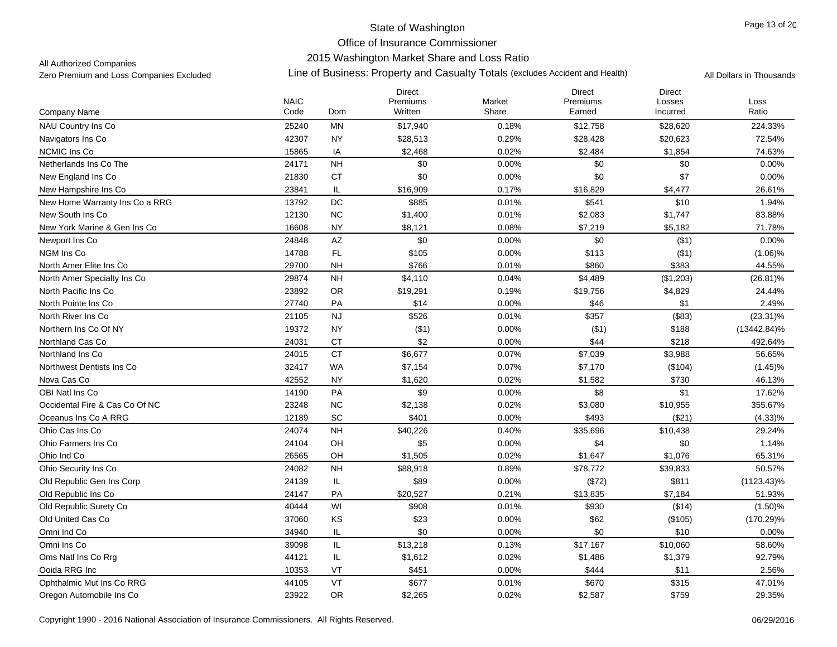## 2015 Washington Market Share and Loss Ratio

All Authorized Companies

|                                | <b>NAIC</b> |                        | Direct<br>Premiums | Market | <b>Direct</b><br>Premiums | <b>Direct</b><br>Losses | Loss           |
|--------------------------------|-------------|------------------------|--------------------|--------|---------------------------|-------------------------|----------------|
| Company Name                   | Code        | Dom                    | Written            | Share  | Earned                    | Incurred                | Ratio          |
| <b>NAU Country Ins Co</b>      | 25240       | <b>MN</b>              | \$17,940           | 0.18%  | \$12,758                  | \$28,620                | 224.33%        |
| Navigators Ins Co              | 42307       | <b>NY</b>              | \$28,513           | 0.29%  | \$28,428                  | \$20,623                | 72.54%         |
| <b>NCMIC Ins Co</b>            | 15865       | IA                     | \$2,468            | 0.02%  | \$2,484                   | \$1,854                 | 74.63%         |
| Netherlands Ins Co The         | 24171       | <b>NH</b>              | \$0                | 0.00%  | \$0                       | \$0                     | 0.00%          |
| New England Ins Co             | 21830       | <b>CT</b>              | \$0                | 0.00%  | \$0                       | \$7                     | 0.00%          |
| New Hampshire Ins Co           | 23841       | IL                     | \$16,909           | 0.17%  | \$16,829                  | \$4,477                 | 26.61%         |
| New Home Warranty Ins Co a RRG | 13792       | DC                     | \$885              | 0.01%  | \$541                     | \$10                    | 1.94%          |
| New South Ins Co               | 12130       | NC                     | \$1,400            | 0.01%  | \$2,083                   | \$1,747                 | 83.88%         |
| New York Marine & Gen Ins Co   | 16608       | <b>NY</b>              | \$8,121            | 0.08%  | \$7,219                   | \$5,182                 | 71.78%         |
| Newport Ins Co                 | 24848       | $\mathsf{A}\mathsf{Z}$ | \$0                | 0.00%  | \$0                       | (\$1)                   | 0.00%          |
| NGM Ins Co                     | 14788       | <b>FL</b>              | \$105              | 0.00%  | \$113                     | ( \$1)                  | $(1.06)\%$     |
| North Amer Elite Ins Co        | 29700       | <b>NH</b>              | \$766              | 0.01%  | \$860                     | \$383                   | 44.55%         |
| North Amer Specialty Ins Co    | 29874       | <b>NH</b>              | \$4,110            | 0.04%  | \$4,489                   | (\$1,203)               | $(26.81)\%$    |
| North Pacific Ins Co.          | 23892       | OR                     | \$19,291           | 0.19%  | \$19,756                  | \$4,829                 | 24.44%         |
| North Pointe Ins Co            | 27740       | PA                     | \$14               | 0.00%  | \$46                      | \$1                     | 2.49%          |
| North River Ins Co             | 21105       | NJ                     | \$526              | 0.01%  | \$357                     | (\$83)                  | $(23.31)\%$    |
| Northern Ins Co Of NY          | 19372       | <b>NY</b>              | ( \$1)             | 0.00%  | ( \$1)                    | \$188                   | $(13442.84)\%$ |
| Northland Cas Co               | 24031       | <b>CT</b>              | \$2                | 0.00%  | \$44                      | \$218                   | 492.64%        |
| Northland Ins Co.              | 24015       | <b>CT</b>              | \$6,677            | 0.07%  | \$7,039                   | \$3,988                 | 56.65%         |
| Northwest Dentists Ins Co      | 32417       | <b>WA</b>              | \$7,154            | 0.07%  | \$7,170                   | (\$104)                 | $(1.45)\%$     |
| Nova Cas Co                    | 42552       | <b>NY</b>              | \$1,620            | 0.02%  | \$1,582                   | \$730                   | 46.13%         |
| OBI Natl Ins Co                | 14190       | PA                     | \$9                | 0.00%  | \$8                       | \$1                     | 17.62%         |
| Occidental Fire & Cas Co Of NC | 23248       | NC                     | \$2,138            | 0.02%  | \$3,080                   | \$10,955                | 355.67%        |
| Oceanus Ins Co A RRG           | 12189       | SC                     | \$401              | 0.00%  | \$493                     | (\$21)                  | $(4.33)\%$     |
| Ohio Cas Ins Co                | 24074       | <b>NH</b>              | \$40,226           | 0.40%  | \$35,696                  | \$10,438                | 29.24%         |
| Ohio Farmers Ins Co            | 24104       | OH                     | \$5                | 0.00%  | \$4                       | \$0                     | 1.14%          |
| Ohio Ind Co                    | 26565       | OH                     | \$1,505            | 0.02%  | \$1,647                   | \$1,076                 | 65.31%         |
| Ohio Security Ins Co           | 24082       | <b>NH</b>              | \$88,918           | 0.89%  | \$78,772                  | \$39,833                | 50.57%         |
| Old Republic Gen Ins Corp      | 24139       | IL                     | \$89               | 0.00%  | (\$72)                    | \$811                   | $(1123.43)\%$  |
| Old Republic Ins Co            | 24147       | PA                     | \$20,527           | 0.21%  | \$13,835                  | \$7,184                 | 51.93%         |
| Old Republic Surety Co         | 40444       | WI                     | \$908              | 0.01%  | \$930                     | (\$14)                  | $(1.50)\%$     |
| Old United Cas Co              | 37060       | KS                     | \$23               | 0.00%  | \$62                      | (\$105)                 | $(170.29)\%$   |
| Omni Ind Co                    | 34940       | IL                     | \$0                | 0.00%  | \$0                       | \$10                    | 0.00%          |
| Omni Ins Co                    | 39098       | IL                     | \$13,218           | 0.13%  | \$17,167                  | \$10,060                | 58.60%         |
| Oms Natl Ins Co Rrg            | 44121       | IL                     | \$1,612            | 0.02%  | \$1,486                   | \$1,379                 | 92.79%         |
| Ooida RRG Inc                  | 10353       | VT                     | \$451              | 0.00%  | \$444                     | \$11                    | 2.56%          |
| Ophthalmic Mut Ins Co RRG      | 44105       | VT                     | \$677              | 0.01%  | \$670                     | \$315                   | 47.01%         |
| Oregon Automobile Ins Co       | 23922       | <b>OR</b>              | \$2,265            | 0.02%  | \$2,587                   | \$759                   | 29.35%         |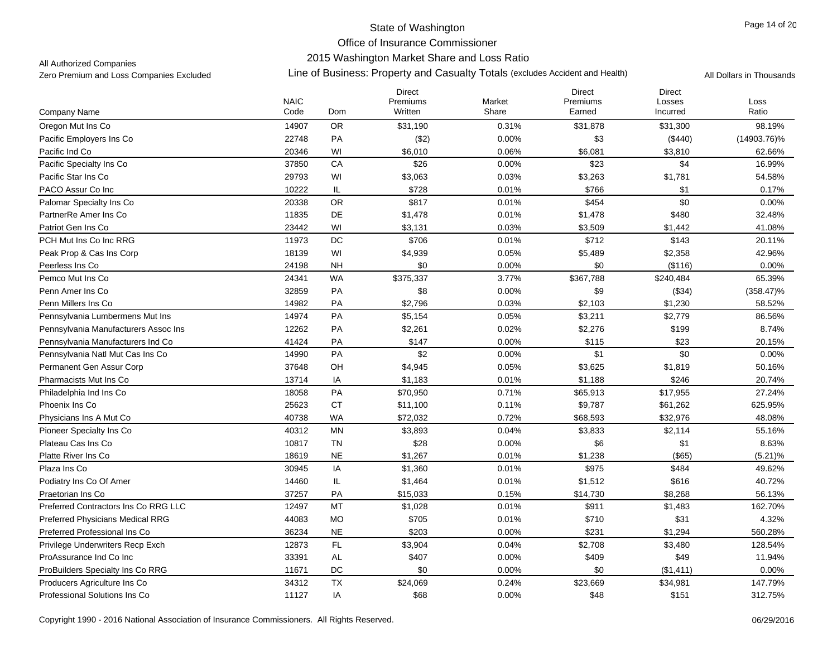## 2015 Washington Market Share and Loss Ratio

All Authorized Companies

|                                         | <b>NAIC</b> |               | <b>Direct</b><br>Premiums | Market | <b>Direct</b><br>Premiums | <b>Direct</b><br>Losses | Loss           |
|-----------------------------------------|-------------|---------------|---------------------------|--------|---------------------------|-------------------------|----------------|
| Company Name                            | Code        | Dom           | Written                   | Share  | Earned                    | Incurred                | Ratio          |
| Oregon Mut Ins Co                       | 14907       | <b>OR</b>     | \$31,190                  | 0.31%  | \$31,878                  | \$31,300                | 98.19%         |
| Pacific Employers Ins Co                | 22748       | PA            | (\$2)                     | 0.00%  | \$3                       | (\$440)                 | $(14903.76)\%$ |
| Pacific Ind Co                          | 20346       | WI            | \$6,010                   | 0.06%  | \$6,081                   | \$3,810                 | 62.66%         |
| Pacific Specialty Ins Co                | 37850       | CA            | \$26                      | 0.00%  | \$23                      | \$4                     | 16.99%         |
| Pacific Star Ins Co                     | 29793       | WI            | \$3,063                   | 0.03%  | \$3,263                   | \$1,781                 | 54.58%         |
| PACO Assur Co Inc                       | 10222       | IL            | \$728                     | 0.01%  | \$766                     | \$1                     | 0.17%          |
| Palomar Specialty Ins Co                | 20338       | <b>OR</b>     | \$817                     | 0.01%  | \$454                     | \$0                     | 0.00%          |
| PartnerRe Amer Ins Co                   | 11835       | DE            | \$1,478                   | 0.01%  | \$1,478                   | \$480                   | 32.48%         |
| Patriot Gen Ins Co                      | 23442       | WI            | \$3,131                   | 0.03%  | \$3,509                   | \$1,442                 | 41.08%         |
| PCH Mut Ins Co Inc RRG                  | 11973       | $DC$          | \$706                     | 0.01%  | \$712                     | \$143                   | 20.11%         |
| Peak Prop & Cas Ins Corp                | 18139       | WI            | \$4,939                   | 0.05%  | \$5,489                   | \$2,358                 | 42.96%         |
| Peerless Ins Co                         | 24198       | <b>NH</b>     | \$0                       | 0.00%  | \$0                       | (\$116)                 | 0.00%          |
| Pemco Mut Ins Co                        | 24341       | <b>WA</b>     | \$375,337                 | 3.77%  | \$367,788                 | \$240,484               | 65.39%         |
| Penn Amer Ins Co                        | 32859       | PA            | \$8                       | 0.00%  | \$9                       | (\$34)                  | $(358.47)\%$   |
| Penn Millers Ins Co                     | 14982       | PA            | \$2,796                   | 0.03%  | \$2,103                   | \$1,230                 | 58.52%         |
| Pennsylvania Lumbermens Mut Ins         | 14974       | PA            | \$5,154                   | 0.05%  | \$3,211                   | \$2,779                 | 86.56%         |
| Pennsylvania Manufacturers Assoc Ins    | 12262       | PA            | \$2,261                   | 0.02%  | \$2,276                   | \$199                   | 8.74%          |
| Pennsylvania Manufacturers Ind Co       | 41424       | PA            | \$147                     | 0.00%  | \$115                     | \$23                    | 20.15%         |
| Pennsylvania Natl Mut Cas Ins Co        | 14990       | PA            | \$2                       | 0.00%  | \$1                       | \$0                     | 0.00%          |
| Permanent Gen Assur Corp                | 37648       | OH            | \$4,945                   | 0.05%  | \$3,625                   | \$1,819                 | 50.16%         |
| Pharmacists Mut Ins Co                  | 13714       | IA            | \$1,183                   | 0.01%  | \$1,188                   | \$246                   | 20.74%         |
| Philadelphia Ind Ins Co                 | 18058       | PA            | \$70,950                  | 0.71%  | \$65,913                  | \$17,955                | 27.24%         |
| Phoenix Ins Co                          | 25623       | <b>CT</b>     | \$11,100                  | 0.11%  | \$9,787                   | \$61,262                | 625.95%        |
| Physicians Ins A Mut Co                 | 40738       | <b>WA</b>     | \$72,032                  | 0.72%  | \$68,593                  | \$32,976                | 48.08%         |
| Pioneer Specialty Ins Co                | 40312       | <b>MN</b>     | \$3,893                   | 0.04%  | \$3,833                   | \$2,114                 | 55.16%         |
| Plateau Cas Ins Co                      | 10817       | <b>TN</b>     | \$28                      | 0.00%  | \$6                       | \$1                     | 8.63%          |
| Platte River Ins Co                     | 18619       | <b>NE</b>     | \$1,267                   | 0.01%  | \$1,238                   | $($ \$65)               | $(5.21)\%$     |
| Plaza Ins Co                            | 30945       | IA            | \$1,360                   | 0.01%  | \$975                     | \$484                   | 49.62%         |
| Podiatry Ins Co Of Amer                 | 14460       | IL            | \$1,464                   | 0.01%  | \$1,512                   | \$616                   | 40.72%         |
| Praetorian Ins Co                       | 37257       | PA            | \$15,033                  | 0.15%  | \$14,730                  | \$8,268                 | 56.13%         |
| Preferred Contractors Ins Co RRG LLC    | 12497       | MT            | \$1,028                   | 0.01%  | \$911                     | \$1,483                 | 162.70%        |
| <b>Preferred Physicians Medical RRG</b> | 44083       | <b>MO</b>     | \$705                     | 0.01%  | \$710                     | \$31                    | 4.32%          |
| Preferred Professional Ins Co           | 36234       | <b>NE</b>     | \$203                     | 0.00%  | \$231                     | \$1,294                 | 560.28%        |
| Privilege Underwriters Recp Exch        | 12873       | $\mathsf{FL}$ | \$3,904                   | 0.04%  | \$2,708                   | \$3,480                 | 128.54%        |
| ProAssurance Ind Co Inc                 | 33391       | AL            | \$407                     | 0.00%  | \$409                     | \$49                    | 11.94%         |
| ProBuilders Specialty Ins Co RRG        | 11671       | DC            | \$0                       | 0.00%  | \$0                       | (\$1,411)               | 0.00%          |
| Producers Agriculture Ins Co            | 34312       | <b>TX</b>     | \$24,069                  | 0.24%  | \$23,669                  | \$34,981                | 147.79%        |
| Professional Solutions Ins Co           | 11127       | IA            | \$68                      | 0.00%  | \$48                      | \$151                   | 312.75%        |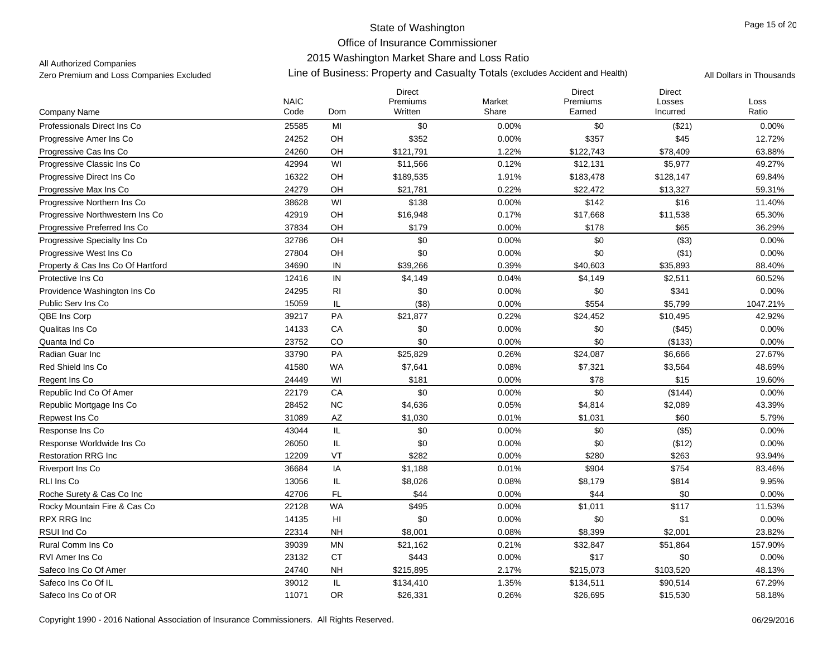## 2015 Washington Market Share and Loss Ratio

All Authorized Companies

|                                   |                     |                | <b>Direct</b>       |                 | <b>Direct</b>      | <b>Direct</b>      |               |
|-----------------------------------|---------------------|----------------|---------------------|-----------------|--------------------|--------------------|---------------|
| Company Name                      | <b>NAIC</b><br>Code | Dom            | Premiums<br>Written | Market<br>Share | Premiums<br>Earned | Losses<br>Incurred | Loss<br>Ratio |
| Professionals Direct Ins Co       | 25585               | MI             | \$0                 | 0.00%           | \$0                | (\$21)             | 0.00%         |
| Progressive Amer Ins Co           | 24252               | OH             | \$352               | 0.00%           | \$357              | \$45               | 12.72%        |
| Progressive Cas Ins Co            | 24260               | OH             | \$121,791           | 1.22%           | \$122,743          | \$78,409           | 63.88%        |
| Progressive Classic Ins Co        | 42994               | WI             | \$11,566            | 0.12%           | \$12,131           | \$5,977            | 49.27%        |
| Progressive Direct Ins Co.        | 16322               | OH             | \$189,535           | 1.91%           | \$183,478          | \$128,147          | 69.84%        |
| Progressive Max Ins Co            | 24279               | OH             | \$21,781            | 0.22%           | \$22,472           | \$13,327           | 59.31%        |
| Progressive Northern Ins Co       | 38628               | WI             | \$138               | 0.00%           | \$142              | \$16               | 11.40%        |
| Progressive Northwestern Ins Co.  | 42919               | OH             | \$16,948            | 0.17%           | \$17,668           | \$11,538           | 65.30%        |
| Progressive Preferred Ins Co      | 37834               | OH             | \$179               | 0.00%           | \$178              | \$65               | 36.29%        |
| Progressive Specialty Ins Co      | 32786               | OH             | \$0                 | 0.00%           | \$0                | ( \$3)             | 0.00%         |
| Progressive West Ins Co           | 27804               | OH             | \$0                 | 0.00%           | \$0                | (\$1)              | 0.00%         |
| Property & Cas Ins Co Of Hartford | 34690               | IN             | \$39,266            | 0.39%           | \$40,603           | \$35,893           | 88.40%        |
| Protective Ins Co                 | 12416               | ${\sf IN}$     | \$4,149             | 0.04%           | \$4,149            | \$2,511            | 60.52%        |
| Providence Washington Ins Co      | 24295               | <b>RI</b>      | \$0                 | 0.00%           | \$0                | \$341              | 0.00%         |
| Public Serv Ins Co                | 15059               | IL             | (\$8)               | 0.00%           | \$554              | \$5,799            | 1047.21%      |
| QBE Ins Corp                      | 39217               | PA             | \$21,877            | 0.22%           | \$24,452           | \$10,495           | 42.92%        |
| Qualitas Ins Co                   | 14133               | CA             | \$0                 | 0.00%           | \$0                | (\$45)             | 0.00%         |
| Quanta Ind Co                     | 23752               | <b>CO</b>      | \$0                 | 0.00%           | \$0                | (\$133)            | 0.00%         |
| Radian Guar Inc                   | 33790               | PA             | \$25,829            | 0.26%           | \$24,087           | \$6,666            | 27.67%        |
| Red Shield Ins Co.                | 41580               | <b>WA</b>      | \$7,641             | 0.08%           | \$7,321            | \$3,564            | 48.69%        |
| Regent Ins Co                     | 24449               | WI             | \$181               | 0.00%           | \$78               | \$15               | 19.60%        |
| Republic Ind Co Of Amer           | 22179               | CA             | \$0                 | 0.00%           | \$0                | (\$144)            | 0.00%         |
| Republic Mortgage Ins Co          | 28452               | <b>NC</b>      | \$4,636             | 0.05%           | \$4,814            | \$2,089            | 43.39%        |
| Repwest Ins Co                    | 31089               | AZ             | \$1,030             | 0.01%           | \$1,031            | \$60               | 5.79%         |
| Response Ins Co                   | 43044               | $\mathsf{IL}$  | \$0                 | 0.00%           | \$0                | (\$5)              | 0.00%         |
| Response Worldwide Ins Co         | 26050               | IL             | \$0                 | 0.00%           | \$0                | (\$12)             | 0.00%         |
| <b>Restoration RRG Inc.</b>       | 12209               | VT             | \$282               | 0.00%           | \$280              | \$263              | 93.94%        |
| Riverport Ins Co                  | 36684               | IA             | \$1,188             | 0.01%           | \$904              | \$754              | 83.46%        |
| <b>RLI Ins Co</b>                 | 13056               | IL.            | \$8,026             | 0.08%           | \$8,179            | \$814              | 9.95%         |
| Roche Surety & Cas Co Inc         | 42706               | <b>FL</b>      | \$44                | 0.00%           | \$44               | \$0                | 0.00%         |
| Rocky Mountain Fire & Cas Co      | 22128               | <b>WA</b>      | \$495               | 0.00%           | \$1,011            | \$117              | 11.53%        |
| RPX RRG Inc                       | 14135               | H <sub>l</sub> | \$0                 | 0.00%           | \$0                | \$1                | 0.00%         |
| RSUI Ind Co                       | 22314               | <b>NH</b>      | \$8,001             | 0.08%           | \$8,399            | \$2,001            | 23.82%        |
| Rural Comm Ins Co                 | 39039               | <b>MN</b>      | \$21,162            | 0.21%           | \$32,847           | \$51,864           | 157.90%       |
| <b>RVI Amer Ins Co</b>            | 23132               | <b>CT</b>      | \$443               | 0.00%           | \$17               | \$0                | 0.00%         |
| Safeco Ins Co Of Amer             | 24740               | <b>NH</b>      | \$215,895           | 2.17%           | \$215,073          | \$103,520          | 48.13%        |
| Safeco Ins Co Of IL               | 39012               | IL             | \$134,410           | 1.35%           | \$134,511          | \$90,514           | 67.29%        |
| Safeco Ins Co of OR               | 11071               | <b>OR</b>      | \$26,331            | 0.26%           | \$26,695           | \$15,530           | 58.18%        |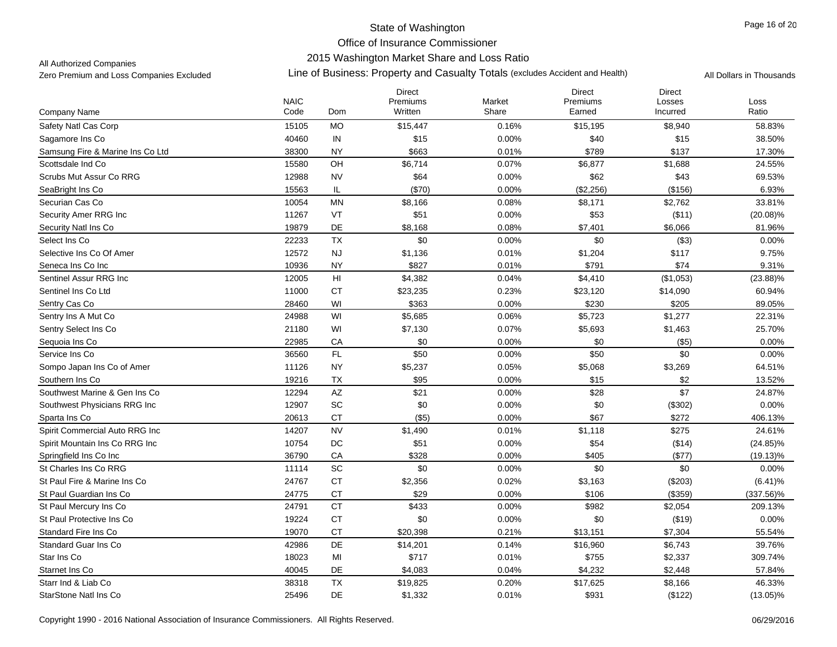## 2015 Washington Market Share and Loss Ratio

All Authorized Companies

|                                  | <b>NAIC</b> |                             | <b>Direct</b><br>Premiums | Market | <b>Direct</b><br>Premiums | <b>Direct</b><br>Losses | Loss         |
|----------------------------------|-------------|-----------------------------|---------------------------|--------|---------------------------|-------------------------|--------------|
| Company Name                     | Code        | Dom                         | Written                   | Share  | Earned                    | Incurred                | Ratio        |
| Safety Natl Cas Corp             | 15105       | <b>MO</b>                   | \$15,447                  | 0.16%  | \$15,195                  | \$8,940                 | 58.83%       |
| Sagamore Ins Co                  | 40460       | IN                          | \$15                      | 0.00%  | \$40                      | \$15                    | 38.50%       |
| Samsung Fire & Marine Ins Co Ltd | 38300       | <b>NY</b>                   | \$663                     | 0.01%  | \$789                     | \$137                   | 17.30%       |
| Scottsdale Ind Co                | 15580       | OH                          | \$6,714                   | 0.07%  | \$6,877                   | \$1,688                 | 24.55%       |
| Scrubs Mut Assur Co RRG          | 12988       | <b>NV</b>                   | \$64                      | 0.00%  | \$62                      | \$43                    | 69.53%       |
| SeaBright Ins Co                 | 15563       | IL                          | (\$70)                    | 0.00%  | (\$2,256)                 | (\$156)                 | 6.93%        |
| Securian Cas Co                  | 10054       | <b>MN</b>                   | \$8,166                   | 0.08%  | \$8,171                   | \$2,762                 | 33.81%       |
| Security Amer RRG Inc            | 11267       | VT                          | \$51                      | 0.00%  | \$53                      | ( \$11)                 | $(20.08)\%$  |
| Security Natl Ins Co             | 19879       | <b>DE</b>                   | \$8,168                   | 0.08%  | \$7,401                   | \$6,066                 | 81.96%       |
| Select Ins Co                    | 22233       | <b>TX</b>                   | \$0                       | 0.00%  | \$0                       | (\$3)                   | 0.00%        |
| Selective Ins Co Of Amer         | 12572       | <b>NJ</b>                   | \$1,136                   | 0.01%  | \$1,204                   | \$117                   | 9.75%        |
| Seneca Ins Co Inc                | 10936       | <b>NY</b>                   | \$827                     | 0.01%  | \$791                     | \$74                    | 9.31%        |
| Sentinel Assur RRG Inc.          | 12005       | H <sub>l</sub>              | \$4,382                   | 0.04%  | \$4,410                   | (\$1,053)               | $(23.88)\%$  |
| Sentinel Ins Co Ltd              | 11000       | <b>CT</b>                   | \$23,235                  | 0.23%  | \$23,120                  | \$14,090                | 60.94%       |
| Sentry Cas Co                    | 28460       | WI                          | \$363                     | 0.00%  | \$230                     | \$205                   | 89.05%       |
| Sentry Ins A Mut Co              | 24988       | WI                          | \$5,685                   | 0.06%  | \$5,723                   | \$1,277                 | 22.31%       |
| Sentry Select Ins Co             | 21180       | WI                          | \$7,130                   | 0.07%  | \$5,693                   | \$1,463                 | 25.70%       |
| Sequoia Ins Co                   | 22985       | CA                          | \$0                       | 0.00%  | \$0                       | (\$5)                   | 0.00%        |
| Service Ins Co                   | 36560       | $\mathsf{FL}$               | \$50                      | 0.00%  | \$50                      | \$0                     | 0.00%        |
| Sompo Japan Ins Co of Amer       | 11126       | <b>NY</b>                   | \$5,237                   | 0.05%  | \$5,068                   | \$3,269                 | 64.51%       |
| Southern Ins Co                  | 19216       | <b>TX</b>                   | \$95                      | 0.00%  | \$15                      | \$2                     | 13.52%       |
| Southwest Marine & Gen Ins Co    | 12294       | $\mathsf{A}\mathsf{Z}$      | \$21                      | 0.00%  | \$28                      | \$7                     | 24.87%       |
| Southwest Physicians RRG Inc     | 12907       | SC                          | \$0                       | 0.00%  | \$0                       | (\$302)                 | 0.00%        |
| Sparta Ins Co                    | 20613       | <b>CT</b>                   | (\$5)                     | 0.00%  | \$67                      | \$272                   | 406.13%      |
| Spirit Commercial Auto RRG Inc   | 14207       | <b>NV</b>                   | \$1,490                   | 0.01%  | \$1,118                   | \$275                   | 24.61%       |
| Spirit Mountain Ins Co RRG Inc   | 10754       | DC                          | \$51                      | 0.00%  | \$54                      | ( \$14)                 | $(24.85)\%$  |
| Springfield Ins Co Inc.          | 36790       | CA                          | \$328                     | 0.00%  | \$405                     | (\$77)                  | $(19.13)\%$  |
| St Charles Ins Co RRG            | 11114       | $\protect\operatorname{SC}$ | \$0                       | 0.00%  | \$0                       | \$0                     | 0.00%        |
| St Paul Fire & Marine Ins Co     | 24767       | <b>CT</b>                   | \$2,356                   | 0.02%  | \$3,163                   | (\$203)                 | $(6.41)\%$   |
| St Paul Guardian Ins Co          | 24775       | <b>CT</b>                   | \$29                      | 0.00%  | \$106                     | (\$359)                 | $(337.56)\%$ |
| St Paul Mercury Ins Co           | 24791       | <b>CT</b>                   | \$433                     | 0.00%  | \$982                     | \$2,054                 | 209.13%      |
| St Paul Protective Ins Co        | 19224       | <b>CT</b>                   | \$0                       | 0.00%  | \$0                       | (\$19)                  | 0.00%        |
| Standard Fire Ins Co             | 19070       | <b>CT</b>                   | \$20,398                  | 0.21%  | \$13,151                  | \$7,304                 | 55.54%       |
| <b>Standard Guar Ins Co</b>      | 42986       | DE                          | \$14,201                  | 0.14%  | \$16,960                  | \$6,743                 | 39.76%       |
| Star Ins Co                      | 18023       | MI                          | \$717                     | 0.01%  | \$755                     | \$2,337                 | 309.74%      |
| Starnet Ins Co                   | 40045       | DE                          | \$4,083                   | 0.04%  | \$4,232                   | \$2,448                 | 57.84%       |
| Starr Ind & Liab Co              | 38318       | <b>TX</b>                   | \$19,825                  | 0.20%  | \$17,625                  | \$8,166                 | 46.33%       |
| StarStone Natl Ins Co            | 25496       | <b>DE</b>                   | \$1,332                   | 0.01%  | \$931                     | (\$122)                 | $(13.05)\%$  |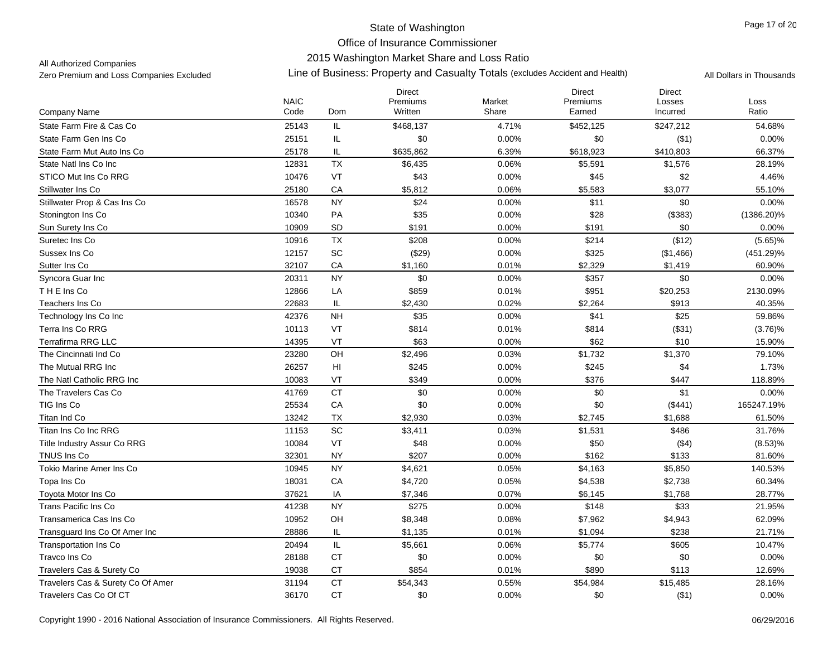### 2015 Washington Market Share and Loss Ratio

All Authorized Companies

|                                   | <b>NAIC</b> |                             | <b>Direct</b><br>Premiums | Market | <b>Direct</b><br>Premiums | <b>Direct</b><br>Losses | Loss          |
|-----------------------------------|-------------|-----------------------------|---------------------------|--------|---------------------------|-------------------------|---------------|
| Company Name                      | Code        | Dom                         | Written                   | Share  | Earned                    | Incurred                | Ratio         |
| State Farm Fire & Cas Co          | 25143       | IL                          | \$468,137                 | 4.71%  | \$452,125                 | \$247,212               | 54.68%        |
| State Farm Gen Ins Co             | 25151       | IL                          | \$0                       | 0.00%  | \$0                       | ( \$1)                  | 0.00%         |
| State Farm Mut Auto Ins Co        | 25178       | IL                          | \$635,862                 | 6.39%  | \$618,923                 | \$410,803               | 66.37%        |
| State Natl Ins Co Inc             | 12831       | <b>TX</b>                   | \$6,435                   | 0.06%  | \$5,591                   | \$1,576                 | 28.19%        |
| STICO Mut Ins Co RRG              | 10476       | VT                          | \$43                      | 0.00%  | \$45                      | \$2                     | 4.46%         |
| Stillwater Ins Co                 | 25180       | CA                          | \$5,812                   | 0.06%  | \$5,583                   | \$3,077                 | 55.10%        |
| Stillwater Prop & Cas Ins Co      | 16578       | <b>NY</b>                   | \$24                      | 0.00%  | \$11                      | \$0                     | 0.00%         |
| Stonington Ins Co                 | 10340       | PA                          | \$35                      | 0.00%  | \$28                      | (\$383)                 | $(1386.20)\%$ |
| Sun Surety Ins Co                 | 10909       | <b>SD</b>                   | \$191                     | 0.00%  | \$191                     | \$0                     | 0.00%         |
| Suretec Ins Co                    | 10916       | TX                          | \$208                     | 0.00%  | \$214                     | (\$12)                  | $(5.65)\%$    |
| Sussex Ins Co                     | 12157       | $\protect\operatorname{SC}$ | (\$29)                    | 0.00%  | \$325                     | (\$1,466)               | $(451.29)\%$  |
| Sutter Ins Co                     | 32107       | CA                          | \$1,160                   | 0.01%  | \$2,329                   | \$1,419                 | 60.90%        |
| Syncora Guar Inc                  | 20311       | <b>NY</b>                   | \$0                       | 0.00%  | \$357                     | \$0                     | 0.00%         |
| THE Ins Co                        | 12866       | LA                          | \$859                     | 0.01%  | \$951                     | \$20,253                | 2130.09%      |
| Teachers Ins Co                   | 22683       | IL                          | \$2,430                   | 0.02%  | \$2,264                   | \$913                   | 40.35%        |
| Technology Ins Co Inc             | 42376       | <b>NH</b>                   | \$35                      | 0.00%  | \$41                      | \$25                    | 59.86%        |
| Terra Ins Co RRG                  | 10113       | VT                          | \$814                     | 0.01%  | \$814                     | (\$31)                  | (3.76)%       |
| <b>Terrafirma RRG LLC</b>         | 14395       | VT                          | \$63                      | 0.00%  | \$62                      | \$10                    | 15.90%        |
| The Cincinnati Ind Co             | 23280       | OH                          | \$2,496                   | 0.03%  | \$1,732                   | \$1,370                 | 79.10%        |
| The Mutual RRG Inc                | 26257       | H <sub>II</sub>             | \$245                     | 0.00%  | \$245                     | \$4                     | 1.73%         |
| The Natl Catholic RRG Inc         | 10083       | VT                          | \$349                     | 0.00%  | \$376                     | \$447                   | 118.89%       |
| The Travelers Cas Co              | 41769       | <b>CT</b>                   | \$0                       | 0.00%  | \$0                       | \$1                     | 0.00%         |
| TIG Ins Co                        | 25534       | CA                          | \$0                       | 0.00%  | \$0                       | (\$441)                 | 165247.19%    |
| Titan Ind Co                      | 13242       | <b>TX</b>                   | \$2,930                   | 0.03%  | \$2,745                   | \$1,688                 | 61.50%        |
| Titan Ins Co Inc RRG              | 11153       | SC                          | \$3,411                   | 0.03%  | \$1,531                   | \$486                   | 31.76%        |
| Title Industry Assur Co RRG       | 10084       | VT                          | \$48                      | 0.00%  | \$50                      | (\$4)                   | (8.53)%       |
| TNUS Ins Co                       | 32301       | <b>NY</b>                   | \$207                     | 0.00%  | \$162                     | \$133                   | 81.60%        |
| Tokio Marine Amer Ins Co          | 10945       | <b>NY</b>                   | \$4,621                   | 0.05%  | \$4,163                   | \$5,850                 | 140.53%       |
| Topa Ins Co                       | 18031       | CA                          | \$4,720                   | 0.05%  | \$4,538                   | \$2,738                 | 60.34%        |
| Toyota Motor Ins Co               | 37621       | IA                          | \$7,346                   | 0.07%  | \$6,145                   | \$1,768                 | 28.77%        |
| Trans Pacific Ins Co              | 41238       | <b>NY</b>                   | \$275                     | 0.00%  | \$148                     | \$33                    | 21.95%        |
| Transamerica Cas Ins Co           | 10952       | OH                          | \$8,348                   | 0.08%  | \$7,962                   | \$4,943                 | 62.09%        |
| Transquard Ins Co Of Amer Inc     | 28886       | IL                          | \$1,135                   | 0.01%  | \$1,094                   | \$238                   | 21.71%        |
| <b>Transportation Ins Co</b>      | 20494       | IL                          | \$5,661                   | 0.06%  | \$5,774                   | \$605                   | 10.47%        |
| Travco Ins Co                     | 28188       | <b>CT</b>                   | \$0                       | 0.00%  | \$0                       | \$0                     | 0.00%         |
| Travelers Cas & Surety Co         | 19038       | <b>CT</b>                   | \$854                     | 0.01%  | \$890                     | \$113                   | 12.69%        |
| Travelers Cas & Surety Co Of Amer | 31194       | <b>CT</b>                   | \$54,343                  | 0.55%  | \$54,984                  | \$15,485                | 28.16%        |
| Travelers Cas Co Of CT            | 36170       | <b>CT</b>                   | \$0                       | 0.00%  | \$0                       | ( \$1)                  | 0.00%         |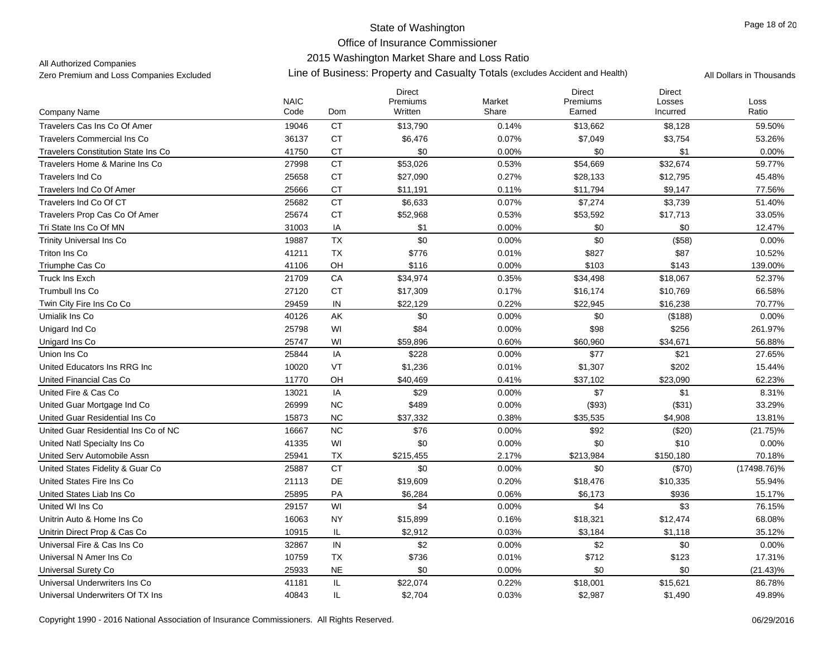## 2015 Washington Market Share and Loss Ratio

All Authorized Companies

|                                            | <b>NAIC</b> |           | <b>Direct</b><br>Premiums | Market | <b>Direct</b><br>Premiums | <b>Direct</b><br>Losses | Loss        |
|--------------------------------------------|-------------|-----------|---------------------------|--------|---------------------------|-------------------------|-------------|
| <b>Company Name</b>                        | Code        | Dom       | Written                   | Share  | Earned                    | Incurred                | Ratio       |
| Travelers Cas Ins Co Of Amer               | 19046       | <b>CT</b> | \$13,790                  | 0.14%  | \$13,662                  | \$8,128                 | 59.50%      |
| <b>Travelers Commercial Ins Co</b>         | 36137       | <b>CT</b> | \$6,476                   | 0.07%  | \$7,049                   | \$3,754                 | 53.26%      |
| <b>Travelers Constitution State Ins Co</b> | 41750       | CT        | \$0                       | 0.00%  | \$0                       | \$1                     | 0.00%       |
| Travelers Home & Marine Ins Co             | 27998       | <b>CT</b> | \$53,026                  | 0.53%  | \$54,669                  | \$32,674                | 59.77%      |
| <b>Travelers Ind Co</b>                    | 25658       | <b>CT</b> | \$27,090                  | 0.27%  | \$28,133                  | \$12,795                | 45.48%      |
| Travelers Ind Co Of Amer                   | 25666       | <b>CT</b> | \$11,191                  | 0.11%  | \$11,794                  | \$9,147                 | 77.56%      |
| Travelers Ind Co Of CT                     | 25682       | <b>CT</b> | \$6,633                   | 0.07%  | \$7,274                   | \$3,739                 | 51.40%      |
| Travelers Prop Cas Co Of Amer              | 25674       | <b>CT</b> | \$52,968                  | 0.53%  | \$53,592                  | \$17,713                | 33.05%      |
| Tri State Ins Co Of MN                     | 31003       | IA        | \$1                       | 0.00%  | \$0                       | \$0                     | 12.47%      |
| <b>Trinity Universal Ins Co</b>            | 19887       | <b>TX</b> | \$0                       | 0.00%  | \$0                       | (\$58)                  | 0.00%       |
| Triton Ins Co                              | 41211       | <b>TX</b> | \$776                     | 0.01%  | \$827                     | \$87                    | 10.52%      |
| Triumphe Cas Co                            | 41106       | OH        | \$116                     | 0.00%  | \$103                     | \$143                   | 139.00%     |
| Truck Ins Exch                             | 21709       | CA        | \$34,974                  | 0.35%  | \$34,498                  | \$18,067                | 52.37%      |
| <b>Trumbull Ins Co</b>                     | 27120       | <b>CT</b> | \$17,309                  | 0.17%  | \$16,174                  | \$10,769                | 66.58%      |
| Twin City Fire Ins Co Co                   | 29459       | IN        | \$22,129                  | 0.22%  | \$22,945                  | \$16,238                | 70.77%      |
| Umialik Ins Co                             | 40126       | AK        | \$0                       | 0.00%  | \$0                       | (\$188)                 | 0.00%       |
| Unigard Ind Co                             | 25798       | WI        | \$84                      | 0.00%  | \$98                      | \$256                   | 261.97%     |
| Unigard Ins Co                             | 25747       | WI        | \$59,896                  | 0.60%  | \$60,960                  | \$34,671                | 56.88%      |
| Union Ins Co                               | 25844       | IA        | \$228                     | 0.00%  | \$77                      | \$21                    | 27.65%      |
| United Educators Ins RRG Inc               | 10020       | VT        | \$1,236                   | 0.01%  | \$1,307                   | \$202                   | 15.44%      |
| United Financial Cas Co                    | 11770       | OH        | \$40,469                  | 0.41%  | \$37,102                  | \$23,090                | 62.23%      |
| United Fire & Cas Co                       | 13021       | IA        | \$29                      | 0.00%  | \$7                       | \$1                     | 8.31%       |
| United Guar Mortgage Ind Co                | 26999       | <b>NC</b> | \$489                     | 0.00%  | (\$93)                    | (\$31)                  | 33.29%      |
| United Guar Residential Ins Co             | 15873       | <b>NC</b> | \$37,332                  | 0.38%  | \$35,535                  | \$4,908                 | 13.81%      |
| United Guar Residential Ins Co of NC       | 16667       | <b>NC</b> | \$76                      | 0.00%  | \$92                      | (\$20)                  | $(21.75)\%$ |
| United Natl Specialty Ins Co.              | 41335       | WI        | \$0                       | 0.00%  | \$0                       | \$10                    | 0.00%       |
| United Serv Automobile Assn                | 25941       | TX        | \$215,455                 | 2.17%  | \$213,984                 | \$150,180               | 70.18%      |
| United States Fidelity & Guar Co.          | 25887       | <b>CT</b> | \$0                       | 0.00%  | \$0                       | (\$70)                  | (17498.76)% |
| United States Fire Ins Co                  | 21113       | DE        | \$19,609                  | 0.20%  | \$18,476                  | \$10,335                | 55.94%      |
| United States Liab Ins Co                  | 25895       | <b>PA</b> | \$6,284                   | 0.06%  | \$6,173                   | \$936                   | 15.17%      |
| United WI Ins Co                           | 29157       | WI        | \$4                       | 0.00%  | \$4                       | \$3                     | 76.15%      |
| Unitrin Auto & Home Ins Co                 | 16063       | <b>NY</b> | \$15,899                  | 0.16%  | \$18,321                  | \$12,474                | 68.08%      |
| Unitrin Direct Prop & Cas Co               | 10915       | IL        | \$2,912                   | 0.03%  | \$3,184                   | \$1,118                 | 35.12%      |
| Universal Fire & Cas Ins Co                | 32867       | IN        | \$2                       | 0.00%  | \$2                       | \$0                     | 0.00%       |
| Universal N Amer Ins Co                    | 10759       | TX        | \$736                     | 0.01%  | \$712                     | \$123                   | 17.31%      |
| Universal Surety Co                        | 25933       | <b>NE</b> | \$0                       | 0.00%  | \$0                       | \$0                     | $(21.43)\%$ |
| Universal Underwriters Ins Co              | 41181       | IL        | \$22,074                  | 0.22%  | \$18,001                  | \$15,621                | 86.78%      |
| Universal Underwriters Of TX Ins           | 40843       | IL        | \$2,704                   | 0.03%  | \$2,987                   | \$1,490                 | 49.89%      |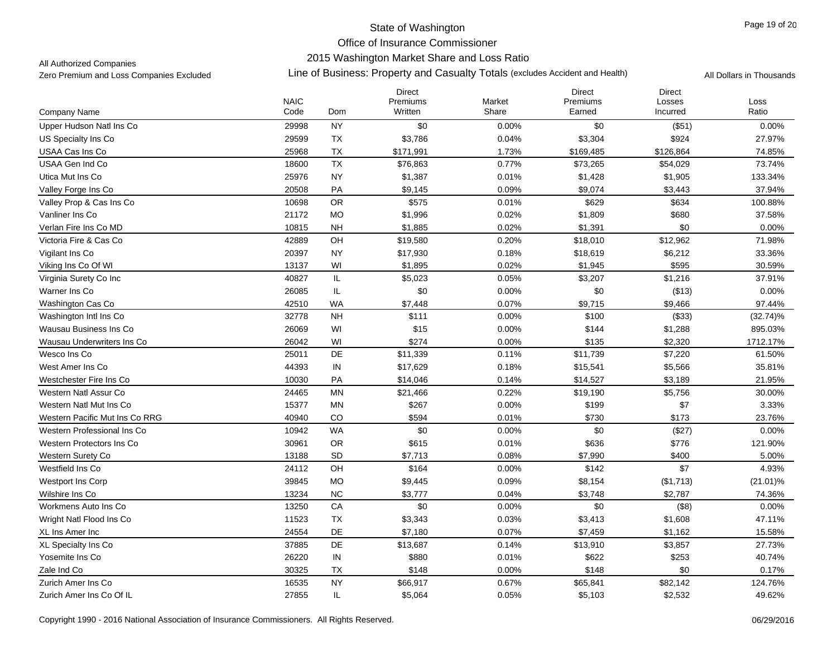## 2015 Washington Market Share and Loss Ratio

All Authorized Companies

|                                | <b>NAIC</b> |           | Direct<br>Premiums | Market | Direct<br>Premiums | Direct<br>Losses | Loss        |
|--------------------------------|-------------|-----------|--------------------|--------|--------------------|------------------|-------------|
| Company Name                   | Code        | Dom       | Written            | Share  | Earned             | Incurred         | Ratio       |
| Upper Hudson Natl Ins Co       | 29998       | <b>NY</b> | \$0                | 0.00%  | \$0                | (\$51)           | 0.00%       |
| US Specialty Ins Co            | 29599       | TX        | \$3,786            | 0.04%  | \$3,304            | \$924            | 27.97%      |
| USAA Cas Ins Co                | 25968       | <b>TX</b> | \$171,991          | 1.73%  | \$169,485          | \$126,864        | 74.85%      |
| USAA Gen Ind Co                | 18600       | TX        | \$76,863           | 0.77%  | \$73,265           | \$54,029         | 73.74%      |
| Utica Mut Ins Co               | 25976       | <b>NY</b> | \$1,387            | 0.01%  | \$1,428            | \$1,905          | 133.34%     |
| Valley Forge Ins Co            | 20508       | PA        | \$9,145            | 0.09%  | \$9,074            | \$3,443          | 37.94%      |
| Valley Prop & Cas Ins Co       | 10698       | OR        | \$575              | 0.01%  | \$629              | \$634            | 100.88%     |
| Vanliner Ins Co                | 21172       | <b>MO</b> | \$1,996            | 0.02%  | \$1,809            | \$680            | 37.58%      |
| Verlan Fire Ins Co MD          | 10815       | <b>NH</b> | \$1,885            | 0.02%  | \$1,391            | \$0              | 0.00%       |
| Victoria Fire & Cas Co         | 42889       | OH        | \$19,580           | 0.20%  | \$18,010           | \$12,962         | 71.98%      |
| Vigilant Ins Co                | 20397       | <b>NY</b> | \$17,930           | 0.18%  | \$18,619           | \$6,212          | 33.36%      |
| Viking Ins Co Of WI            | 13137       | WI        | \$1,895            | 0.02%  | \$1,945            | \$595            | 30.59%      |
| Virginia Surety Co Inc         | 40827       | IL        | \$5,023            | 0.05%  | \$3,207            | \$1,216          | 37.91%      |
| Warner Ins Co                  | 26085       | IL        | \$0                | 0.00%  | \$0                | (\$13)           | 0.00%       |
| Washington Cas Co              | 42510       | <b>WA</b> | \$7,448            | 0.07%  | \$9,715            | \$9,466          | 97.44%      |
| Washington Intl Ins Co         | 32778       | <b>NH</b> | \$111              | 0.00%  | \$100              | (\$33)           | $(32.74)\%$ |
| Wausau Business Ins Co         | 26069       | WI        | \$15               | 0.00%  | \$144              | \$1,288          | 895.03%     |
| Wausau Underwriters Ins Co     | 26042       | WI        | \$274              | 0.00%  | \$135              | \$2,320          | 1712.17%    |
| Wesco Ins Co                   | 25011       | DE        | \$11,339           | 0.11%  | \$11,739           | \$7,220          | 61.50%      |
| West Amer Ins Co               | 44393       | IN        | \$17,629           | 0.18%  | \$15,541           | \$5,566          | 35.81%      |
| Westchester Fire Ins Co        | 10030       | PA        | \$14,046           | 0.14%  | \$14,527           | \$3,189          | 21.95%      |
| Western Natl Assur Co          | 24465       | <b>MN</b> | \$21,466           | 0.22%  | \$19,190           | \$5,756          | 30.00%      |
| Western Natl Mut Ins Co        | 15377       | <b>MN</b> | \$267              | 0.00%  | \$199              | \$7              | 3.33%       |
| Western Pacific Mut Ins Co RRG | 40940       | CO        | \$594              | 0.01%  | \$730              | \$173            | 23.76%      |
| Western Professional Ins Co    | 10942       | <b>WA</b> | \$0                | 0.00%  | \$0                | (\$27)           | 0.00%       |
| Western Protectors Ins Co      | 30961       | OR        | \$615              | 0.01%  | \$636              | \$776            | 121.90%     |
| <b>Western Surety Co</b>       | 13188       | <b>SD</b> | \$7,713            | 0.08%  | \$7,990            | \$400            | 5.00%       |
| Westfield Ins Co               | 24112       | OH        | \$164              | 0.00%  | \$142              | \$7              | 4.93%       |
| <b>Westport Ins Corp</b>       | 39845       | <b>MO</b> | \$9,445            | 0.09%  | \$8,154            | (\$1,713)        | $(21.01)\%$ |
| Wilshire Ins Co                | 13234       | <b>NC</b> | \$3,777            | 0.04%  | \$3,748            | \$2,787          | 74.36%      |
| Workmens Auto Ins Co           | 13250       | CA        | \$0                | 0.00%  | \$0                | (\$8)            | 0.00%       |
| Wright Natl Flood Ins Co       | 11523       | TX        | \$3,343            | 0.03%  | \$3,413            | \$1,608          | 47.11%      |
| XL Ins Amer Inc                | 24554       | DE        | \$7,180            | 0.07%  | \$7,459            | \$1,162          | 15.58%      |
| <b>XL Specialty Ins Co</b>     | 37885       | DE        | \$13,687           | 0.14%  | \$13,910           | \$3,857          | 27.73%      |
| Yosemite Ins Co                | 26220       | IN        | \$880              | 0.01%  | \$622              | \$253            | 40.74%      |
| Zale Ind Co                    | 30325       | <b>TX</b> | \$148              | 0.00%  | \$148              | \$0              | 0.17%       |
| Zurich Amer Ins Co             | 16535       | <b>NY</b> | \$66,917           | 0.67%  | \$65,841           | \$82,142         | 124.76%     |
| Zurich Amer Ins Co Of IL       | 27855       | IL        | \$5,064            | 0.05%  | \$5,103            | \$2,532          | 49.62%      |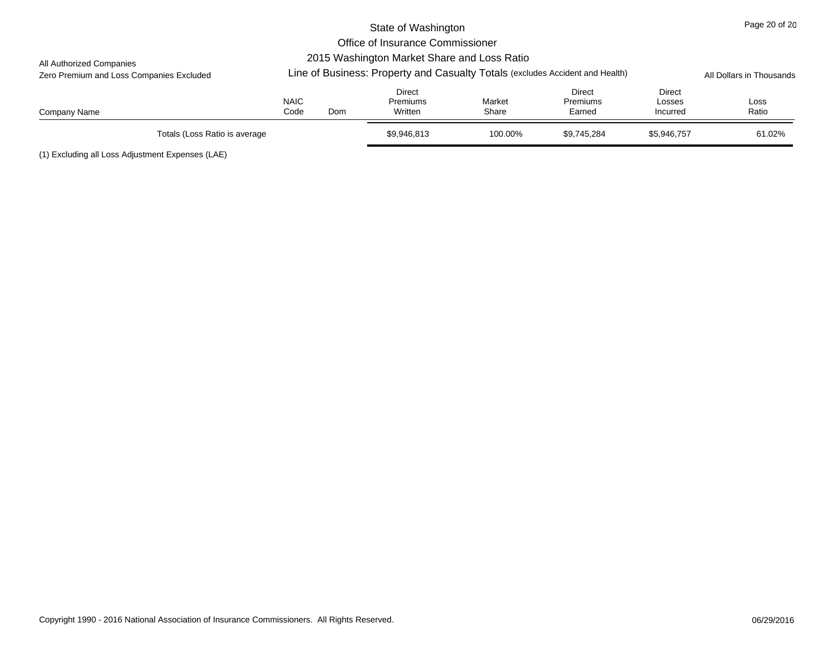|                                                                                                                           | State of Washington |     |                                             |         |                           |                  |                          |  |  |  |  |
|---------------------------------------------------------------------------------------------------------------------------|---------------------|-----|---------------------------------------------|---------|---------------------------|------------------|--------------------------|--|--|--|--|
|                                                                                                                           |                     |     | Office of Insurance Commissioner            |         |                           |                  |                          |  |  |  |  |
| All Authorized Companies                                                                                                  |                     |     | 2015 Washington Market Share and Loss Ratio |         |                           |                  |                          |  |  |  |  |
| Line of Business: Property and Casualty Totals (excludes Accident and Health)<br>Zero Premium and Loss Companies Excluded |                     |     |                                             |         |                           |                  | All Dollars in Thousands |  |  |  |  |
|                                                                                                                           | <b>NAIC</b>         |     | Direct<br>Premiums                          | Market  | Direct<br><b>Premiums</b> | Direct<br>Losses | Loss                     |  |  |  |  |
| Company Name                                                                                                              | Code                | Dom | Written                                     | Share   | Earned                    | Incurred         | Ratio                    |  |  |  |  |
| Totals (Loss Ratio is average                                                                                             |                     |     | \$9,946,813                                 | 100.00% | \$9.745.284               | \$5,946,757      | 61.02%                   |  |  |  |  |

(1) Excluding all Loss Adjustment Expenses (LAE)